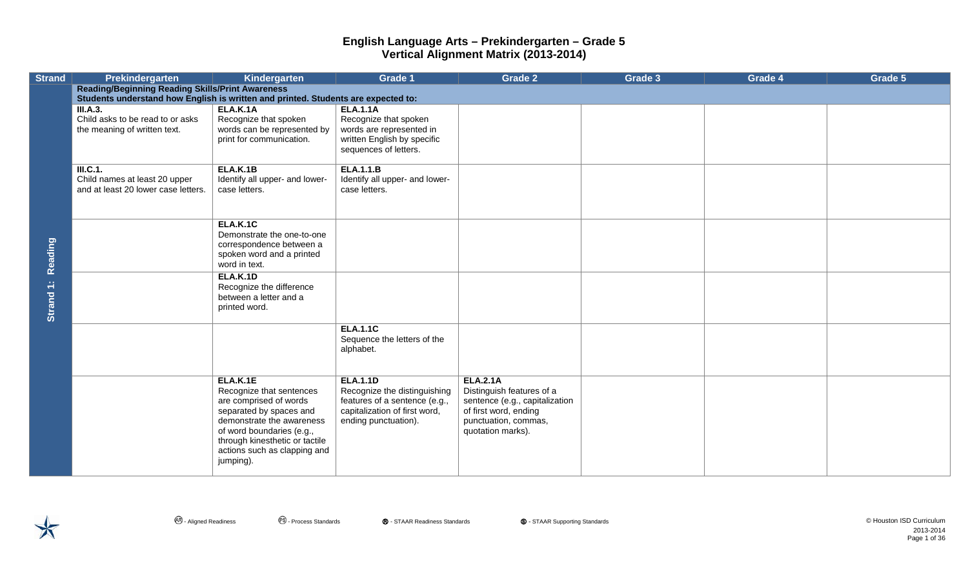| <b>Strand</b>  | <b>Prekindergarten</b>                                                            | Kindergarten                                           | <b>Grade 1</b>                           | <b>Grade 2</b>                            | Grade 3 | Grade 4 | Grade 5 |
|----------------|-----------------------------------------------------------------------------------|--------------------------------------------------------|------------------------------------------|-------------------------------------------|---------|---------|---------|
|                | <b>Reading/Beginning Reading Skills/Print Awareness</b>                           |                                                        |                                          |                                           |         |         |         |
|                | Students understand how English is written and printed. Students are expected to: |                                                        |                                          |                                           |         |         |         |
|                | <b>III.A.3.</b><br>Child asks to be read to or asks                               | ELA.K.1A<br>Recognize that spoken                      | <b>ELA.1.1A</b><br>Recognize that spoken |                                           |         |         |         |
|                | the meaning of written text.                                                      | words can be represented by                            | words are represented in                 |                                           |         |         |         |
|                |                                                                                   | print for communication.                               | written English by specific              |                                           |         |         |         |
|                |                                                                                   |                                                        | sequences of letters.                    |                                           |         |         |         |
|                | III.C.1.                                                                          | <b>ELA.K.1B</b>                                        | <b>ELA.1.1.B</b>                         |                                           |         |         |         |
|                | Child names at least 20 upper                                                     | Identify all upper- and lower-                         | Identify all upper- and lower-           |                                           |         |         |         |
|                | and at least 20 lower case letters.                                               | case letters.                                          | case letters.                            |                                           |         |         |         |
|                |                                                                                   |                                                        |                                          |                                           |         |         |         |
|                |                                                                                   | <b>ELA.K.1C</b>                                        |                                          |                                           |         |         |         |
|                |                                                                                   | Demonstrate the one-to-one                             |                                          |                                           |         |         |         |
|                |                                                                                   | correspondence between a<br>spoken word and a printed  |                                          |                                           |         |         |         |
| <b>Reading</b> |                                                                                   | word in text.                                          |                                          |                                           |         |         |         |
|                |                                                                                   | <b>ELA.K.1D</b>                                        |                                          |                                           |         |         |         |
|                |                                                                                   | Recognize the difference<br>between a letter and a     |                                          |                                           |         |         |         |
| Strand 1:      |                                                                                   | printed word.                                          |                                          |                                           |         |         |         |
|                |                                                                                   |                                                        |                                          |                                           |         |         |         |
|                |                                                                                   |                                                        | <b>ELA.1.1C</b>                          |                                           |         |         |         |
|                |                                                                                   |                                                        | Sequence the letters of the<br>alphabet. |                                           |         |         |         |
|                |                                                                                   |                                                        |                                          |                                           |         |         |         |
|                |                                                                                   |                                                        | <b>ELA.1.1D</b>                          | <b>ELA.2.1A</b>                           |         |         |         |
|                |                                                                                   | ELA.K.1E<br>Recognize that sentences                   | Recognize the distinguishing             | Distinguish features of a                 |         |         |         |
|                |                                                                                   | are comprised of words                                 | features of a sentence (e.g.,            | sentence (e.g., capitalization            |         |         |         |
|                |                                                                                   | separated by spaces and                                | capitalization of first word,            | of first word, ending                     |         |         |         |
|                |                                                                                   | demonstrate the awareness<br>of word boundaries (e.g., | ending punctuation).                     | punctuation, commas,<br>quotation marks). |         |         |         |
|                |                                                                                   | through kinesthetic or tactile                         |                                          |                                           |         |         |         |
|                |                                                                                   | actions such as clapping and                           |                                          |                                           |         |         |         |
|                |                                                                                   | jumping).                                              |                                          |                                           |         |         |         |
|                |                                                                                   |                                                        |                                          |                                           |         |         |         |

 $\bigtimes$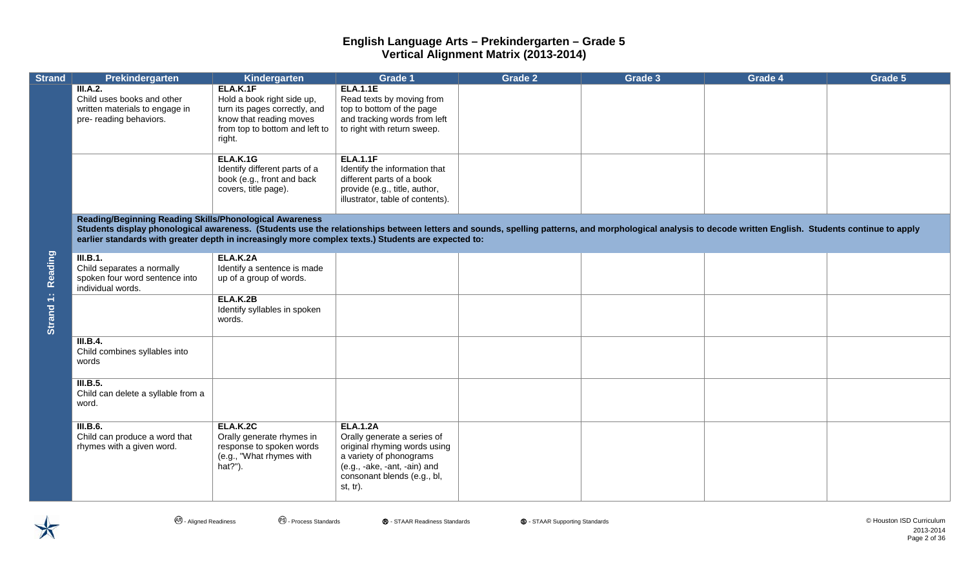| <b>Strand</b>     | Prekindergarten                                                                                                                                                                                                                                                                                                                                                            | Kindergarten                                                                                                                                   | <b>Grade 1</b>                                                                                                                                                                          | Grade 2 | Grade 3 | Grade 4 | Grade 5 |
|-------------------|----------------------------------------------------------------------------------------------------------------------------------------------------------------------------------------------------------------------------------------------------------------------------------------------------------------------------------------------------------------------------|------------------------------------------------------------------------------------------------------------------------------------------------|-----------------------------------------------------------------------------------------------------------------------------------------------------------------------------------------|---------|---------|---------|---------|
|                   | III.A.2.<br>Child uses books and other<br>written materials to engage in<br>pre- reading behaviors.                                                                                                                                                                                                                                                                        | ELA.K.1F<br>Hold a book right side up,<br>turn its pages correctly, and<br>know that reading moves<br>from top to bottom and left to<br>right. | <b>ELA.1.1E</b><br>Read texts by moving from<br>top to bottom of the page<br>and tracking words from left<br>to right with return sweep.                                                |         |         |         |         |
| Strand 1: Reading |                                                                                                                                                                                                                                                                                                                                                                            | <b>ELA.K.1G</b><br>Identify different parts of a<br>book (e.g., front and back<br>covers, title page).                                         | <b>ELA.1.1F</b><br>Identify the information that<br>different parts of a book<br>provide (e.g., title, author,<br>illustrator, table of contents).                                      |         |         |         |         |
|                   | Reading/Beginning Reading Skills/Phonological Awareness<br>Students display phonological awareness. (Students use the relationships between letters and sounds, spelling patterns, and morphological analysis to decode written English. Students continue to apply<br>earlier standards with greater depth in increasingly more complex texts.) Students are expected to: |                                                                                                                                                |                                                                                                                                                                                         |         |         |         |         |
|                   | III.B.1.<br>Child separates a normally<br>spoken four word sentence into<br>individual words.                                                                                                                                                                                                                                                                              | <b>ELA.K.2A</b><br>Identify a sentence is made<br>up of a group of words.                                                                      |                                                                                                                                                                                         |         |         |         |         |
|                   |                                                                                                                                                                                                                                                                                                                                                                            | ELA.K.2B<br>Identify syllables in spoken<br>words.                                                                                             |                                                                                                                                                                                         |         |         |         |         |
|                   | III.B.4.<br>Child combines syllables into<br>words                                                                                                                                                                                                                                                                                                                         |                                                                                                                                                |                                                                                                                                                                                         |         |         |         |         |
|                   | III.B.5.<br>Child can delete a syllable from a<br>word.                                                                                                                                                                                                                                                                                                                    |                                                                                                                                                |                                                                                                                                                                                         |         |         |         |         |
|                   | <b>III.B.6.</b><br>Child can produce a word that<br>rhymes with a given word.                                                                                                                                                                                                                                                                                              | <b>ELA.K.2C</b><br>Orally generate rhymes in<br>response to spoken words<br>(e.g., "What rhymes with<br>hat?").                                | <b>ELA.1.2A</b><br>Orally generate a series of<br>original rhyming words using<br>a variety of phonograms<br>(e.g., -ake, -ant, -ain) and<br>consonant blends (e.g., bl,<br>$st, tr$ ). |         |         |         |         |

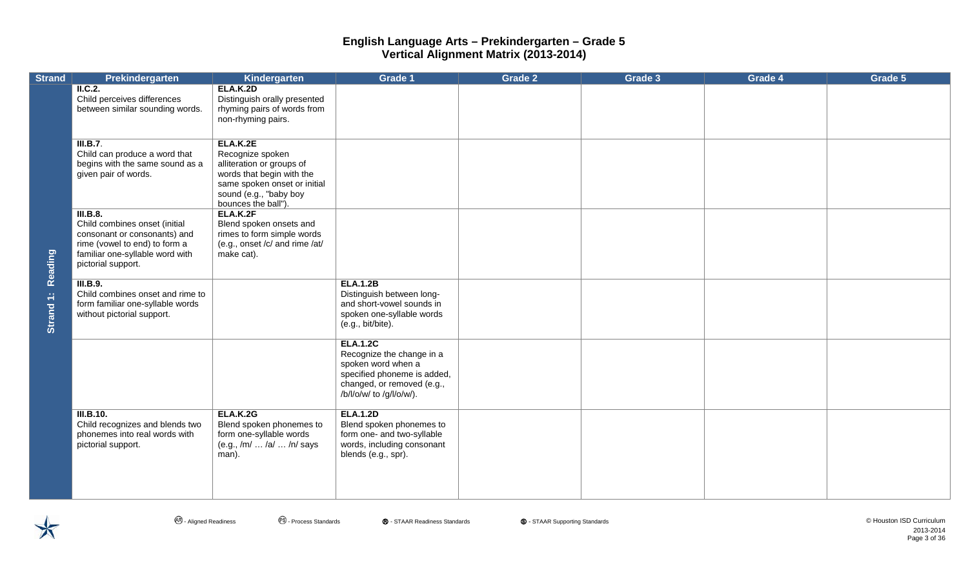| <b>Strand</b>        | Prekindergarten                                                                                                                                                     | Kindergarten                                                                                                                                                            | Grade 1                                                                                                                                                     | Grade 2 | Grade 3 | Grade 4 | Grade 5 |
|----------------------|---------------------------------------------------------------------------------------------------------------------------------------------------------------------|-------------------------------------------------------------------------------------------------------------------------------------------------------------------------|-------------------------------------------------------------------------------------------------------------------------------------------------------------|---------|---------|---------|---------|
| Reading<br>Strand 1: | $\overline{\phantom{a}}$ II.C.2.<br>Child perceives differences<br>between similar sounding words.                                                                  | <b>ELA.K.2D</b><br>Distinguish orally presented<br>rhyming pairs of words from<br>non-rhyming pairs.                                                                    |                                                                                                                                                             |         |         |         |         |
|                      | III.B.7.<br>Child can produce a word that<br>begins with the same sound as a<br>given pair of words.                                                                | ELA.K.2E<br>Recognize spoken<br>alliteration or groups of<br>words that begin with the<br>same spoken onset or initial<br>sound (e.g., "baby boy<br>bounces the ball"). |                                                                                                                                                             |         |         |         |         |
|                      | III.B.8.<br>Child combines onset (initial<br>consonant or consonants) and<br>rime (vowel to end) to form a<br>familiar one-syllable word with<br>pictorial support. | ELA.K.2F<br>Blend spoken onsets and<br>rimes to form simple words<br>(e.g., onset /c/ and rime /at/<br>make cat).                                                       |                                                                                                                                                             |         |         |         |         |
|                      | <b>III.B.9.</b><br>Child combines onset and rime to<br>form familiar one-syllable words<br>without pictorial support.                                               |                                                                                                                                                                         | <b>ELA.1.2B</b><br>Distinguish between long-<br>and short-vowel sounds in<br>spoken one-syllable words<br>(e.g., bit/bite).                                 |         |         |         |         |
|                      |                                                                                                                                                                     |                                                                                                                                                                         | <b>ELA.1.2C</b><br>Recognize the change in a<br>spoken word when a<br>specified phoneme is added,<br>changed, or removed (e.g.,<br>/b/l/o/w/ to /g/l/o/w/). |         |         |         |         |
|                      | III.B.10.<br>Child recognizes and blends two<br>phonemes into real words with<br>pictorial support.                                                                 | <b>ELA.K.2G</b><br>Blend spoken phonemes to<br>form one-syllable words<br>(e.g., /m/  /a/  /n/ says<br>man).                                                            | <b>ELA.1.2D</b><br>Blend spoken phonemes to<br>form one- and two-syllable<br>words, including consonant<br>blends (e.g., spr).                              |         |         |         |         |



- Aligned Readiness - Process Standards Ⓡ - STAAR Readiness Standards Ⓢ - STAAR Supporting Standards © Houston ISD Curriculum 2013-2014 Page 3 of 36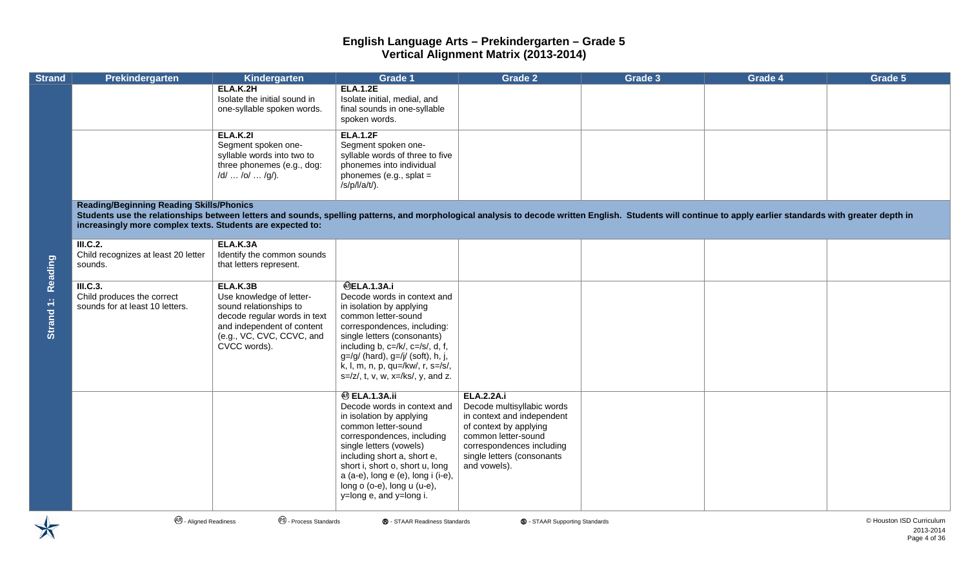| <b>Strand</b>        | <b>Prekindergarten</b>                                                                                                                                                                                                                                                                                                       | Kindergarten                                                                                                                                                              | Grade 1                                                                                                                                                                                                                                                                                                                                           | Grade 2                                                                                                                                                                                                   | Grade 3 | Grade 4 | Grade 5 |
|----------------------|------------------------------------------------------------------------------------------------------------------------------------------------------------------------------------------------------------------------------------------------------------------------------------------------------------------------------|---------------------------------------------------------------------------------------------------------------------------------------------------------------------------|---------------------------------------------------------------------------------------------------------------------------------------------------------------------------------------------------------------------------------------------------------------------------------------------------------------------------------------------------|-----------------------------------------------------------------------------------------------------------------------------------------------------------------------------------------------------------|---------|---------|---------|
| Reading<br>Strand 1: |                                                                                                                                                                                                                                                                                                                              | ELA.K.2H<br>Isolate the initial sound in<br>one-syllable spoken words.                                                                                                    | <b>ELA.1.2E</b><br>Isolate initial, medial, and<br>final sounds in one-syllable<br>spoken words.                                                                                                                                                                                                                                                  |                                                                                                                                                                                                           |         |         |         |
|                      |                                                                                                                                                                                                                                                                                                                              | <b>ELA.K.21</b><br>Segment spoken one-<br>syllable words into two to<br>three phonemes (e.g., dog:<br>/d/  /o/  /g/).                                                     | <b>ELA.1.2F</b><br>Segment spoken one-<br>syllable words of three to five<br>phonemes into individual<br>phonemes (e.g., splat $=$<br>$/s/p/l/a/t$ ).                                                                                                                                                                                             |                                                                                                                                                                                                           |         |         |         |
|                      | <b>Reading/Beginning Reading Skills/Phonics</b><br>Students use the relationships between letters and sounds, spelling patterns, and morphological analysis to decode written English. Students will continue to apply earlier standards with greater depth in<br>increasingly more complex texts. Students are expected to: |                                                                                                                                                                           |                                                                                                                                                                                                                                                                                                                                                   |                                                                                                                                                                                                           |         |         |         |
|                      | <b>III.C.2.</b><br>Child recognizes at least 20 letter<br>sounds.                                                                                                                                                                                                                                                            | ELA.K.3A<br>Identify the common sounds<br>that letters represent.                                                                                                         |                                                                                                                                                                                                                                                                                                                                                   |                                                                                                                                                                                                           |         |         |         |
|                      | III.C.3.<br>Child produces the correct<br>sounds for at least 10 letters.                                                                                                                                                                                                                                                    | ELA.K.3B<br>Use knowledge of letter-<br>sound relationships to<br>decode regular words in text<br>and independent of content<br>(e.g., VC, CVC, CCVC, and<br>CVCC words). | <b>@ELA.1.3A.i</b><br>Decode words in context and<br>in isolation by applying<br>common letter-sound<br>correspondences, including:<br>single letters (consonants)<br>including b, $c = / k/$ , $c = / s/$ , d, f,<br>$g=/g/$ (hard), $g=/\mathrm{j}/$ (soft), h, j,<br>k, l, m, n, p, qu=/kw/, r, s=/s/,<br>$s= z $ , t, v, w, x=/ks/, y, and z. |                                                                                                                                                                                                           |         |         |         |
|                      |                                                                                                                                                                                                                                                                                                                              |                                                                                                                                                                           | <b>@ ELA.1.3A.ii</b><br>Decode words in context and<br>in isolation by applying<br>common letter-sound<br>correspondences, including<br>single letters (vowels)<br>including short a, short e,<br>short i, short o, short u, long<br>a (a-e), long e (e), long i (i-e),<br>long $o$ (o-e), long $u$ (u-e),<br>y=long e, and y=long i.             | <b>ELA.2.2A.i</b><br>Decode multisyllabic words<br>in context and independent<br>of context by applying<br>common letter-sound<br>correspondences including<br>single letters (consonants<br>and vowels). |         |         |         |

**4**. Aligned Readiness **Number of Contract Contract Contract Contract Contract Contract Contract Contract Contract Contract Contract Contract Contract Contract Contract Contract Contract Contract Aligned Readiness Standar** 

2013-2014 Page 4 of 36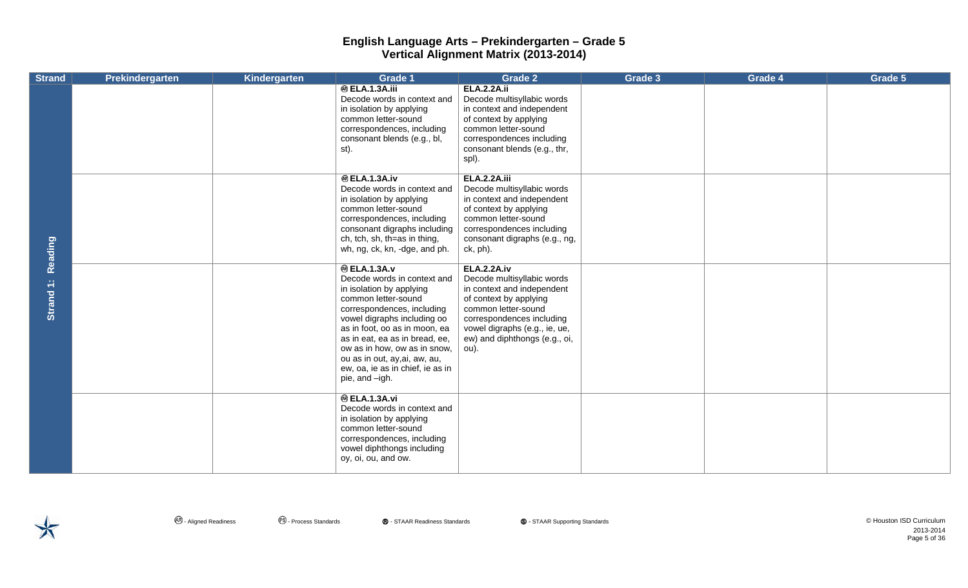| <b>Strand</b>        | Prekindergarten | Kindergarten | <b>Grade 1</b>                                                                                                                                                                                                                                                                                                                                               | <b>Grade 2</b>                                                                                                                                                                                                                         | Grade 3 | Grade 4 | Grade 5 |
|----------------------|-----------------|--------------|--------------------------------------------------------------------------------------------------------------------------------------------------------------------------------------------------------------------------------------------------------------------------------------------------------------------------------------------------------------|----------------------------------------------------------------------------------------------------------------------------------------------------------------------------------------------------------------------------------------|---------|---------|---------|
| Reading<br>Strand 1: |                 |              | <b>@ ELA.1.3A.iii</b><br>Decode words in context and<br>in isolation by applying<br>common letter-sound<br>correspondences, including<br>consonant blends (e.g., bl,<br>st).                                                                                                                                                                                 | <b>ELA.2.2A.ii</b><br>Decode multisyllabic words<br>in context and independent<br>of context by applying<br>common letter-sound<br>correspondences including<br>consonant blends (e.g., thr,<br>spl).                                  |         |         |         |
|                      |                 |              | <b>@ELA.1.3A.iv</b><br>Decode words in context and<br>in isolation by applying<br>common letter-sound<br>correspondences, including<br>consonant digraphs including<br>ch, tch, sh, th=as in thing,<br>wh, ng, ck, kn, -dge, and ph.                                                                                                                         | <b>ELA.2.2A.iii</b><br>Decode multisyllabic words<br>in context and independent<br>of context by applying<br>common letter-sound<br>correspondences including<br>consonant digraphs (e.g., ng,<br>ck, ph).                             |         |         |         |
|                      |                 |              | <b>@ ELA.1.3A.v</b><br>Decode words in context and<br>in isolation by applying<br>common letter-sound<br>correspondences, including<br>vowel digraphs including oo<br>as in foot, oo as in moon, ea<br>as in eat, ea as in bread, ee,<br>ow as in how, ow as in snow,<br>ou as in out, ay, ai, aw, au,<br>ew, oa, ie as in chief, ie as in<br>pie, and -igh. | <b>ELA.2.2A.iv</b><br>Decode multisyllabic words<br>in context and independent<br>of context by applying<br>common letter-sound<br>correspondences including<br>vowel digraphs (e.g., ie, ue,<br>ew) and diphthongs (e.g., oi,<br>ou). |         |         |         |
|                      |                 |              | <b>@ ELA.1.3A.vi</b><br>Decode words in context and<br>in isolation by applying<br>common letter-sound<br>correspondences, including<br>vowel diphthongs including<br>oy, oi, ou, and ow.                                                                                                                                                                    |                                                                                                                                                                                                                                        |         |         |         |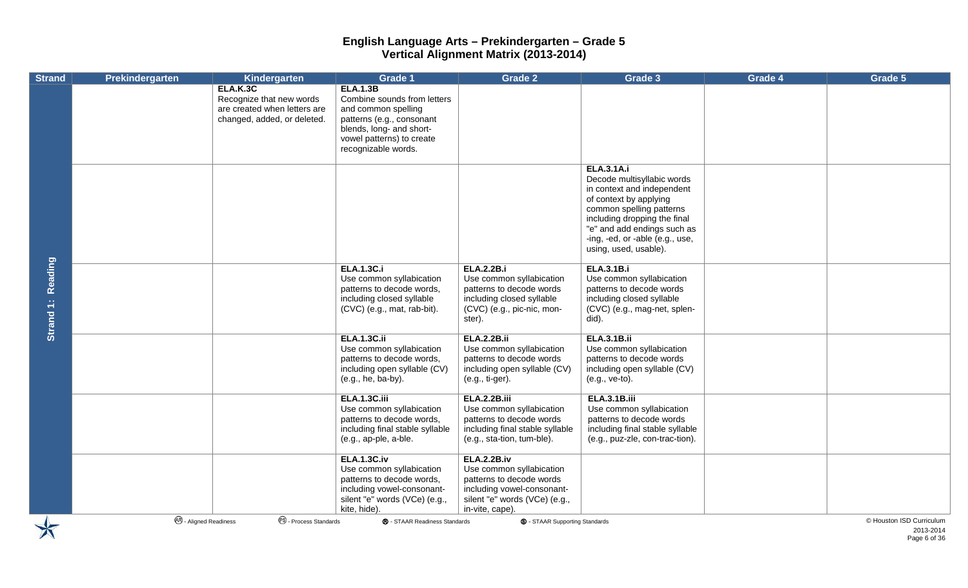| <b>Strand</b>        | Prekindergarten               | Kindergarten                                                                                        | <b>Grade 1</b>                                                                                                                                                                     | Grade 2                                                                                                                                                      | Grade 3                                                                                                                                                                                                                                                        | <b>Grade 4</b> | Grade 5                  |
|----------------------|-------------------------------|-----------------------------------------------------------------------------------------------------|------------------------------------------------------------------------------------------------------------------------------------------------------------------------------------|--------------------------------------------------------------------------------------------------------------------------------------------------------------|----------------------------------------------------------------------------------------------------------------------------------------------------------------------------------------------------------------------------------------------------------------|----------------|--------------------------|
|                      |                               | ELA.K.3C<br>Recognize that new words<br>are created when letters are<br>changed, added, or deleted. | <b>ELA.1.3B</b><br>Combine sounds from letters<br>and common spelling<br>patterns (e.g., consonant<br>blends, long- and short-<br>vowel patterns) to create<br>recognizable words. |                                                                                                                                                              |                                                                                                                                                                                                                                                                |                |                          |
|                      |                               |                                                                                                     |                                                                                                                                                                                    |                                                                                                                                                              | <b>ELA.3.1A.i</b><br>Decode multisyllabic words<br>in context and independent<br>of context by applying<br>common spelling patterns<br>including dropping the final<br>"e" and add endings such as<br>-ing, -ed, or -able (e.g., use,<br>using, used, usable). |                |                          |
| Reading<br>Strand 1: |                               |                                                                                                     | <b>ELA.1.3C.i</b><br>Use common syllabication<br>patterns to decode words,<br>including closed syllable<br>(CVC) (e.g., mat, rab-bit).                                             | <b>ELA.2.2B.i</b><br>Use common syllabication<br>patterns to decode words<br>including closed syllable<br>(CVC) (e.g., pic-nic, mon-<br>ster).               | <b>ELA.3.1B.i</b><br>Use common syllabication<br>patterns to decode words<br>including closed syllable<br>(CVC) (e.g., mag-net, splen-<br>did).                                                                                                                |                |                          |
|                      |                               |                                                                                                     | <b>ELA.1.3C.ii</b><br>Use common syllabication<br>patterns to decode words,<br>including open syllable (CV)<br>(e.g., he, ba-by).                                                  | <b>ELA.2.2B.ii</b><br>Use common syllabication<br>patterns to decode words<br>including open syllable (CV)<br>(e.g., ti-ger).                                | <b>ELA.3.1B.ii</b><br>Use common syllabication<br>patterns to decode words<br>including open syllable (CV)<br>(e.g., ve-to).                                                                                                                                   |                |                          |
|                      |                               |                                                                                                     | <b>ELA.1.3C.iii</b><br>Use common syllabication<br>patterns to decode words,<br>including final stable syllable<br>(e.g., ap-ple, a-ble.                                           | <b>ELA.2.2B.iii</b><br>Use common syllabication<br>patterns to decode words<br>including final stable syllable<br>(e.g., sta-tion, tum-ble).                 | <b>ELA.3.1B.iii</b><br>Use common syllabication<br>patterns to decode words<br>including final stable syllable<br>(e.g., puz-zle, con-trac-tion).                                                                                                              |                |                          |
|                      |                               |                                                                                                     | <b>ELA.1.3C.iv</b><br>Use common syllabication<br>patterns to decode words,<br>including vowel-consonant-<br>silent "e" words (VCe) (e.g.,<br>kite, hide).                         | <b>ELA.2.2B.iv</b><br>Use common syllabication<br>patterns to decode words<br>including vowel-consonant-<br>silent "e" words (VCe) (e.g.,<br>in-vite, cape). |                                                                                                                                                                                                                                                                |                |                          |
|                      | <b>48</b> - Aligned Readiness | <sup>6</sup> - Process Standards                                                                    | ® - STAAR Readiness Standards                                                                                                                                                      | <b>S</b> - STAAR Supporting Standards                                                                                                                        |                                                                                                                                                                                                                                                                |                | © Houston ISD Curriculum |

2013-2014 Page 6 of 36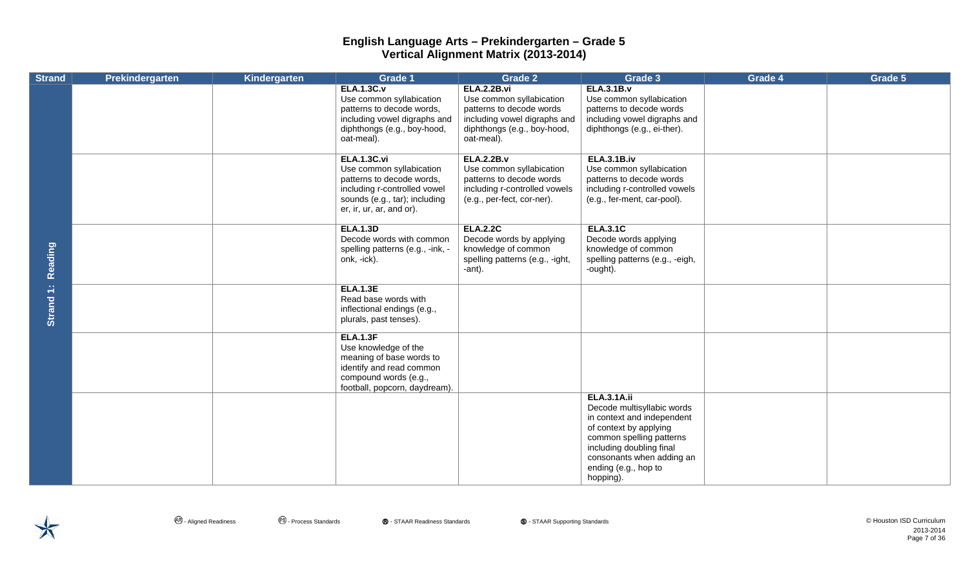| <b>Strand</b> | Prekindergarten | Kindergarten | <b>Grade 1</b>                                                                                                                                                           | <b>Grade 2</b>                                                                                                                                          | Grade 3                                                                                                                                                                                                                            | Grade 4 | Grade 5 |
|---------------|-----------------|--------------|--------------------------------------------------------------------------------------------------------------------------------------------------------------------------|---------------------------------------------------------------------------------------------------------------------------------------------------------|------------------------------------------------------------------------------------------------------------------------------------------------------------------------------------------------------------------------------------|---------|---------|
|               |                 |              | <b>ELA.1.3C.v</b><br>Use common syllabication<br>patterns to decode words,<br>including vowel digraphs and<br>diphthongs (e.g., boy-hood,<br>oat-meal).                  | <b>ELA.2.2B.vi</b><br>Use common syllabication<br>patterns to decode words<br>including vowel digraphs and<br>diphthongs (e.g., boy-hood,<br>oat-meal). | <b>ELA.3.1B.v</b><br>Use common syllabication<br>patterns to decode words<br>including vowel digraphs and<br>diphthongs (e.g., ei-ther).                                                                                           |         |         |
|               |                 |              | <b>ELA.1.3C.vi</b><br>Use common syllabication<br>patterns to decode words,<br>including r-controlled vowel<br>sounds (e.g., tar); including<br>er, ir, ur, ar, and or). | <b>ELA.2.2B.v</b><br>Use common syllabication<br>patterns to decode words<br>including r-controlled vowels<br>(e.g., per-fect, cor-ner).                | <b>ELA.3.1B.iv</b><br>Use common syllabication<br>patterns to decode words<br>including r-controlled vowels<br>(e.g., fer-ment, car-pool).                                                                                         |         |         |
| Reading       |                 |              | <b>ELA.1.3D</b><br>Decode words with common<br>spelling patterns (e.g., -ink, -<br>onk, -ick).                                                                           | <b>ELA.2.2C</b><br>Decode words by applying<br>knowledge of common<br>spelling patterns (e.g., -ight,<br>-ant).                                         | <b>ELA.3.1C</b><br>Decode words applying<br>knowledge of common<br>spelling patterns (e.g., -eigh,<br>-ought).                                                                                                                     |         |         |
| Strand 1:     |                 |              | <b>ELA.1.3E</b><br>Read base words with<br>inflectional endings (e.g.,<br>plurals, past tenses).                                                                         |                                                                                                                                                         |                                                                                                                                                                                                                                    |         |         |
|               |                 |              | <b>ELA.1.3F</b><br>Use knowledge of the<br>meaning of base words to<br>identify and read common<br>compound words (e.g.,<br>football, popcorn, daydream).                |                                                                                                                                                         |                                                                                                                                                                                                                                    |         |         |
|               |                 |              |                                                                                                                                                                          |                                                                                                                                                         | <b>ELA.3.1A.ii</b><br>Decode multisyllabic words<br>in context and independent<br>of context by applying<br>common spelling patterns<br>including doubling final<br>consonants when adding an<br>ending (e.g., hop to<br>hopping). |         |         |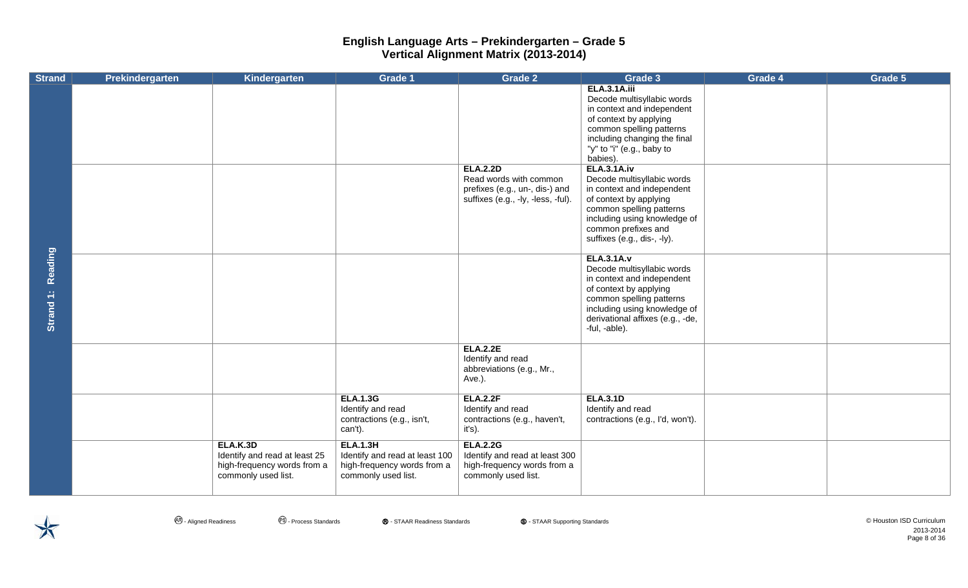| <b>Strand</b>               | <b>Prekindergarten</b> | Kindergarten                                                                                           | Grade 1                                                                                                 | <b>Grade 2</b>                                                                                                    | Grade 3                                                                                                                                                                                                                                                                                                                                                                                                                                                                                                                                                                                                             | Grade 4 | Grade 5 |
|-----------------------------|------------------------|--------------------------------------------------------------------------------------------------------|---------------------------------------------------------------------------------------------------------|-------------------------------------------------------------------------------------------------------------------|---------------------------------------------------------------------------------------------------------------------------------------------------------------------------------------------------------------------------------------------------------------------------------------------------------------------------------------------------------------------------------------------------------------------------------------------------------------------------------------------------------------------------------------------------------------------------------------------------------------------|---------|---------|
| <b>Reading</b><br>Strand 1: |                        |                                                                                                        |                                                                                                         | <b>ELA.2.2D</b><br>Read words with common<br>prefixes (e.g., un-, dis-) and<br>suffixes (e.g., -ly, -less, -ful). | <b>ELA.3.1A.iii</b><br>Decode multisyllabic words<br>in context and independent<br>of context by applying<br>common spelling patterns<br>including changing the final<br>"y" to "i" (e.g., baby to<br>babies).<br><b>ELA.3.1A.iv</b><br>Decode multisyllabic words<br>in context and independent<br>of context by applying<br>common spelling patterns<br>including using knowledge of<br>common prefixes and<br>suffixes (e.g., dis-, -ly).<br><b>ELA.3.1A.v</b><br>Decode multisyllabic words<br>in context and independent<br>of context by applying<br>common spelling patterns<br>including using knowledge of |         |         |
|                             |                        |                                                                                                        |                                                                                                         | <b>ELA.2.2E</b><br>Identify and read                                                                              | derivational affixes (e.g., -de,<br>-ful, -able).                                                                                                                                                                                                                                                                                                                                                                                                                                                                                                                                                                   |         |         |
|                             |                        |                                                                                                        |                                                                                                         | abbreviations (e.g., Mr.,<br>Ave.).                                                                               |                                                                                                                                                                                                                                                                                                                                                                                                                                                                                                                                                                                                                     |         |         |
|                             |                        |                                                                                                        | <b>ELA.1.3G</b><br>Identify and read<br>contractions (e.g., isn't,<br>can't).                           | <b>ELA.2.2F</b><br>Identify and read<br>contractions (e.g., haven't,<br>it's).                                    | <b>ELA.3.1D</b><br>Identify and read<br>contractions (e.g., I'd, won't).                                                                                                                                                                                                                                                                                                                                                                                                                                                                                                                                            |         |         |
|                             |                        | <b>ELA.K.3D</b><br>Identify and read at least 25<br>high-frequency words from a<br>commonly used list. | <b>ELA.1.3H</b><br>Identify and read at least 100<br>high-frequency words from a<br>commonly used list. | <b>ELA.2.2G</b><br>Identify and read at least 300<br>high-frequency words from a<br>commonly used list.           |                                                                                                                                                                                                                                                                                                                                                                                                                                                                                                                                                                                                                     |         |         |



**4**. Aligned Readiness **2** 2 Process Standards **®** - STAAR Readiness Standards **©** - STAAR Supporting Standards **© 1999** - STAAR Supporting Standards and and are expenditum in the standard of the Standard of the Standard 2013-2014 Page 8 of 36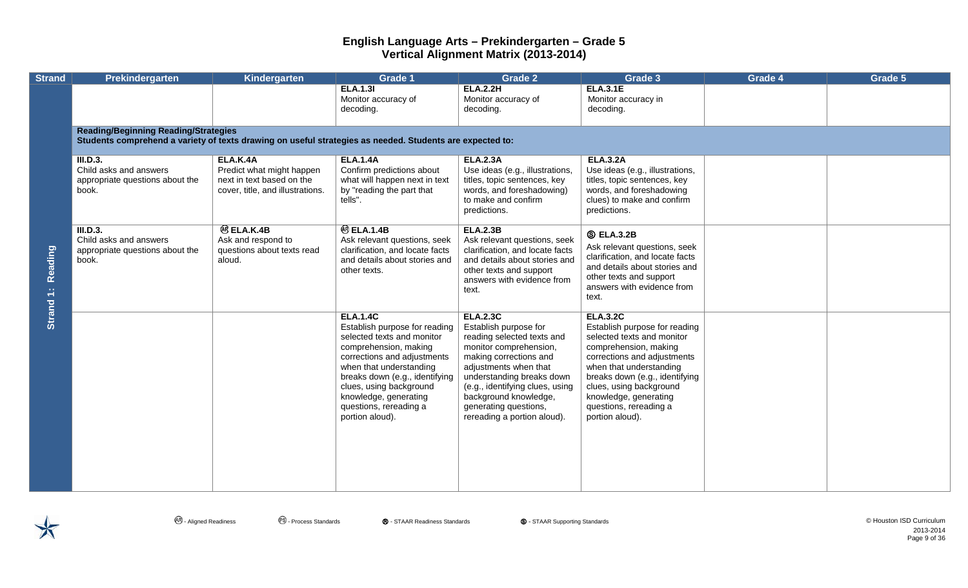| <b>Strand</b>        | Prekindergarten                                                                                                                                         | <b>Kindergarten</b>                                                                                    | <b>Grade 1</b>                                                                                                                                                                                                                                                                                       | <b>Grade 2</b>                                                                                                                                                                                                                                                                                       | Grade 3                                                                                                                                                                                                                                                                                              | Grade 4 | Grade 5 |  |  |  |  |
|----------------------|---------------------------------------------------------------------------------------------------------------------------------------------------------|--------------------------------------------------------------------------------------------------------|------------------------------------------------------------------------------------------------------------------------------------------------------------------------------------------------------------------------------------------------------------------------------------------------------|------------------------------------------------------------------------------------------------------------------------------------------------------------------------------------------------------------------------------------------------------------------------------------------------------|------------------------------------------------------------------------------------------------------------------------------------------------------------------------------------------------------------------------------------------------------------------------------------------------------|---------|---------|--|--|--|--|
|                      |                                                                                                                                                         |                                                                                                        | <b>ELA.1.31</b><br>Monitor accuracy of<br>decoding.                                                                                                                                                                                                                                                  | <b>ELA.2.2H</b><br>Monitor accuracy of<br>decoding.                                                                                                                                                                                                                                                  | <b>ELA.3.1E</b><br>Monitor accuracy in<br>decoding.                                                                                                                                                                                                                                                  |         |         |  |  |  |  |
|                      | <b>Reading/Beginning Reading/Strategies</b><br>Students comprehend a variety of texts drawing on useful strategies as needed. Students are expected to: |                                                                                                        |                                                                                                                                                                                                                                                                                                      |                                                                                                                                                                                                                                                                                                      |                                                                                                                                                                                                                                                                                                      |         |         |  |  |  |  |
| Reading<br>Strand 1: | III.D.3.<br>Child asks and answers<br>appropriate questions about the<br>book.                                                                          | ELA.K.4A<br>Predict what might happen<br>next in text based on the<br>cover, title, and illustrations. | <b>ELA.1.4A</b><br>Confirm predictions about<br>what will happen next in text<br>by "reading the part that<br>tells".                                                                                                                                                                                | <b>ELA.2.3A</b><br>Use ideas (e.g., illustrations,<br>titles, topic sentences, key<br>words, and foreshadowing)<br>to make and confirm<br>predictions.                                                                                                                                               | <b>ELA.3.2A</b><br>Use ideas (e.g., illustrations,<br>titles, topic sentences, key<br>words, and foreshadowing<br>clues) to make and confirm<br>predictions.                                                                                                                                         |         |         |  |  |  |  |
|                      | <b>III.D.3.</b><br>Child asks and answers<br>appropriate questions about the<br>book.                                                                   | <b>@ELA.K.4B</b><br>Ask and respond to<br>questions about texts read<br>aloud.                         | <b>@ ELA.1.4B</b><br>Ask relevant questions, seek<br>clarification, and locate facts<br>and details about stories and<br>other texts.                                                                                                                                                                | <b>ELA.2.3B</b><br>Ask relevant questions, seek<br>clarification, and locate facts<br>and details about stories and<br>other texts and support<br>answers with evidence from<br>text.                                                                                                                | <b>S ELA.3.2B</b><br>Ask relevant questions, seek<br>clarification, and locate facts<br>and details about stories and<br>other texts and support<br>answers with evidence from<br>text.                                                                                                              |         |         |  |  |  |  |
|                      |                                                                                                                                                         |                                                                                                        | <b>ELA.1.4C</b><br>Establish purpose for reading<br>selected texts and monitor<br>comprehension, making<br>corrections and adjustments<br>when that understanding<br>breaks down (e.g., identifying<br>clues, using background<br>knowledge, generating<br>questions, rereading a<br>portion aloud). | <b>ELA.2.3C</b><br>Establish purpose for<br>reading selected texts and<br>monitor comprehension,<br>making corrections and<br>adjustments when that<br>understanding breaks down<br>(e.g., identifying clues, using<br>background knowledge,<br>generating questions,<br>rereading a portion aloud). | <b>ELA.3.2C</b><br>Establish purpose for reading<br>selected texts and monitor<br>comprehension, making<br>corrections and adjustments<br>when that understanding<br>breaks down (e.g., identifying<br>clues, using background<br>knowledge, generating<br>questions, rereading a<br>portion aloud). |         |         |  |  |  |  |

**4**. Aligned Readiness **2** Process Standards **®** - STAAR Readiness Standards **©** - STAAR Supporting Standards **© - STAAR Supporting Standards © Houston ISD Curriculum** 2013-2014 Page 9 of 36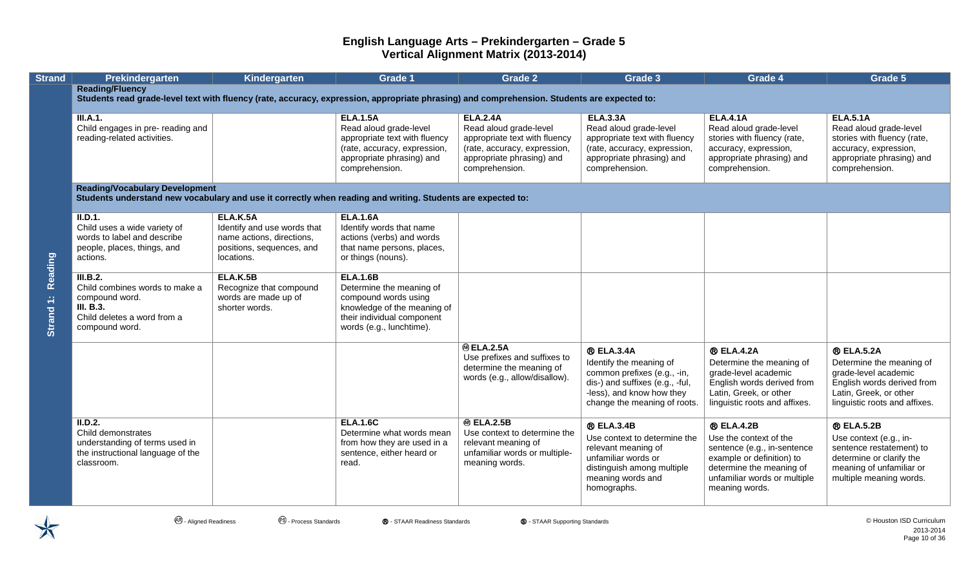| <b>Strand</b>        | Prekindergarten                                                                                                                                                       | Kindergarten                                                                                                    | <b>Grade 1</b>                                                                                                                                               | <b>Grade 2</b>                                                                                                                                            | Grade 3                                                                                                                                                                     | Grade 4                                                                                                                                                                               | Grade 5                                                                                                                                                        |  |  |  |
|----------------------|-----------------------------------------------------------------------------------------------------------------------------------------------------------------------|-----------------------------------------------------------------------------------------------------------------|--------------------------------------------------------------------------------------------------------------------------------------------------------------|-----------------------------------------------------------------------------------------------------------------------------------------------------------|-----------------------------------------------------------------------------------------------------------------------------------------------------------------------------|---------------------------------------------------------------------------------------------------------------------------------------------------------------------------------------|----------------------------------------------------------------------------------------------------------------------------------------------------------------|--|--|--|
|                      | <b>Reading/Fluency</b><br>Students read grade-level text with fluency (rate, accuracy, expression, appropriate phrasing) and comprehension. Students are expected to: |                                                                                                                 |                                                                                                                                                              |                                                                                                                                                           |                                                                                                                                                                             |                                                                                                                                                                                       |                                                                                                                                                                |  |  |  |
|                      | <b>III.A.1.</b><br>Child engages in pre- reading and<br>reading-related activities.                                                                                   |                                                                                                                 | <b>ELA.1.5A</b><br>Read aloud grade-level<br>appropriate text with fluency<br>(rate, accuracy, expression,<br>appropriate phrasing) and<br>comprehension.    | <b>ELA.2.4A</b><br>Read aloud grade-level<br>appropriate text with fluency<br>(rate, accuracy, expression,<br>appropriate phrasing) and<br>comprehension. | <b>ELA.3.3A</b><br>Read aloud grade-level<br>appropriate text with fluency<br>(rate, accuracy, expression,<br>appropriate phrasing) and<br>comprehension.                   | <b>ELA.4.1A</b><br>Read aloud grade-level<br>stories with fluency (rate,<br>accuracy, expression,<br>appropriate phrasing) and<br>comprehension.                                      | <b>ELA.5.1A</b><br>Read aloud grade-level<br>stories with fluency (rate,<br>accuracy, expression,<br>appropriate phrasing) and<br>comprehension.               |  |  |  |
|                      | <b>Reading/Vocabulary Development</b><br>Students understand new vocabulary and use it correctly when reading and writing. Students are expected to:                  |                                                                                                                 |                                                                                                                                                              |                                                                                                                                                           |                                                                                                                                                                             |                                                                                                                                                                                       |                                                                                                                                                                |  |  |  |
| Reading<br>Strand 1: | II.D.1.<br>Child uses a wide variety of<br>words to label and describe<br>people, places, things, and<br>actions.                                                     | ELA.K.5A<br>Identify and use words that<br>name actions, directions,<br>positions, sequences, and<br>locations. | <b>ELA.1.6A</b><br>Identify words that name<br>actions (verbs) and words<br>that name persons, places,<br>or things (nouns).                                 |                                                                                                                                                           |                                                                                                                                                                             |                                                                                                                                                                                       |                                                                                                                                                                |  |  |  |
|                      | III.B.2.<br>Child combines words to make a<br>compound word.<br>III. B.3.<br>Child deletes a word from a<br>compound word.                                            | <b>ELA.K.5B</b><br>Recognize that compound<br>words are made up of<br>shorter words.                            | <b>ELA.1.6B</b><br>Determine the meaning of<br>compound words using<br>knowledge of the meaning of<br>their individual component<br>words (e.g., lunchtime). |                                                                                                                                                           |                                                                                                                                                                             |                                                                                                                                                                                       |                                                                                                                                                                |  |  |  |
|                      |                                                                                                                                                                       |                                                                                                                 |                                                                                                                                                              | <b>@ELA.2.5A</b><br>Use prefixes and suffixes to<br>determine the meaning of<br>words (e.g., allow/disallow).                                             | <b>® ELA.3.4A</b><br>Identify the meaning of<br>common prefixes (e.g., -in,<br>dis-) and suffixes (e.g., -ful,<br>-less), and know how they<br>change the meaning of roots. | <b>® ELA.4.2A</b><br>Determine the meaning of<br>grade-level academic<br>English words derived from<br>Latin, Greek, or other<br>linguistic roots and affixes.                        | <b>® ELA.5.2A</b><br>Determine the meaning of<br>grade-level academic<br>English words derived from<br>Latin, Greek, or other<br>linguistic roots and affixes. |  |  |  |
|                      | II.D.2.<br>Child demonstrates<br>understanding of terms used in<br>the instructional language of the<br>classroom.                                                    |                                                                                                                 | <b>ELA.1.6C</b><br>Determine what words mean<br>from how they are used in a<br>sentence, either heard or<br>read.                                            | <b>@ ELA.2.5B</b><br>Use context to determine the<br>relevant meaning of<br>unfamiliar words or multiple-<br>meaning words.                               | <b>® ELA.3.4B</b><br>Use context to determine the<br>relevant meaning of<br>unfamiliar words or<br>distinguish among multiple<br>meaning words and<br>homographs.           | <b>® ELA.4.2B</b><br>Use the context of the<br>sentence (e.g., in-sentence<br>example or definition) to<br>determine the meaning of<br>unfamiliar words or multiple<br>meaning words. | <b>® ELA.5.2B</b><br>Use context (e.g., in-<br>sentence restatement) to<br>determine or clarify the<br>meaning of unfamiliar or<br>multiple meaning words.     |  |  |  |

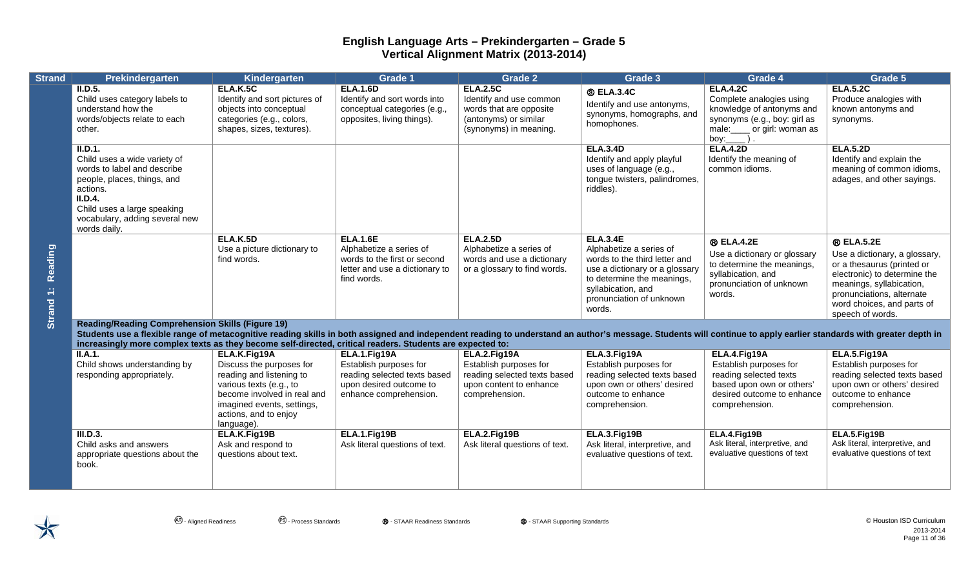| <b>Strand</b>        | Prekindergarten                                                                                                                                                                                                                                                                                                                                                                           | Kindergarten                                                                                                                                                                                        | <b>Grade 1</b>                                                                                                              | <b>Grade 2</b>                                                                                                           | Grade 3                                                                                                                                                                                                 | Grade 4                                                                                                                                                        | Grade 5                                                                                                                                                                                                                     |  |  |
|----------------------|-------------------------------------------------------------------------------------------------------------------------------------------------------------------------------------------------------------------------------------------------------------------------------------------------------------------------------------------------------------------------------------------|-----------------------------------------------------------------------------------------------------------------------------------------------------------------------------------------------------|-----------------------------------------------------------------------------------------------------------------------------|--------------------------------------------------------------------------------------------------------------------------|---------------------------------------------------------------------------------------------------------------------------------------------------------------------------------------------------------|----------------------------------------------------------------------------------------------------------------------------------------------------------------|-----------------------------------------------------------------------------------------------------------------------------------------------------------------------------------------------------------------------------|--|--|
| Reading<br>Strand 1: | ILD.5.<br>Child uses category labels to<br>understand how the<br>words/objects relate to each<br>other.                                                                                                                                                                                                                                                                                   | <b>ELA.K.5C</b><br>Identify and sort pictures of<br>objects into conceptual<br>categories (e.g., colors,<br>shapes, sizes, textures).                                                               | <b>ELA.1.6D</b><br>Identify and sort words into<br>conceptual categories (e.g.,<br>opposites, living things).               | <b>ELA.2.5C</b><br>Identify and use common<br>words that are opposite<br>(antonyms) or similar<br>(synonyms) in meaning. | <b>S ELA.3.4C</b><br>Identify and use antonyms,<br>synonyms, homographs, and<br>homophones.                                                                                                             | <b>ELA.4.2C</b><br>Complete analogies using<br>knowledge of antonyms and<br>synonyms (e.g., boy: girl as<br>male: _____ or girl: woman as<br>boy: $\_\_\_\$ ). | <b>ELA.5.2C</b><br>Produce analogies with<br>known antonyms and<br>synonyms.                                                                                                                                                |  |  |
|                      | II.D.1.<br>Child uses a wide variety of<br>words to label and describe<br>people, places, things, and<br>actions.<br>II.D.4.<br>Child uses a large speaking<br>vocabulary, adding several new<br>words daily.                                                                                                                                                                             |                                                                                                                                                                                                     |                                                                                                                             |                                                                                                                          | <b>ELA.3.4D</b><br>Identify and apply playful<br>uses of language (e.g.,<br>tongue twisters, palindromes,<br>riddles).                                                                                  | <b>ELA.4.2D</b><br>Identify the meaning of<br>common idioms.                                                                                                   | <b>ELA.5.2D</b><br>Identify and explain the<br>meaning of common idioms,<br>adages, and other sayings.                                                                                                                      |  |  |
|                      |                                                                                                                                                                                                                                                                                                                                                                                           | <b>ELA.K.5D</b><br>Use a picture dictionary to<br>find words.                                                                                                                                       | <b>ELA.1.6E</b><br>Alphabetize a series of<br>words to the first or second<br>letter and use a dictionary to<br>find words. | <b>ELA.2.5D</b><br>Alphabetize a series of<br>words and use a dictionary<br>or a glossary to find words.                 | <b>ELA.3.4E</b><br>Alphabetize a series of<br>words to the third letter and<br>use a dictionary or a glossary<br>to determine the meanings,<br>syllabication, and<br>pronunciation of unknown<br>words. | <b>® ELA.4.2E</b><br>Use a dictionary or glossary<br>to determine the meanings,<br>syllabication, and<br>pronunciation of unknown<br>words.                    | <b>® ELA.5.2E</b><br>Use a dictionary, a glossary,<br>or a thesaurus (printed or<br>electronic) to determine the<br>meanings, syllabication,<br>pronunciations, alternate<br>word choices, and parts of<br>speech of words. |  |  |
|                      | <b>Reading/Reading Comprehension Skills (Figure 19)</b><br>Students use a flexible range of metacognitive reading skills in both assigned and independent reading to understand an author's message. Students will continue to apply earlier standards with greater depth in<br>increasingly more complex texts as they become self-directed, critical readers. Students are expected to: |                                                                                                                                                                                                     |                                                                                                                             |                                                                                                                          |                                                                                                                                                                                                         |                                                                                                                                                                |                                                                                                                                                                                                                             |  |  |
|                      | II.A.1.<br>Child shows understanding by<br>responding appropriately.                                                                                                                                                                                                                                                                                                                      | ELA.K.Fig19A<br>Discuss the purposes for<br>reading and listening to<br>various texts (e.g., to<br>become involved in real and<br>imagined events, settings,<br>actions, and to enjoy<br>language). | ELA.1.Fig19A<br>Establish purposes for<br>reading selected texts based<br>upon desired outcome to<br>enhance comprehension. | ELA.2.Fig19A<br>Establish purposes for<br>reading selected texts based<br>upon content to enhance<br>comprehension.      | ELA.3.Fig19A<br>Establish purposes for<br>reading selected texts based<br>upon own or others' desired<br>outcome to enhance<br>comprehension.                                                           | ELA.4.Fig19A<br>Establish purposes for<br>reading selected texts<br>based upon own or others'<br>desired outcome to enhance<br>comprehension.                  | ELA.5.Fig19A<br>Establish purposes for<br>reading selected texts based<br>upon own or others' desired<br>outcome to enhance<br>comprehension.                                                                               |  |  |
|                      | III.D.3.<br>Child asks and answers<br>appropriate questions about the<br>book.                                                                                                                                                                                                                                                                                                            | ELA.K.Fig19B<br>Ask and respond to<br>questions about text.                                                                                                                                         | ELA.1.Fig19B<br>Ask literal questions of text.                                                                              | ELA.2.Fig19B<br>Ask literal questions of text.                                                                           | ELA.3.Fig19B<br>Ask literal, interpretive, and<br>evaluative questions of text.                                                                                                                         | ELA.4.Fig19B<br>Ask literal, interpretive, and<br>evaluative questions of text                                                                                 | ELA.5.Fig19B<br>Ask literal, interpretive, and<br>evaluative questions of text                                                                                                                                              |  |  |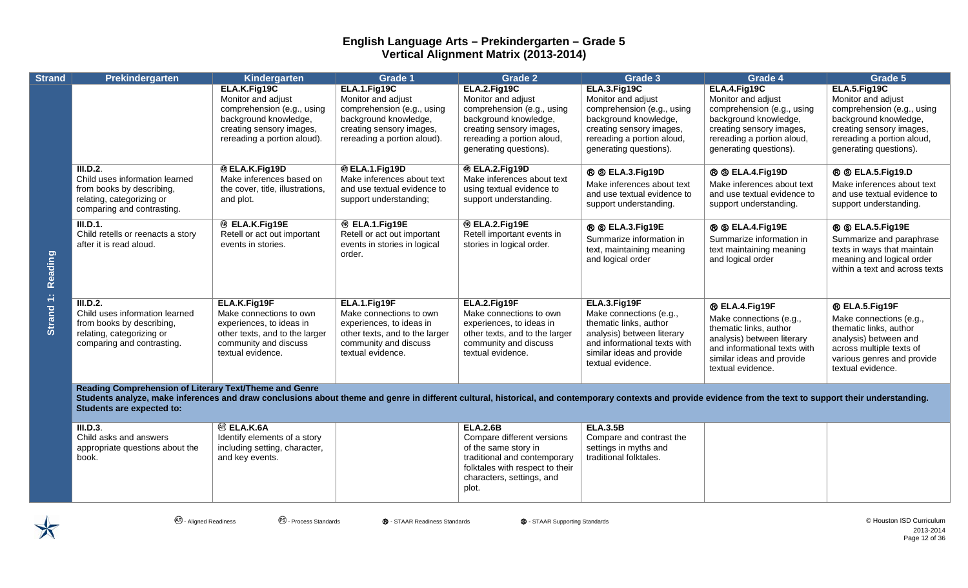| <b>Strand</b> | Prekindergarten                                                                                                                                                                                                                                                                                            | Kindergarten                                                                                                                                         | Grade 1                                                                                                                                              | <b>Grade 2</b>                                                                                                                                                                 | Grade 3                                                                                                                                                                           | Grade 4                                                                                                                                                                             | Grade 5                                                                                                                                                                       |
|---------------|------------------------------------------------------------------------------------------------------------------------------------------------------------------------------------------------------------------------------------------------------------------------------------------------------------|------------------------------------------------------------------------------------------------------------------------------------------------------|------------------------------------------------------------------------------------------------------------------------------------------------------|--------------------------------------------------------------------------------------------------------------------------------------------------------------------------------|-----------------------------------------------------------------------------------------------------------------------------------------------------------------------------------|-------------------------------------------------------------------------------------------------------------------------------------------------------------------------------------|-------------------------------------------------------------------------------------------------------------------------------------------------------------------------------|
|               |                                                                                                                                                                                                                                                                                                            | ELA.K.Fig19C<br>Monitor and adjust<br>comprehension (e.g., using<br>background knowledge,<br>creating sensory images,<br>rereading a portion aloud). | ELA.1.Fig19C<br>Monitor and adjust<br>comprehension (e.g., using<br>background knowledge,<br>creating sensory images,<br>rereading a portion aloud). | ELA.2.Fig19C<br>Monitor and adjust<br>comprehension (e.g., using<br>background knowledge,<br>creating sensory images,<br>rereading a portion aloud,<br>generating questions).  | ELA.3.Fig19C<br>Monitor and adjust<br>comprehension (e.g., using<br>background knowledge,<br>creating sensory images,<br>rereading a portion aloud,<br>generating questions).     | ELA.4.Fig19C<br>Monitor and adjust<br>comprehension (e.g., using<br>background knowledge,<br>creating sensory images,<br>rereading a portion aloud,<br>generating questions).       | ELA.5.Fig19C<br>Monitor and adjust<br>comprehension (e.g., using<br>background knowledge,<br>creating sensory images,<br>rereading a portion aloud,<br>generating questions). |
|               | III.D.2.<br>Child uses information learned<br>from books by describing,<br>relating, categorizing or<br>comparing and contrasting.                                                                                                                                                                         | <b>® ELA.K.Fig19D</b><br>Make inferences based on<br>the cover, title, illustrations,<br>and plot.                                                   | ® ELA.1.Fig19D<br>Make inferences about text<br>and use textual evidence to<br>support understanding;                                                | <sup>®</sup> ELA.2.Fig19D<br>Make inferences about text<br>using textual evidence to<br>support understanding.                                                                 | <b>® © ELA.3.Fig19D</b><br>Make inferences about text<br>and use textual evidence to<br>support understanding.                                                                    | <b>® © ELA.4.Fig19D</b><br>Make inferences about text<br>and use textual evidence to<br>support understanding.                                                                      | <b>® © ELA.5.Fig19.D</b><br>Make inferences about text<br>and use textual evidence to<br>support understanding.                                                               |
| Reading       | III.D.1.<br>Child retells or reenacts a story<br>after it is read aloud.                                                                                                                                                                                                                                   | <sup>®</sup> ELA.K.Fig19E<br>Retell or act out important<br>events in stories.                                                                       | <sup>®</sup> ELA.1.Fig19E<br>Retell or act out important<br>events in stories in logical<br>order.                                                   | <sup>®</sup> ELA.2.Fig19E<br>Retell important events in<br>stories in logical order.                                                                                           | ® S ELA.3.Fig19E<br>Summarize information in<br>text, maintaining meaning<br>and logical order                                                                                    | ® S ELA.4.Fig19E<br>Summarize information in<br>text maintaining meaning<br>and logical order                                                                                       | <b>® © ELA.5.Fig19E</b><br>Summarize and paraphrase<br>texts in ways that maintain<br>meaning and logical order<br>within a text and across texts                             |
| Strand 1:     | III.D.2.<br>Child uses information learned<br>from books by describing,<br>relating, categorizing or<br>comparing and contrasting.                                                                                                                                                                         | ELA.K.Fig19F<br>Make connections to own<br>experiences, to ideas in<br>other texts, and to the larger<br>community and discuss<br>textual evidence.  | ELA.1.Fig19F<br>Make connections to own<br>experiences, to ideas in<br>other texts, and to the larger<br>community and discuss<br>textual evidence.  | ELA.2.Fig19F<br>Make connections to own<br>experiences, to ideas in<br>other texts, and to the larger<br>community and discuss<br>textual evidence.                            | ELA.3.Fig19F<br>Make connections (e.g.,<br>thematic links, author<br>analysis) between literary<br>and informational texts with<br>similar ideas and provide<br>textual evidence. | ® ELA.4.Fig19F<br>Make connections (e.g.,<br>thematic links, author<br>analysis) between literary<br>and informational texts with<br>similar ideas and provide<br>textual evidence. | ® ELA.5.Fig19F<br>Make connections (e.g.,<br>thematic links, author<br>analysis) between and<br>across multiple texts of<br>various genres and provide<br>textual evidence.   |
|               | Reading Comprehension of Literary Text/Theme and Genre<br>Students analyze, make inferences and draw conclusions about theme and genre in different cultural, historical, and contemporary contexts and provide evidence from the text to support their understanding.<br><b>Students are expected to:</b> |                                                                                                                                                      |                                                                                                                                                      |                                                                                                                                                                                |                                                                                                                                                                                   |                                                                                                                                                                                     |                                                                                                                                                                               |
|               | III.D.3.<br>Child asks and answers<br>appropriate questions about the<br>book.                                                                                                                                                                                                                             | <sup>®</sup> ELA.K.6A<br>Identify elements of a story<br>including setting, character,<br>and key events.                                            |                                                                                                                                                      | <b>ELA.2.6B</b><br>Compare different versions<br>of the same story in<br>traditional and contemporary<br>folktales with respect to their<br>characters, settings, and<br>plot. | <b>ELA.3.5B</b><br>Compare and contrast the<br>settings in myths and<br>traditional folktales.                                                                                    |                                                                                                                                                                                     |                                                                                                                                                                               |



**4**. Aligned Readiness **2** 2 Process Standards **®** - STAAR Readiness Standards **©** - STAAR Supporting Standards **© 1999** - STAAR Supporting Standards and and are expenditum in the standard of the Standard of the Standard 2013-2014 Page 12 of 36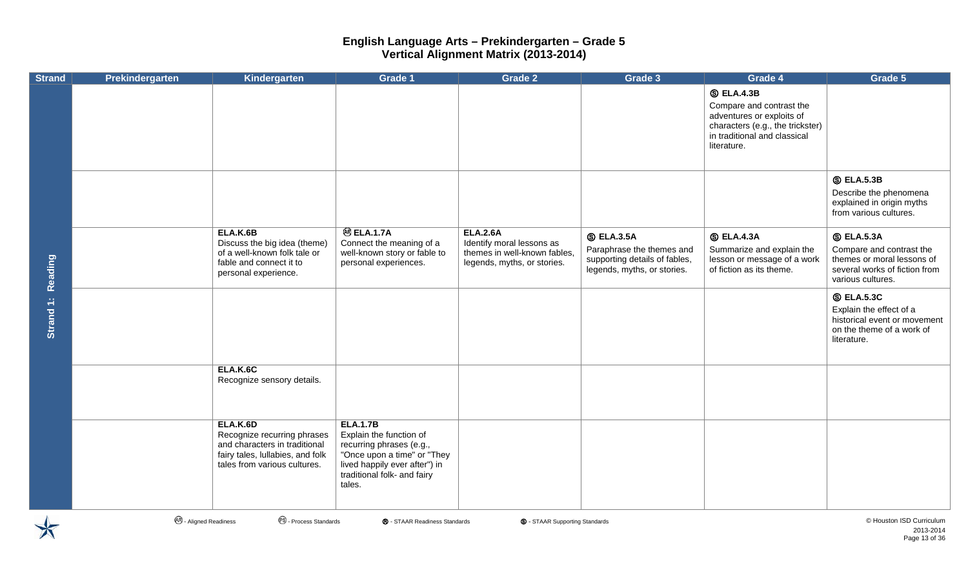| <b>Strand</b> | Prekindergarten | Kindergarten                                                                                                                                 | Grade 1                                                                                                                                                                         | <b>Grade 2</b>                                                                                              | Grade 3                                                                                                        | Grade 4                                                                                                                                                       | Grade 5                                                                                                                           |
|---------------|-----------------|----------------------------------------------------------------------------------------------------------------------------------------------|---------------------------------------------------------------------------------------------------------------------------------------------------------------------------------|-------------------------------------------------------------------------------------------------------------|----------------------------------------------------------------------------------------------------------------|---------------------------------------------------------------------------------------------------------------------------------------------------------------|-----------------------------------------------------------------------------------------------------------------------------------|
|               |                 |                                                                                                                                              |                                                                                                                                                                                 |                                                                                                             |                                                                                                                | <b>S</b> ELA.4.3B<br>Compare and contrast the<br>adventures or exploits of<br>characters (e.g., the trickster)<br>in traditional and classical<br>literature. |                                                                                                                                   |
|               |                 |                                                                                                                                              |                                                                                                                                                                                 |                                                                                                             |                                                                                                                |                                                                                                                                                               | <b>S ELA.5.3B</b><br>Describe the phenomena<br>explained in origin myths<br>from various cultures.                                |
| Reading       |                 | ELA.K.6B<br>Discuss the big idea (theme)<br>of a well-known folk tale or<br>fable and connect it to<br>personal experience.                  | <b>@ELA.1.7A</b><br>Connect the meaning of a<br>well-known story or fable to<br>personal experiences.                                                                           | <b>ELA.2.6A</b><br>Identify moral lessons as<br>themes in well-known fables,<br>legends, myths, or stories. | <b>S ELA.3.5A</b><br>Paraphrase the themes and<br>supporting details of fables,<br>legends, myths, or stories. | <b>S</b> ELA.4.3A<br>Summarize and explain the<br>lesson or message of a work<br>of fiction as its theme.                                                     | <b>S</b> ELA.5.3A<br>Compare and contrast the<br>themes or moral lessons of<br>several works of fiction from<br>various cultures. |
| Strand 1:     |                 |                                                                                                                                              |                                                                                                                                                                                 |                                                                                                             |                                                                                                                |                                                                                                                                                               | <b>S ELA.5.3C</b><br>Explain the effect of a<br>historical event or movement<br>on the theme of a work of<br>literature.          |
|               |                 | ELA.K.6C<br>Recognize sensory details.                                                                                                       |                                                                                                                                                                                 |                                                                                                             |                                                                                                                |                                                                                                                                                               |                                                                                                                                   |
|               |                 | ELA.K.6D<br>Recognize recurring phrases<br>and characters in traditional<br>fairy tales, lullabies, and folk<br>tales from various cultures. | <b>ELA.1.7B</b><br>Explain the function of<br>recurring phrases (e.g.,<br>"Once upon a time" or "They<br>lived happily ever after") in<br>traditional folk- and fairy<br>tales. |                                                                                                             |                                                                                                                |                                                                                                                                                               |                                                                                                                                   |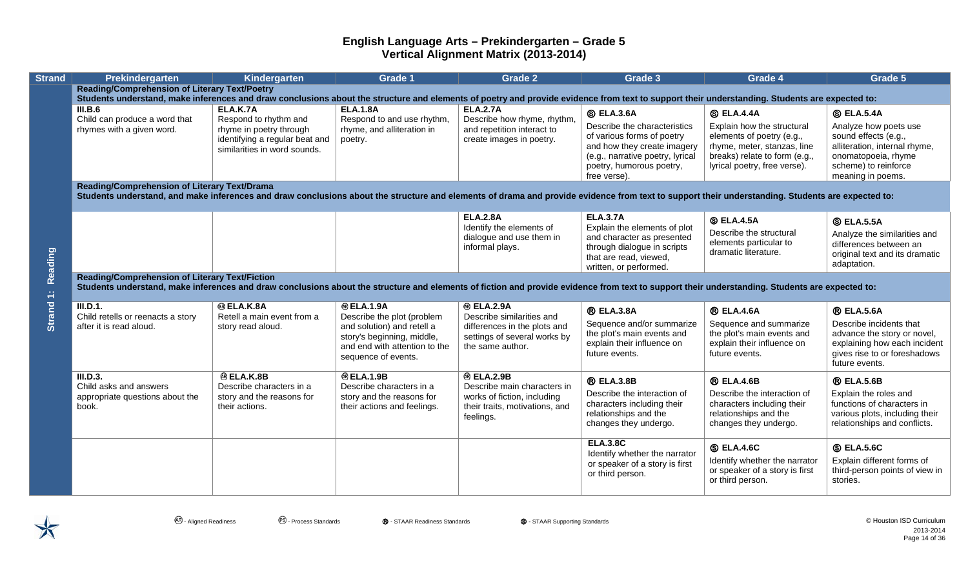| <b>Strand</b> | Prekindergarten                                                                                                                                                                                                                                         | Kindergarten                                                                                                                   | <b>Grade 1</b>                                                                                                                                                     | <b>Grade 2</b>                                                                                                                     | Grade 3                                                                                                                                                                                        | Grade 4                                                                                                                                                                      | Grade 5                                                                                                                                                                 |  |  |  |  |
|---------------|---------------------------------------------------------------------------------------------------------------------------------------------------------------------------------------------------------------------------------------------------------|--------------------------------------------------------------------------------------------------------------------------------|--------------------------------------------------------------------------------------------------------------------------------------------------------------------|------------------------------------------------------------------------------------------------------------------------------------|------------------------------------------------------------------------------------------------------------------------------------------------------------------------------------------------|------------------------------------------------------------------------------------------------------------------------------------------------------------------------------|-------------------------------------------------------------------------------------------------------------------------------------------------------------------------|--|--|--|--|
|               | <b>Reading/Comprehension of Literary Text/Poetry</b><br>Students understand, make inferences and draw conclusions about the structure and elements of poetry and provide evidence from text to support their understanding. Students are expected to:   |                                                                                                                                |                                                                                                                                                                    |                                                                                                                                    |                                                                                                                                                                                                |                                                                                                                                                                              |                                                                                                                                                                         |  |  |  |  |
|               | III.B.6<br>Child can produce a word that<br>rhymes with a given word.                                                                                                                                                                                   | ELA.K.7A<br>Respond to rhythm and<br>rhyme in poetry through<br>identifying a regular beat and<br>similarities in word sounds. | <b>ELA.1.8A</b><br>Respond to and use rhythm,<br>rhyme, and alliteration in<br>poetry.                                                                             | <b>ELA.2.7A</b><br>Describe how rhyme, rhythm,<br>and repetition interact to<br>create images in poetry.                           | <b>S ELA.3.6A</b><br>Describe the characteristics<br>of various forms of poetry<br>and how they create imagery<br>(e.g., narrative poetry, lyrical<br>poetry, humorous poetry,<br>free verse). | <b>S ELA.4.4A</b><br>Explain how the structural<br>elements of poetry (e.g.,<br>rhyme, meter, stanzas, line<br>breaks) relate to form (e.g.,<br>lyrical poetry, free verse). | <b>S ELA.5.4A</b><br>Analyze how poets use<br>sound effects (e.g.,<br>alliteration, internal rhyme,<br>onomatopoeia, rhyme<br>scheme) to reinforce<br>meaning in poems. |  |  |  |  |
|               | Reading/Comprehension of Literary Text/Drama<br>Students understand, and make inferences and draw conclusions about the structure and elements of drama and provide evidence from text to support their understanding. Students are expected to:        |                                                                                                                                |                                                                                                                                                                    |                                                                                                                                    |                                                                                                                                                                                                |                                                                                                                                                                              |                                                                                                                                                                         |  |  |  |  |
| Reading       |                                                                                                                                                                                                                                                         |                                                                                                                                |                                                                                                                                                                    | <b>ELA.2.8A</b><br>Identify the elements of<br>dialogue and use them in<br>informal plays.                                         | <b>ELA.3.7A</b><br>Explain the elements of plot<br>and character as presented<br>through dialogue in scripts<br>that are read, viewed,<br>written, or performed.                               | <b>S ELA.4.5A</b><br>Describe the structural<br>elements particular to<br>dramatic literature.                                                                               | <b>S ELA.5.5A</b><br>Analyze the similarities and<br>differences between an<br>original text and its dramatic<br>adaptation.                                            |  |  |  |  |
|               | <b>Reading/Comprehension of Literary Text/Fiction</b><br>Students understand, make inferences and draw conclusions about the structure and elements of fiction and provide evidence from text to support their understanding. Students are expected to: |                                                                                                                                |                                                                                                                                                                    |                                                                                                                                    |                                                                                                                                                                                                |                                                                                                                                                                              |                                                                                                                                                                         |  |  |  |  |
| Strand 1:     | III.D.1.<br>Child retells or reenacts a story<br>after it is read aloud.                                                                                                                                                                                | <b>® ELA.K.8A</b><br>Retell a main event from a<br>story read aloud.                                                           | <b>@ELA.1.9A</b><br>Describe the plot (problem<br>and solution) and retell a<br>story's beginning, middle,<br>and end with attention to the<br>sequence of events. | <b>® ELA.2.9A</b><br>Describe similarities and<br>differences in the plots and<br>settings of several works by<br>the same author. | <b>® ELA.3.8A</b><br>Sequence and/or summarize<br>the plot's main events and<br>explain their influence on<br>future events.                                                                   | <b>® ELA.4.6A</b><br>Sequence and summarize<br>the plot's main events and<br>explain their influence on<br>future events.                                                    | <b>® ELA.5.6A</b><br>Describe incidents that<br>advance the story or novel,<br>explaining how each incident<br>gives rise to or foreshadows<br>future events.           |  |  |  |  |
|               | III.D.3.<br>Child asks and answers<br>appropriate questions about the<br>book.                                                                                                                                                                          | <b>@ELA.K.8B</b><br>Describe characters in a<br>story and the reasons for<br>their actions.                                    | <b>@ELA.1.9B</b><br>Describe characters in a<br>story and the reasons for<br>their actions and feelings.                                                           | <b>® ELA.2.9B</b><br>Describe main characters in<br>works of fiction, including<br>their traits, motivations, and<br>feelings.     | <b>R</b> ELA.3.8B<br>Describe the interaction of<br>characters including their<br>relationships and the<br>changes they undergo.                                                               | <b>® ELA.4.6B</b><br>Describe the interaction of<br>characters including their<br>relationships and the<br>changes they undergo.                                             | <b>® ELA.5.6B</b><br>Explain the roles and<br>functions of characters in<br>various plots, including their<br>relationships and conflicts.                              |  |  |  |  |
|               |                                                                                                                                                                                                                                                         |                                                                                                                                |                                                                                                                                                                    |                                                                                                                                    | <b>ELA.3.8C</b><br>Identify whether the narrator<br>or speaker of a story is first<br>or third person.                                                                                         | <b>S ELA.4.6C</b><br>Identify whether the narrator<br>or speaker of a story is first<br>or third person.                                                                     | <b>S ELA.5.6C</b><br>Explain different forms of<br>third-person points of view in<br>stories.                                                                           |  |  |  |  |

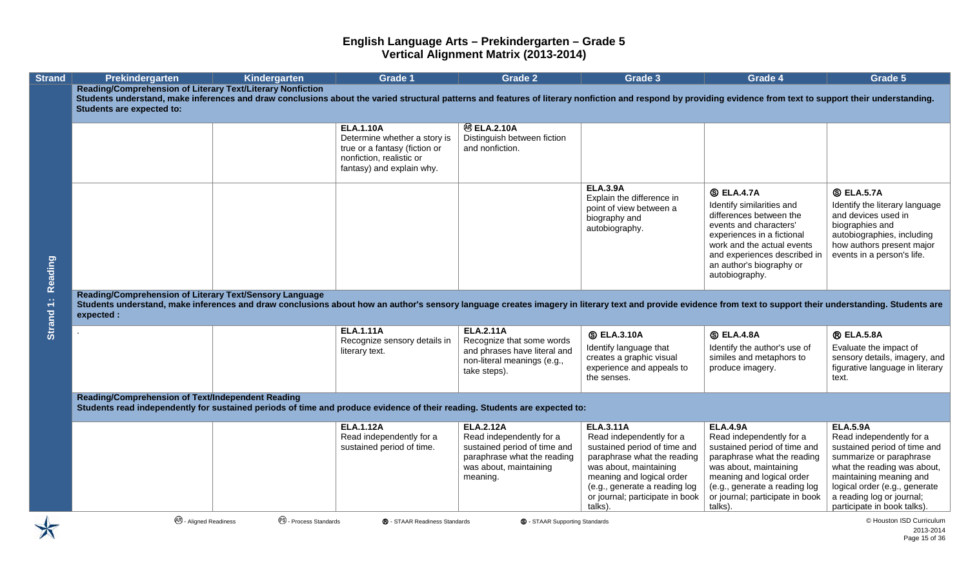| <b>Strand</b>        | Prekindergarten                                                                                                                                                                                                                                                                                                         | Kindergarten                      | <b>Grade 1</b>                                                                                                                             | <b>Grade 2</b>                                                                                                                                    | Grade 3                                                                                                                                                                                                                                           | Grade 4                                                                                                                                                                                                                                          | Grade 5                                                                                                                                                                                                                                                       |
|----------------------|-------------------------------------------------------------------------------------------------------------------------------------------------------------------------------------------------------------------------------------------------------------------------------------------------------------------------|-----------------------------------|--------------------------------------------------------------------------------------------------------------------------------------------|---------------------------------------------------------------------------------------------------------------------------------------------------|---------------------------------------------------------------------------------------------------------------------------------------------------------------------------------------------------------------------------------------------------|--------------------------------------------------------------------------------------------------------------------------------------------------------------------------------------------------------------------------------------------------|---------------------------------------------------------------------------------------------------------------------------------------------------------------------------------------------------------------------------------------------------------------|
|                      | <b>Reading/Comprehension of Literary Text/Literary Nonfiction</b><br>Students understand, make inferences and draw conclusions about the varied structural patterns and features of literary nonfiction and respond by providing evidence from text to support their understanding.<br><b>Students are expected to:</b> |                                   |                                                                                                                                            |                                                                                                                                                   |                                                                                                                                                                                                                                                   |                                                                                                                                                                                                                                                  |                                                                                                                                                                                                                                                               |
|                      |                                                                                                                                                                                                                                                                                                                         |                                   | <b>ELA.1.10A</b><br>Determine whether a story is<br>true or a fantasy (fiction or<br>nonfiction, realistic or<br>fantasy) and explain why. | <b>@ ELA.2.10A</b><br>Distinguish between fiction<br>and nonfiction.                                                                              |                                                                                                                                                                                                                                                   |                                                                                                                                                                                                                                                  |                                                                                                                                                                                                                                                               |
| Reading<br>Strand 1: |                                                                                                                                                                                                                                                                                                                         |                                   |                                                                                                                                            |                                                                                                                                                   | <b>ELA.3.9A</b><br>Explain the difference in<br>point of view between a<br>biography and<br>autobiography.                                                                                                                                        | <b>S ELA.4.7A</b><br>Identify similarities and<br>differences between the<br>events and characters'<br>experiences in a fictional<br>work and the actual events<br>and experiences described in<br>an author's biography or<br>autobiography.    | <b>S ELA.5.7A</b><br>Identify the literary language<br>and devices used in<br>biographies and<br>autobiographies, including<br>how authors present major<br>events in a person's life.                                                                        |
|                      | Reading/Comprehension of Literary Text/Sensory Language<br>Students understand, make inferences and draw conclusions about how an author's sensory language creates imagery in literary text and provide evidence from text to support their understanding. Students are<br>expected :                                  |                                   |                                                                                                                                            |                                                                                                                                                   |                                                                                                                                                                                                                                                   |                                                                                                                                                                                                                                                  |                                                                                                                                                                                                                                                               |
|                      |                                                                                                                                                                                                                                                                                                                         |                                   | <b>ELA.1.11A</b><br>Recognize sensory details in<br>literary text.                                                                         | <b>ELA.2.11A</b><br>Recognize that some words<br>and phrases have literal and<br>non-literal meanings (e.g.,<br>take steps).                      | <b>S ELA.3.10A</b><br>Identify language that<br>creates a graphic visual<br>experience and appeals to<br>the senses.                                                                                                                              | <b>S ELA.4.8A</b><br>Identify the author's use of<br>similes and metaphors to<br>produce imagery.                                                                                                                                                | <b>® ELA.5.8A</b><br>Evaluate the impact of<br>sensory details, imagery, and<br>figurative language in literary<br>text.                                                                                                                                      |
|                      | Reading/Comprehension of Text/Independent Reading<br>Students read independently for sustained periods of time and produce evidence of their reading. Students are expected to:                                                                                                                                         |                                   |                                                                                                                                            |                                                                                                                                                   |                                                                                                                                                                                                                                                   |                                                                                                                                                                                                                                                  |                                                                                                                                                                                                                                                               |
|                      |                                                                                                                                                                                                                                                                                                                         |                                   | <b>ELA.1.12A</b><br>Read independently for a<br>sustained period of time.                                                                  | <b>ELA.2.12A</b><br>Read independently for a<br>sustained period of time and<br>paraphrase what the reading<br>was about, maintaining<br>meaning. | <b>ELA.3.11A</b><br>Read independently for a<br>sustained period of time and<br>paraphrase what the reading<br>was about, maintaining<br>meaning and logical order<br>(e.g., generate a reading log<br>or journal; participate in book<br>talks). | <b>ELA.4.9A</b><br>Read independently for a<br>sustained period of time and<br>paraphrase what the reading<br>was about, maintaining<br>meaning and logical order<br>(e.g., generate a reading log<br>or journal; participate in book<br>talks). | <b>ELA.5.9A</b><br>Read independently for a<br>sustained period of time and<br>summarize or paraphrase<br>what the reading was about,<br>maintaining meaning and<br>logical order (e.g., generate<br>a reading log or journal;<br>participate in book talks). |
|                      | <b>AR</b> - Aligned Readiness                                                                                                                                                                                                                                                                                           | <sup>es</sup> - Process Standards | ® - STAAR Readiness Standards                                                                                                              | <b>S</b> - STAAR Supporting Standards                                                                                                             |                                                                                                                                                                                                                                                   |                                                                                                                                                                                                                                                  | © Houston ISD Curriculum<br>2013-2014                                                                                                                                                                                                                         |

Page 15 of 36

 $\blacktriangledown$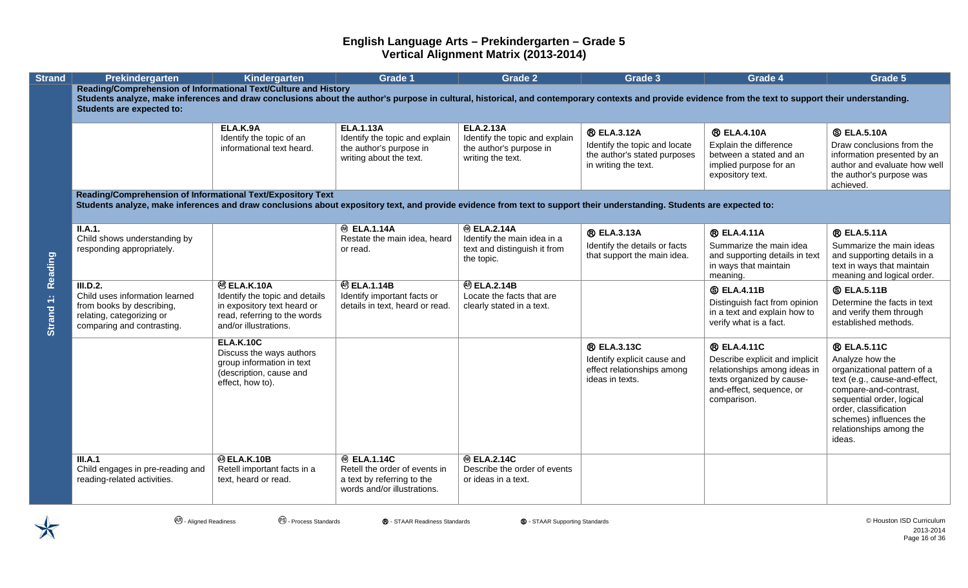| <b>Strand</b> | Prekindergarten                                                                                                                                                                                                                                                                                                | Kindergarten                                                                                                                                     | <b>Grade 1</b>                                                                                                   | <b>Grade 2</b>                                                                                     | Grade 3                                                                                                     | Grade 4                                                                                                                                                      | Grade 5                                                                                                                                                                                                                                              |  |  |  |  |
|---------------|----------------------------------------------------------------------------------------------------------------------------------------------------------------------------------------------------------------------------------------------------------------------------------------------------------------|--------------------------------------------------------------------------------------------------------------------------------------------------|------------------------------------------------------------------------------------------------------------------|----------------------------------------------------------------------------------------------------|-------------------------------------------------------------------------------------------------------------|--------------------------------------------------------------------------------------------------------------------------------------------------------------|------------------------------------------------------------------------------------------------------------------------------------------------------------------------------------------------------------------------------------------------------|--|--|--|--|
|               | Reading/Comprehension of Informational Text/Culture and History<br>Students analyze, make inferences and draw conclusions about the author's purpose in cultural, historical, and contemporary contexts and provide evidence from the text to support their understanding.<br><b>Students are expected to:</b> |                                                                                                                                                  |                                                                                                                  |                                                                                                    |                                                                                                             |                                                                                                                                                              |                                                                                                                                                                                                                                                      |  |  |  |  |
|               |                                                                                                                                                                                                                                                                                                                | ELA.K.9A<br>Identify the topic of an<br>informational text heard.                                                                                | <b>ELA.1.13A</b><br>Identify the topic and explain<br>the author's purpose in<br>writing about the text.         | <b>ELA.2.13A</b><br>Identify the topic and explain<br>the author's purpose in<br>writing the text. | <b>® ELA.3.12A</b><br>Identify the topic and locate<br>the author's stated purposes<br>in writing the text. | <b>® ELA.4.10A</b><br>Explain the difference<br>between a stated and an<br>implied purpose for an<br>expository text.                                        | <b>S ELA.5.10A</b><br>Draw conclusions from the<br>information presented by an<br>author and evaluate how well<br>the author's purpose was<br>achieved.                                                                                              |  |  |  |  |
|               | Reading/Comprehension of Informational Text/Expository Text<br>Students analyze, make inferences and draw conclusions about expository text, and provide evidence from text to support their understanding. Students are expected to:                                                                          |                                                                                                                                                  |                                                                                                                  |                                                                                                    |                                                                                                             |                                                                                                                                                              |                                                                                                                                                                                                                                                      |  |  |  |  |
| Reading       | II.A.1.<br>Child shows understanding by<br>responding appropriately.                                                                                                                                                                                                                                           |                                                                                                                                                  | <b><sup>®</sup></b> ELA.1.14A<br>Restate the main idea, heard<br>or read.                                        | <b>® ELA.2.14A</b><br>Identify the main idea in a<br>text and distinguish it from<br>the topic.    | <b>® ELA.3.13A</b><br>Identify the details or facts<br>that support the main idea.                          | <b>® ELA.4.11A</b><br>Summarize the main idea<br>and supporting details in text<br>in ways that maintain<br>meaning.                                         | <b>® ELA.5.11A</b><br>Summarize the main ideas<br>and supporting details in a<br>text in ways that maintain<br>meaning and logical order.                                                                                                            |  |  |  |  |
| Strand 1:     | III.D.2.<br>Child uses information learned<br>from books by describing,<br>relating, categorizing or<br>comparing and contrasting.                                                                                                                                                                             | <sup>®</sup> ELA.K.10A<br>Identify the topic and details<br>in expository text heard or<br>read, referring to the words<br>and/or illustrations. | <b>@ ELA.1.14B</b><br>Identify important facts or<br>details in text, heard or read.                             | <b>@ ELA.2.14B</b><br>Locate the facts that are<br>clearly stated in a text.                       |                                                                                                             | <b>SELA.4.11B</b><br>Distinguish fact from opinion<br>in a text and explain how to<br>verify what is a fact.                                                 | <b>S</b> ELA.5.11B<br>Determine the facts in text<br>and verify them through<br>established methods.                                                                                                                                                 |  |  |  |  |
|               |                                                                                                                                                                                                                                                                                                                | <b>ELA.K.10C</b><br>Discuss the ways authors<br>group information in text<br>(description, cause and<br>effect, how to).                         |                                                                                                                  |                                                                                                    | <b>® ELA.3.13C</b><br>Identify explicit cause and<br>effect relationships among<br>ideas in texts.          | <b>® ELA.4.11C</b><br>Describe explicit and implicit<br>relationships among ideas in<br>texts organized by cause-<br>and-effect, sequence, or<br>comparison. | <b>® ELA.5.11C</b><br>Analyze how the<br>organizational pattern of a<br>text (e.g., cause-and-effect,<br>compare-and-contrast,<br>sequential order, logical<br>order, classification<br>schemes) influences the<br>relationships among the<br>ideas. |  |  |  |  |
|               | III.A.1<br>Child engages in pre-reading and<br>reading-related activities.                                                                                                                                                                                                                                     | <b>® ELA.K.10B</b><br>Retell important facts in a<br>text, heard or read.                                                                        | <b>® ELA.1.14C</b><br>Retell the order of events in<br>a text by referring to the<br>words and/or illustrations. | <b>® ELA.2.14C</b><br>Describe the order of events<br>or ideas in a text.                          |                                                                                                             |                                                                                                                                                              |                                                                                                                                                                                                                                                      |  |  |  |  |

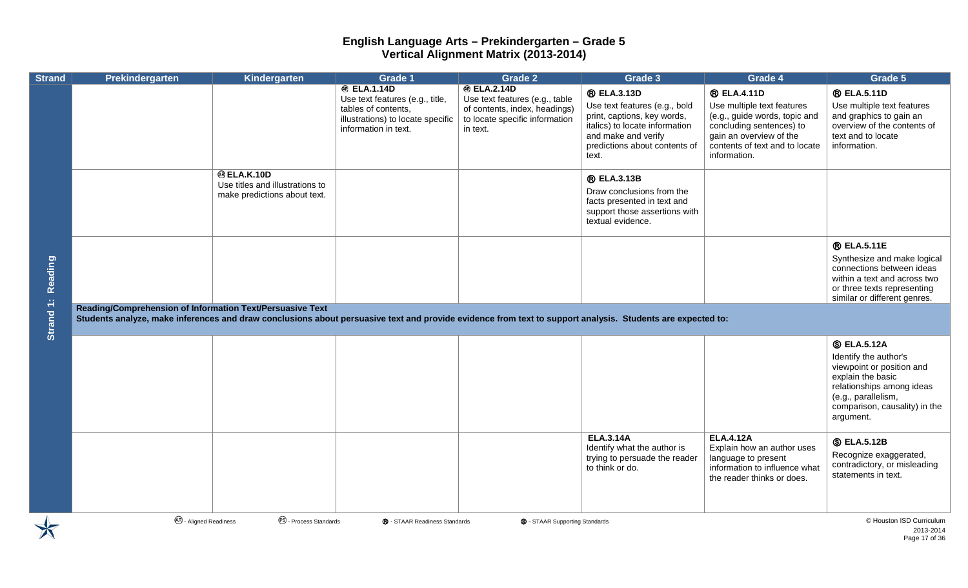| <b>Strand</b> | Prekindergarten                                                                                                                                                                                                         | Kindergarten                                                                          | <b>Grade 1</b>                                                                                                                            | <b>Grade 2</b>                                                                                                                      | Grade 3                                                                                                                                                                               | Grade 4                                                                                                                                                                                    | Grade 5                                                                                                                                                                                         |
|---------------|-------------------------------------------------------------------------------------------------------------------------------------------------------------------------------------------------------------------------|---------------------------------------------------------------------------------------|-------------------------------------------------------------------------------------------------------------------------------------------|-------------------------------------------------------------------------------------------------------------------------------------|---------------------------------------------------------------------------------------------------------------------------------------------------------------------------------------|--------------------------------------------------------------------------------------------------------------------------------------------------------------------------------------------|-------------------------------------------------------------------------------------------------------------------------------------------------------------------------------------------------|
|               |                                                                                                                                                                                                                         |                                                                                       | <b>@ ELA.1.14D</b><br>Use text features (e.g., title,<br>tables of contents,<br>illustrations) to locate specific<br>information in text. | <b>® ELA.2.14D</b><br>Use text features (e.g., table<br>of contents, index, headings)<br>to locate specific information<br>in text. | <b>® ELA.3.13D</b><br>Use text features (e.g., bold<br>print, captions, key words,<br>italics) to locate information<br>and make and verify<br>predictions about contents of<br>text. | <b>® ELA.4.11D</b><br>Use multiple text features<br>(e.g., guide words, topic and<br>concluding sentences) to<br>gain an overview of the<br>contents of text and to locate<br>information. | <b>® ELA.5.11D</b><br>Use multiple text features<br>and graphics to gain an<br>overview of the contents of<br>text and to locate<br>information.                                                |
|               |                                                                                                                                                                                                                         | <b>@ ELA.K.10D</b><br>Use titles and illustrations to<br>make predictions about text. |                                                                                                                                           |                                                                                                                                     | <b>® ELA.3.13B</b><br>Draw conclusions from the<br>facts presented in text and<br>support those assertions with<br>textual evidence.                                                  |                                                                                                                                                                                            |                                                                                                                                                                                                 |
| Reading       |                                                                                                                                                                                                                         |                                                                                       |                                                                                                                                           |                                                                                                                                     |                                                                                                                                                                                       |                                                                                                                                                                                            | <b>® ELA.5.11E</b><br>Synthesize and make logical<br>connections between ideas<br>within a text and across two<br>or three texts representing<br>similar or different genres.                   |
| Strand 1:     | Reading/Comprehension of Information Text/Persuasive Text<br>Students analyze, make inferences and draw conclusions about persuasive text and provide evidence from text to support analysis. Students are expected to: |                                                                                       |                                                                                                                                           |                                                                                                                                     |                                                                                                                                                                                       |                                                                                                                                                                                            |                                                                                                                                                                                                 |
|               |                                                                                                                                                                                                                         |                                                                                       |                                                                                                                                           |                                                                                                                                     |                                                                                                                                                                                       |                                                                                                                                                                                            | <b>S</b> ELA.5.12A<br>Identify the author's<br>viewpoint or position and<br>explain the basic<br>relationships among ideas<br>(e.g., parallelism,<br>comparison, causality) in the<br>argument. |
|               |                                                                                                                                                                                                                         |                                                                                       |                                                                                                                                           |                                                                                                                                     | <b>ELA.3.14A</b><br>Identify what the author is<br>trying to persuade the reader<br>to think or do.                                                                                   | <b>ELA.4.12A</b><br>Explain how an author uses<br>language to present<br>information to influence what<br>the reader thinks or does.                                                       | <b>S</b> ELA.5.12B<br>Recognize exaggerated,<br>contradictory, or misleading<br>statements in text.                                                                                             |
|               | <b>AB</b> - Aligned Readiness                                                                                                                                                                                           | <sup>®</sup> - Process Standards                                                      | ® - STAAR Readiness Standards                                                                                                             | <b>S</b> - STAAR Supporting Standards                                                                                               |                                                                                                                                                                                       |                                                                                                                                                                                            | © Houston ISD Curriculum<br>2013-2014<br>Page 17 of 36                                                                                                                                          |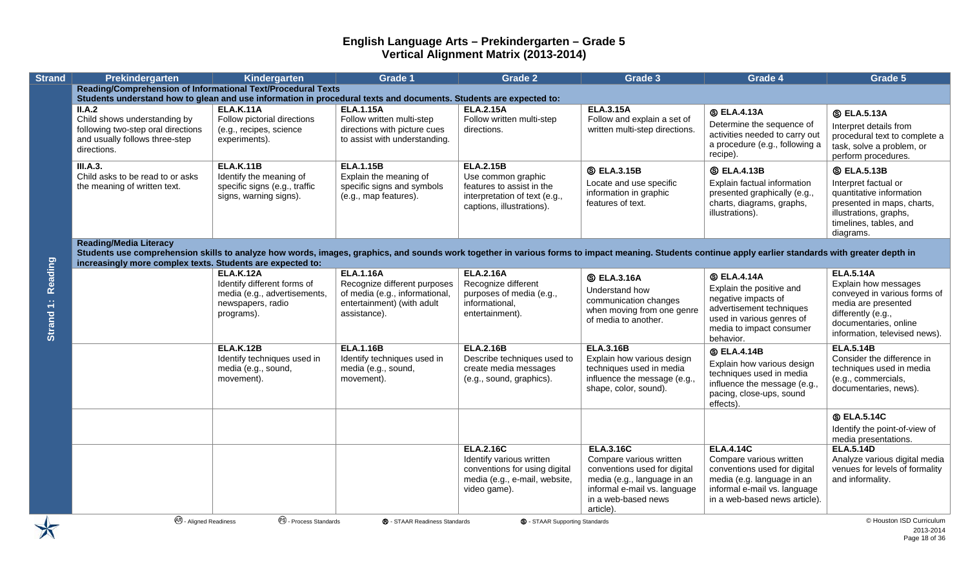| <b>Strand</b>        | Prekindergarten                                                                                                                                                                                                                                                                                       | Kindergarten                                                                                                       | Grade 1                                                                                                                          | <b>Grade 2</b>                                                                                                                 | Grade 3                                                                                                                                                                        | <b>Grade 4</b>                                                                                                                                                             | Grade 5                                                                                                                                                                         |  |  |  |
|----------------------|-------------------------------------------------------------------------------------------------------------------------------------------------------------------------------------------------------------------------------------------------------------------------------------------------------|--------------------------------------------------------------------------------------------------------------------|----------------------------------------------------------------------------------------------------------------------------------|--------------------------------------------------------------------------------------------------------------------------------|--------------------------------------------------------------------------------------------------------------------------------------------------------------------------------|----------------------------------------------------------------------------------------------------------------------------------------------------------------------------|---------------------------------------------------------------------------------------------------------------------------------------------------------------------------------|--|--|--|
|                      | <b>Reading/Comprehension of Informational Text/Procedural Texts</b>                                                                                                                                                                                                                                   |                                                                                                                    |                                                                                                                                  |                                                                                                                                |                                                                                                                                                                                |                                                                                                                                                                            |                                                                                                                                                                                 |  |  |  |
|                      | Students understand how to glean and use information in procedural texts and documents. Students are expected to:<br>II.A.2<br>Child shows understanding by<br>following two-step oral directions<br>and usually follows three-step<br>directions.                                                    | <b>ELA.K.11A</b><br>Follow pictorial directions<br>(e.g., recipes, science<br>experiments).                        | <b>ELA.1.15A</b><br>Follow written multi-step<br>directions with picture cues<br>to assist with understanding.                   | <b>ELA.2.15A</b><br>Follow written multi-step<br>directions.                                                                   | <b>ELA.3.15A</b><br>Follow and explain a set of<br>written multi-step directions.                                                                                              | <b>SELA.4.13A</b><br>Determine the sequence of<br>activities needed to carry out<br>a procedure (e.g., following a                                                         | <b>S</b> ELA.5.13A<br>Interpret details from<br>procedural text to complete a<br>task, solve a problem, or                                                                      |  |  |  |
|                      | <b>III.A.3.</b>                                                                                                                                                                                                                                                                                       | <b>ELA.K.11B</b>                                                                                                   | <b>ELA.1.15B</b>                                                                                                                 | <b>ELA.2.15B</b>                                                                                                               | <b>S ELA.3.15B</b>                                                                                                                                                             | recipe).<br><b>S ELA.4.13B</b>                                                                                                                                             | perform procedures.<br><b>S ELA.5.13B</b>                                                                                                                                       |  |  |  |
|                      | Child asks to be read to or asks<br>the meaning of written text.                                                                                                                                                                                                                                      | Identify the meaning of<br>specific signs (e.g., traffic<br>signs, warning signs).                                 | Explain the meaning of<br>specific signs and symbols<br>(e.g., map features).                                                    | Use common graphic<br>features to assist in the<br>interpretation of text (e.g.,<br>captions, illustrations).                  | Locate and use specific<br>information in graphic<br>features of text.                                                                                                         | Explain factual information<br>presented graphically (e.g.,<br>charts, diagrams, graphs,<br>illustrations).                                                                | Interpret factual or<br>quantitative information<br>presented in maps, charts,<br>illustrations, graphs,<br>timelines, tables, and<br>diagrams.                                 |  |  |  |
|                      | <b>Reading/Media Literacy</b><br>Students use comprehension skills to analyze how words, images, graphics, and sounds work together in various forms to impact meaning. Students continue apply earlier standards with greater depth in<br>increasingly more complex texts. Students are expected to: |                                                                                                                    |                                                                                                                                  |                                                                                                                                |                                                                                                                                                                                |                                                                                                                                                                            |                                                                                                                                                                                 |  |  |  |
| Reading<br>Strand 1: |                                                                                                                                                                                                                                                                                                       | <b>ELA.K.12A</b><br>Identify different forms of<br>media (e.g., advertisements,<br>newspapers, radio<br>programs). | <b>ELA.1.16A</b><br>Recognize different purposes<br>of media (e.g., informational,<br>entertainment) (with adult<br>assistance). | <b>ELA.2.16A</b><br>Recognize different<br>purposes of media (e.g.,<br>informational,<br>entertainment).                       | <b>S ELA.3.16A</b><br>Understand how<br>communication changes<br>when moving from one genre<br>of media to another.                                                            | <b>SELA.4.14A</b><br>Explain the positive and<br>negative impacts of<br>advertisement techniques<br>used in various genres of<br>media to impact consumer<br>behavior.     | <b>ELA.5.14A</b><br>Explain how messages<br>conveyed in various forms of<br>media are presented<br>differently (e.g.,<br>documentaries, online<br>information, televised news). |  |  |  |
|                      |                                                                                                                                                                                                                                                                                                       | <b>ELA.K.12B</b><br>Identify techniques used in<br>media (e.g., sound,<br>movement).                               | <b>ELA.1.16B</b><br>Identify techniques used in<br>media (e.g., sound,<br>movement).                                             | <b>ELA.2.16B</b><br>Describe techniques used to<br>create media messages<br>(e.g., sound, graphics).                           | <b>ELA.3.16B</b><br>Explain how various design<br>techniques used in media<br>influence the message (e.g.,<br>shape, color, sound).                                            | <b>SELA.4.14B</b><br>Explain how various design<br>techniques used in media<br>influence the message (e.g.,<br>pacing, close-ups, sound<br>effects).                       | <b>ELA.5.14B</b><br>Consider the difference in<br>techniques used in media<br>(e.g., commercials,<br>documentaries, news).                                                      |  |  |  |
|                      |                                                                                                                                                                                                                                                                                                       |                                                                                                                    |                                                                                                                                  |                                                                                                                                |                                                                                                                                                                                |                                                                                                                                                                            | <b>S ELA.5.14C</b><br>Identify the point-of-view of<br>media presentations.                                                                                                     |  |  |  |
|                      |                                                                                                                                                                                                                                                                                                       |                                                                                                                    |                                                                                                                                  | <b>ELA.2.16C</b><br>Identify various written<br>conventions for using digital<br>media (e.g., e-mail, website,<br>video game). | <b>ELA.3.16C</b><br>Compare various written<br>conventions used for digital<br>media (e.g., language in an<br>informal e-mail vs. language<br>in a web-based news<br>article). | <b>ELA.4.14C</b><br>Compare various written<br>conventions used for digital<br>media (e.g. language in an<br>informal e-mail vs. language<br>in a web-based news article). | <b>ELA.5.14D</b><br>Analyze various digital media<br>venues for levels of formality<br>and informality.                                                                         |  |  |  |
|                      | <b>AR</b> - Aligned Readiness                                                                                                                                                                                                                                                                         | <sup>es</sup> - Process Standards                                                                                  | ® - STAAR Readiness Standards                                                                                                    | <b>S</b> - STAAR Supporting Standards                                                                                          |                                                                                                                                                                                |                                                                                                                                                                            | © Houston ISD Curriculum<br>2013-2014<br>$P2$ ne 18 of 36                                                                                                                       |  |  |  |

2013-2014 Page 18 of 36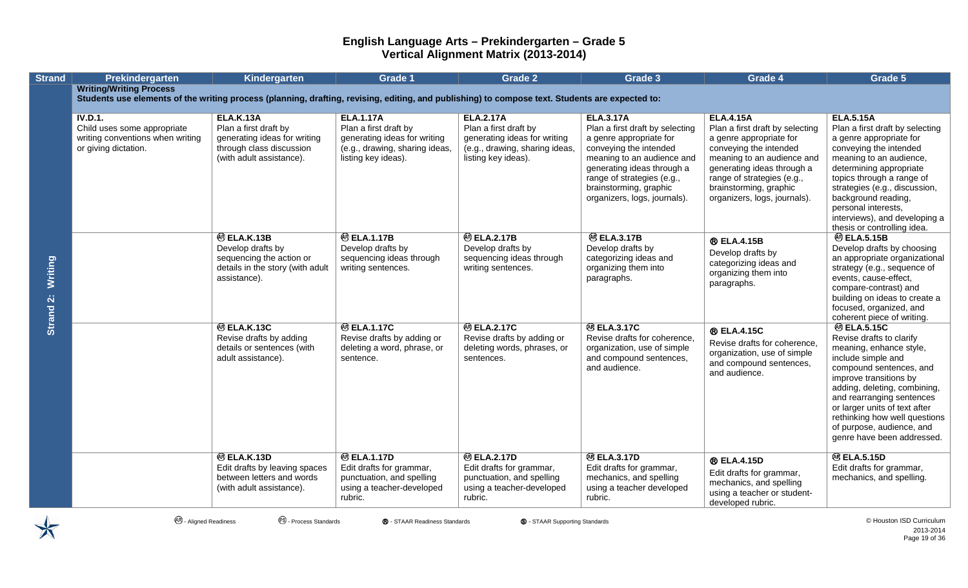| <b>Strand</b>        | Prekindergarten                                                                                                                                                                   | <b>Kindergarten</b>                                                                                                               | <b>Grade 1</b>                                                                                                                     | <b>Grade 2</b>                                                                                                                     | Grade 3                                                                                                                                                                                                                                                      | Grade 4                                                                                                                                                                                                                                                      | Grade 5                                                                                                                                                                                                                                                                                                                                        |
|----------------------|-----------------------------------------------------------------------------------------------------------------------------------------------------------------------------------|-----------------------------------------------------------------------------------------------------------------------------------|------------------------------------------------------------------------------------------------------------------------------------|------------------------------------------------------------------------------------------------------------------------------------|--------------------------------------------------------------------------------------------------------------------------------------------------------------------------------------------------------------------------------------------------------------|--------------------------------------------------------------------------------------------------------------------------------------------------------------------------------------------------------------------------------------------------------------|------------------------------------------------------------------------------------------------------------------------------------------------------------------------------------------------------------------------------------------------------------------------------------------------------------------------------------------------|
|                      | <b>Writing/Writing Process</b><br>Students use elements of the writing process (planning, drafting, revising, editing, and publishing) to compose text. Students are expected to: |                                                                                                                                   |                                                                                                                                    |                                                                                                                                    |                                                                                                                                                                                                                                                              |                                                                                                                                                                                                                                                              |                                                                                                                                                                                                                                                                                                                                                |
|                      |                                                                                                                                                                                   |                                                                                                                                   |                                                                                                                                    |                                                                                                                                    |                                                                                                                                                                                                                                                              |                                                                                                                                                                                                                                                              |                                                                                                                                                                                                                                                                                                                                                |
|                      | <b>IV.D.1.</b><br>Child uses some appropriate<br>writing conventions when writing<br>or giving dictation.                                                                         | <b>ELA.K.13A</b><br>Plan a first draft by<br>generating ideas for writing<br>through class discussion<br>(with adult assistance). | <b>ELA.1.17A</b><br>Plan a first draft by<br>generating ideas for writing<br>(e.g., drawing, sharing ideas,<br>listing key ideas). | <b>ELA.2.17A</b><br>Plan a first draft by<br>generating ideas for writing<br>(e.g., drawing, sharing ideas,<br>listing key ideas). | <b>ELA.3.17A</b><br>Plan a first draft by selecting<br>a genre appropriate for<br>conveying the intended<br>meaning to an audience and<br>generating ideas through a<br>range of strategies (e.g.,<br>brainstorming, graphic<br>organizers, logs, journals). | <b>ELA.4.15A</b><br>Plan a first draft by selecting<br>a genre appropriate for<br>conveying the intended<br>meaning to an audience and<br>generating ideas through a<br>range of strategies (e.g.,<br>brainstorming, graphic<br>organizers, logs, journals). | <b>ELA.5.15A</b><br>Plan a first draft by selecting<br>a genre appropriate for<br>conveying the intended<br>meaning to an audience,<br>determining appropriate<br>topics through a range of<br>strategies (e.g., discussion,<br>background reading,<br>personal interests,<br>interviews), and developing a<br>thesis or controlling idea.     |
| Writing<br>Strand 2: |                                                                                                                                                                                   | <sup>®</sup> ELA.K.13B<br>Develop drafts by<br>sequencing the action or<br>details in the story (with adult<br>assistance).       | <b>@ELA.1.17B</b><br>Develop drafts by<br>sequencing ideas through<br>writing sentences.                                           | <b>@ ELA.2.17B</b><br>Develop drafts by<br>sequencing ideas through<br>writing sentences.                                          | <b>@ELA.3.17B</b><br>Develop drafts by<br>categorizing ideas and<br>organizing them into<br>paragraphs.                                                                                                                                                      | ® ELA.4.15B<br>Develop drafts by<br>categorizing ideas and<br>organizing them into<br>paragraphs.                                                                                                                                                            | <b>@ELA.5.15B</b><br>Develop drafts by choosing<br>an appropriate organizational<br>strategy (e.g., sequence of<br>events, cause-effect,<br>compare-contrast) and<br>building on ideas to create a<br>focused, organized, and<br>coherent piece of writing.                                                                                    |
|                      |                                                                                                                                                                                   | <b>@ ELA.K.13C</b><br>Revise drafts by adding<br>details or sentences (with<br>adult assistance).                                 | <b>@ ELA.1.17C</b><br>Revise drafts by adding or<br>deleting a word, phrase, or<br>sentence.                                       | <b>@ ELA.2.17C</b><br>Revise drafts by adding or<br>deleting words, phrases, or<br>sentences.                                      | <b>@ELA.3.17C</b><br>Revise drafts for coherence,<br>organization, use of simple<br>and compound sentences,<br>and audience.                                                                                                                                 | <b>® ELA.4.15C</b><br>Revise drafts for coherence,<br>organization, use of simple<br>and compound sentences,<br>and audience.                                                                                                                                | <b>@ ELA.5.15C</b><br>Revise drafts to clarify<br>meaning, enhance style,<br>include simple and<br>compound sentences, and<br>improve transitions by<br>adding, deleting, combining,<br>and rearranging sentences<br>or larger units of text after<br>rethinking how well questions<br>of purpose, audience, and<br>genre have been addressed. |
|                      |                                                                                                                                                                                   | <sup>®</sup> ELA.K.13D<br>Edit drafts by leaving spaces<br>between letters and words<br>(with adult assistance).                  | <b>@ ELA.1.17D</b><br>Edit drafts for grammar,<br>punctuation, and spelling<br>using a teacher-developed<br>rubric.                | <b>@ ELA.2.17D</b><br>Edit drafts for grammar,<br>punctuation, and spelling<br>using a teacher-developed<br>rubric.                | <b>@ELA.3.17D</b><br>Edit drafts for grammar,<br>mechanics, and spelling<br>using a teacher developed<br>rubric.                                                                                                                                             | <b>® ELA.4.15D</b><br>Edit drafts for grammar,<br>mechanics, and spelling<br>using a teacher or student-<br>developed rubric.                                                                                                                                | <b>@BLA.5.15D</b><br>Edit drafts for grammar,<br>mechanics, and spelling.                                                                                                                                                                                                                                                                      |

2013-2014 Page 19 of 36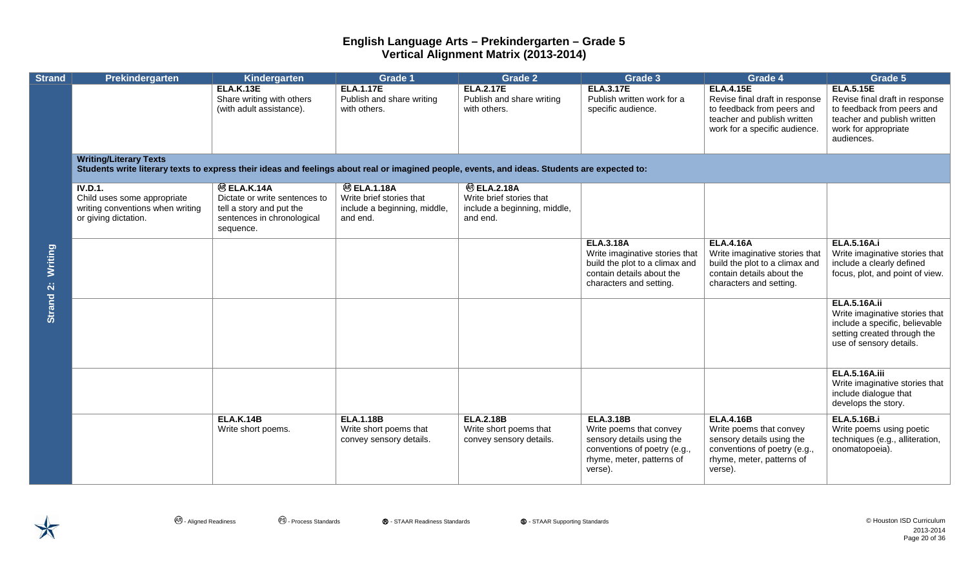| <b>Strand</b>               | Prekindergarten                                                                                                                                                                | Kindergarten                                                                                                               | Grade 1                                                                                   | <b>Grade 2</b>                                                                             | Grade 3                                                                                                                                          | Grade 4                                                                                                                                          | Grade 5                                                                                                                                               |  |  |  |
|-----------------------------|--------------------------------------------------------------------------------------------------------------------------------------------------------------------------------|----------------------------------------------------------------------------------------------------------------------------|-------------------------------------------------------------------------------------------|--------------------------------------------------------------------------------------------|--------------------------------------------------------------------------------------------------------------------------------------------------|--------------------------------------------------------------------------------------------------------------------------------------------------|-------------------------------------------------------------------------------------------------------------------------------------------------------|--|--|--|
|                             |                                                                                                                                                                                | <b>ELA.K.13E</b><br>Share writing with others<br>(with adult assistance).                                                  | <b>ELA.1.17E</b><br>Publish and share writing<br>with others.                             | <b>ELA.2.17E</b><br>Publish and share writing<br>with others.                              | <b>ELA.3.17E</b><br>Publish written work for a<br>specific audience.                                                                             | <b>ELA.4.15E</b><br>Revise final draft in response<br>to feedback from peers and<br>teacher and publish written<br>work for a specific audience. | <b>ELA.5.15E</b><br>Revise final draft in response<br>to feedback from peers and<br>teacher and publish written<br>work for appropriate<br>audiences. |  |  |  |
|                             | <b>Writing/Literary Texts</b><br>Students write literary texts to express their ideas and feelings about real or imagined people, events, and ideas. Students are expected to: |                                                                                                                            |                                                                                           |                                                                                            |                                                                                                                                                  |                                                                                                                                                  |                                                                                                                                                       |  |  |  |
| <b>Writing</b><br>Strand 2: | <b>IV.D.1.</b><br>Child uses some appropriate<br>writing conventions when writing<br>or giving dictation.                                                                      | <b>@ ELA.K.14A</b><br>Dictate or write sentences to<br>tell a story and put the<br>sentences in chronological<br>sequence. | <b>@ELA.1.18A</b><br>Write brief stories that<br>include a beginning, middle,<br>and end. | <b>@ ELA.2.18A</b><br>Write brief stories that<br>include a beginning, middle,<br>and end. |                                                                                                                                                  |                                                                                                                                                  |                                                                                                                                                       |  |  |  |
|                             |                                                                                                                                                                                |                                                                                                                            |                                                                                           |                                                                                            | <b>ELA.3.18A</b><br>Write imaginative stories that<br>build the plot to a climax and<br>contain details about the<br>characters and setting.     | <b>ELA.4.16A</b><br>Write imaginative stories that<br>build the plot to a climax and<br>contain details about the<br>characters and setting.     | <b>ELA.5.16A.i</b><br>Write imaginative stories that<br>include a clearly defined<br>focus, plot, and point of view.                                  |  |  |  |
|                             |                                                                                                                                                                                |                                                                                                                            |                                                                                           |                                                                                            |                                                                                                                                                  |                                                                                                                                                  | <b>ELA.5.16A.ii</b><br>Write imaginative stories that<br>include a specific, believable<br>setting created through the<br>use of sensory details.     |  |  |  |
|                             |                                                                                                                                                                                |                                                                                                                            |                                                                                           |                                                                                            |                                                                                                                                                  |                                                                                                                                                  | <b>ELA.5.16A.iii</b><br>Write imaginative stories that<br>include dialogue that<br>develops the story.                                                |  |  |  |
|                             |                                                                                                                                                                                | <b>ELA.K.14B</b><br>Write short poems.                                                                                     | <b>ELA.1.18B</b><br>Write short poems that<br>convey sensory details.                     | <b>ELA.2.18B</b><br>Write short poems that<br>convey sensory details.                      | <b>ELA.3.18B</b><br>Write poems that convey<br>sensory details using the<br>conventions of poetry (e.g.,<br>rhyme, meter, patterns of<br>verse). | <b>ELA.4.16B</b><br>Write poems that convey<br>sensory details using the<br>conventions of poetry (e.g.,<br>rhyme, meter, patterns of<br>verse). | <b>ELA.5.16B.i</b><br>Write poems using poetic<br>techniques (e.g., alliteration,<br>onomatopoeia).                                                   |  |  |  |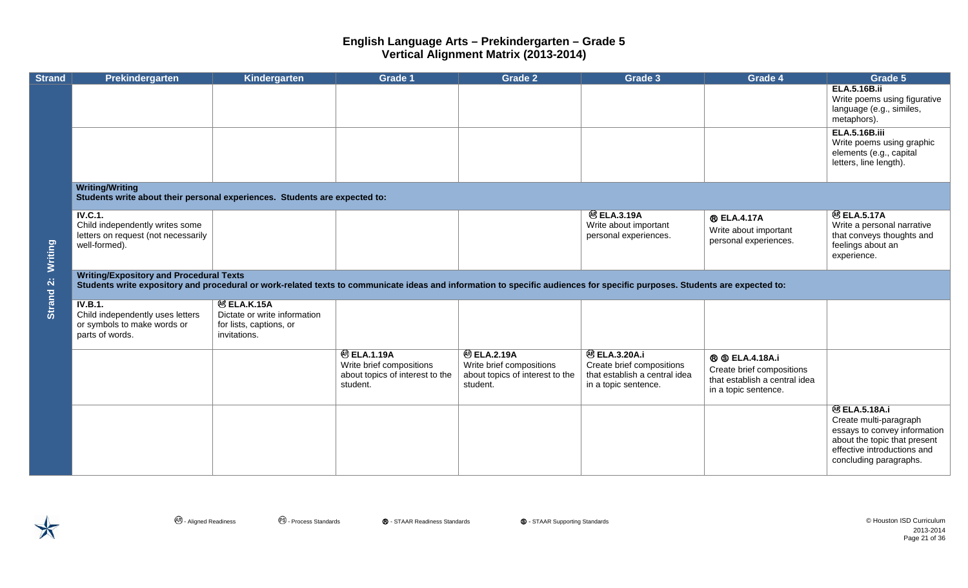| <b>Strand</b> | Prekindergarten                                                                                                                                                                                                              | Kindergarten                                                                                  | <b>Grade 1</b>                                                                                | <b>Grade 2</b>                                                                               | Grade 3                                                                                                   | Grade 4                                                                                                      | Grade 5                                                                                                                                                                |  |  |  |  |
|---------------|------------------------------------------------------------------------------------------------------------------------------------------------------------------------------------------------------------------------------|-----------------------------------------------------------------------------------------------|-----------------------------------------------------------------------------------------------|----------------------------------------------------------------------------------------------|-----------------------------------------------------------------------------------------------------------|--------------------------------------------------------------------------------------------------------------|------------------------------------------------------------------------------------------------------------------------------------------------------------------------|--|--|--|--|
|               |                                                                                                                                                                                                                              |                                                                                               |                                                                                               |                                                                                              |                                                                                                           |                                                                                                              | <b>ELA.5.16B.ii</b><br>Write poems using figurative<br>language (e.g., similes,<br>metaphors).                                                                         |  |  |  |  |
|               |                                                                                                                                                                                                                              |                                                                                               |                                                                                               |                                                                                              |                                                                                                           |                                                                                                              | <b>ELA.5.16B.iii</b><br>Write poems using graphic<br>elements (e.g., capital<br>letters, line length).                                                                 |  |  |  |  |
|               | <b>Writing/Writing</b><br>Students write about their personal experiences. Students are expected to:                                                                                                                         |                                                                                               |                                                                                               |                                                                                              |                                                                                                           |                                                                                                              |                                                                                                                                                                        |  |  |  |  |
| Writing       | <b>IV.C.1.</b><br>Child independently writes some<br>letters on request (not necessarily<br>well-formed).                                                                                                                    |                                                                                               |                                                                                               |                                                                                              | <b>@ ELA.3.19A</b><br>Write about important<br>personal experiences.                                      | <b>® ELA.4.17A</b><br>Write about important<br>personal experiences.                                         | <b>@BLA.5.17A</b><br>Write a personal narrative<br>that conveys thoughts and<br>feelings about an<br>experience.                                                       |  |  |  |  |
| Strand 2:     | <b>Writing/Expository and Procedural Texts</b><br>Students write expository and procedural or work-related texts to communicate ideas and information to specific audiences for specific purposes. Students are expected to: |                                                                                               |                                                                                               |                                                                                              |                                                                                                           |                                                                                                              |                                                                                                                                                                        |  |  |  |  |
|               | <b>IV.B.1.</b><br>Child independently uses letters<br>or symbols to make words or<br>parts of words.                                                                                                                         | <b>@ ELA.K.15A</b><br>Dictate or write information<br>for lists, captions, or<br>invitations. |                                                                                               |                                                                                              |                                                                                                           |                                                                                                              |                                                                                                                                                                        |  |  |  |  |
|               |                                                                                                                                                                                                                              |                                                                                               | <b>@ ELA.1.19A</b><br>Write brief compositions<br>about topics of interest to the<br>student. | <b>@BLA.2.19A</b><br>Write brief compositions<br>about topics of interest to the<br>student. | <b>@ELA.3.20A.i</b><br>Create brief compositions<br>that establish a central idea<br>in a topic sentence. | <b>®</b> © ELA.4.18A.i<br>Create brief compositions<br>that establish a central idea<br>in a topic sentence. |                                                                                                                                                                        |  |  |  |  |
|               |                                                                                                                                                                                                                              |                                                                                               |                                                                                               |                                                                                              |                                                                                                           |                                                                                                              | <b>@ELA.5.18A.i</b><br>Create multi-paragraph<br>essays to convey information<br>about the topic that present<br>effective introductions and<br>concluding paragraphs. |  |  |  |  |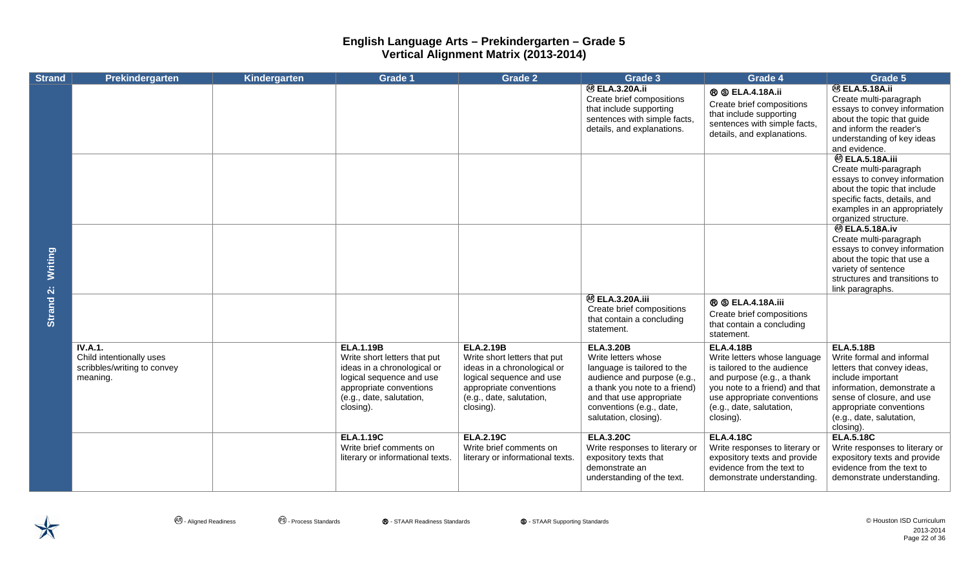| <b>Strand</b> | Prekindergarten                                                                       | Kindergarten | <b>Grade 1</b>                                                                                                                                                                  | <b>Grade 2</b>                                                                                                                                                                  | Grade 3                                                                                                                                                                                                                 | Grade 4                                                                                                                                                                                                                 | Grade 5                                                                                                                                                                                                                         |
|---------------|---------------------------------------------------------------------------------------|--------------|---------------------------------------------------------------------------------------------------------------------------------------------------------------------------------|---------------------------------------------------------------------------------------------------------------------------------------------------------------------------------|-------------------------------------------------------------------------------------------------------------------------------------------------------------------------------------------------------------------------|-------------------------------------------------------------------------------------------------------------------------------------------------------------------------------------------------------------------------|---------------------------------------------------------------------------------------------------------------------------------------------------------------------------------------------------------------------------------|
|               |                                                                                       |              |                                                                                                                                                                                 |                                                                                                                                                                                 | <b>@BLA.3.20A.ii</b><br>Create brief compositions<br>that include supporting<br>sentences with simple facts,<br>details, and explanations.                                                                              | <b>® © ELA.4.18A.ii</b><br>Create brief compositions<br>that include supporting<br>sentences with simple facts,<br>details, and explanations.                                                                           | <b>@BLA.5.18A.ii</b><br>Create multi-paragraph<br>essays to convey information<br>about the topic that guide<br>and inform the reader's<br>understanding of key ideas<br>and evidence.                                          |
|               |                                                                                       |              |                                                                                                                                                                                 |                                                                                                                                                                                 |                                                                                                                                                                                                                         |                                                                                                                                                                                                                         | <b>@ ELA.5.18A.iii</b><br>Create multi-paragraph<br>essays to convey information<br>about the topic that include<br>specific facts, details, and<br>examples in an appropriately<br>organized structure.                        |
| Writing       |                                                                                       |              |                                                                                                                                                                                 |                                                                                                                                                                                 |                                                                                                                                                                                                                         |                                                                                                                                                                                                                         | <b>@ELA.5.18A.iv</b><br>Create multi-paragraph<br>essays to convey information<br>about the topic that use a<br>variety of sentence<br>structures and transitions to<br>link paragraphs.                                        |
| Strand 2:     |                                                                                       |              |                                                                                                                                                                                 |                                                                                                                                                                                 | <b>@ ELA.3.20A.iii</b><br>Create brief compositions<br>that contain a concluding<br>statement.                                                                                                                          | <b>® © ELA.4.18A.iii</b><br>Create brief compositions<br>that contain a concluding<br>statement.                                                                                                                        |                                                                                                                                                                                                                                 |
|               | <b>IV.A.1.</b><br>Child intentionally uses<br>scribbles/writing to convey<br>meaning. |              | <b>ELA.1.19B</b><br>Write short letters that put<br>ideas in a chronological or<br>logical sequence and use<br>appropriate conventions<br>(e.g., date, salutation,<br>closing). | <b>ELA.2.19B</b><br>Write short letters that put<br>ideas in a chronological or<br>logical sequence and use<br>appropriate conventions<br>(e.g., date, salutation,<br>closing). | <b>ELA.3.20B</b><br>Write letters whose<br>language is tailored to the<br>audience and purpose (e.g.,<br>a thank you note to a friend)<br>and that use appropriate<br>conventions (e.g., date,<br>salutation, closing). | <b>ELA.4.18B</b><br>Write letters whose language<br>is tailored to the audience<br>and purpose (e.g., a thank<br>you note to a friend) and that<br>use appropriate conventions<br>(e.g., date, salutation,<br>closing). | <b>ELA.5.18B</b><br>Write formal and informal<br>letters that convey ideas,<br>include important<br>information, demonstrate a<br>sense of closure, and use<br>appropriate conventions<br>(e.g., date, salutation,<br>closing). |
|               |                                                                                       |              | <b>ELA.1.19C</b><br>Write brief comments on<br>literary or informational texts.                                                                                                 | <b>ELA.2.19C</b><br>Write brief comments on<br>literary or informational texts.                                                                                                 | <b>ELA.3.20C</b><br>Write responses to literary or<br>expository texts that<br>demonstrate an<br>understanding of the text.                                                                                             | <b>ELA.4.18C</b><br>Write responses to literary or<br>expository texts and provide<br>evidence from the text to<br>demonstrate understanding.                                                                           | <b>ELA.5.18C</b><br>Write responses to literary or<br>expository texts and provide<br>evidence from the text to<br>demonstrate understanding.                                                                                   |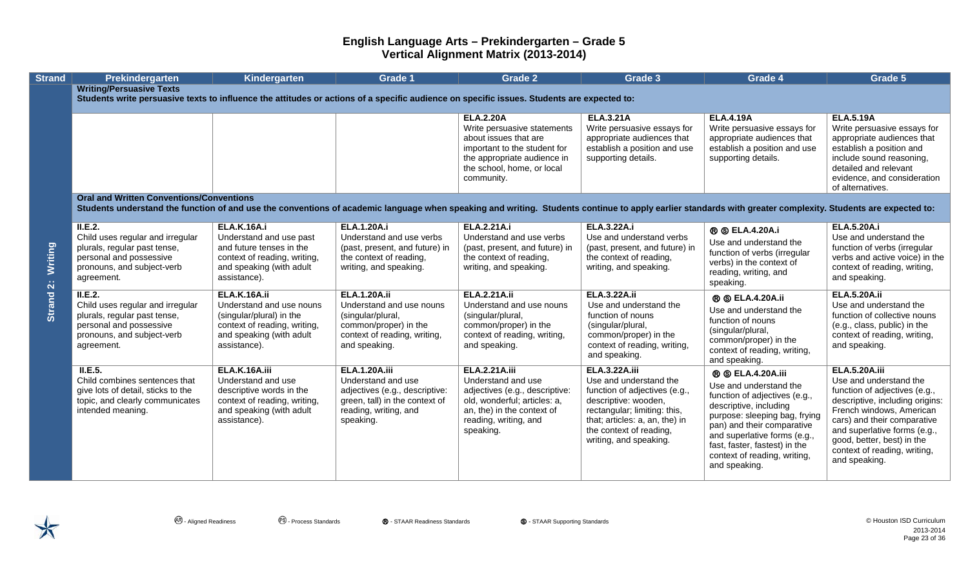| <b>Strand</b>                          | Prekindergarten                                                                                                                                                                                             | Kindergarten                                                                                                                                          | <b>Grade 1</b>                                                                                                                                       | <b>Grade 2</b>                                                                                                                                                                   | Grade 3                                                                                                                                                                                                                        | Grade 4                                                                                                                                                                                                                                                                                        | Grade 5                                                                                                                                                                                                                                                                                      |
|----------------------------------------|-------------------------------------------------------------------------------------------------------------------------------------------------------------------------------------------------------------|-------------------------------------------------------------------------------------------------------------------------------------------------------|------------------------------------------------------------------------------------------------------------------------------------------------------|----------------------------------------------------------------------------------------------------------------------------------------------------------------------------------|--------------------------------------------------------------------------------------------------------------------------------------------------------------------------------------------------------------------------------|------------------------------------------------------------------------------------------------------------------------------------------------------------------------------------------------------------------------------------------------------------------------------------------------|----------------------------------------------------------------------------------------------------------------------------------------------------------------------------------------------------------------------------------------------------------------------------------------------|
|                                        | <b>Writing/Persuasive Texts</b><br>Students write persuasive texts to influence the attitudes or actions of a specific audience on specific issues. Students are expected to:                               |                                                                                                                                                       |                                                                                                                                                      |                                                                                                                                                                                  |                                                                                                                                                                                                                                |                                                                                                                                                                                                                                                                                                |                                                                                                                                                                                                                                                                                              |
|                                        |                                                                                                                                                                                                             |                                                                                                                                                       |                                                                                                                                                      | <b>ELA.2.20A</b><br>Write persuasive statements<br>about issues that are                                                                                                         | <b>ELA.3.21A</b><br>Write persuasive essays for<br>appropriate audiences that                                                                                                                                                  | <b>ELA.4.19A</b><br>Write persuasive essays for<br>appropriate audiences that                                                                                                                                                                                                                  | <b>ELA.5.19A</b><br>Write persuasive essays for<br>appropriate audiences that                                                                                                                                                                                                                |
|                                        |                                                                                                                                                                                                             |                                                                                                                                                       |                                                                                                                                                      | important to the student for<br>the appropriate audience in<br>the school, home, or local<br>community.                                                                          | establish a position and use<br>supporting details.                                                                                                                                                                            | establish a position and use<br>supporting details.                                                                                                                                                                                                                                            | establish a position and<br>include sound reasoning,<br>detailed and relevant<br>evidence, and consideration                                                                                                                                                                                 |
|                                        | <b>Oral and Written Conventions/Conventions</b>                                                                                                                                                             |                                                                                                                                                       |                                                                                                                                                      |                                                                                                                                                                                  |                                                                                                                                                                                                                                |                                                                                                                                                                                                                                                                                                | of alternatives.                                                                                                                                                                                                                                                                             |
|                                        | Students understand the function of and use the conventions of academic language when speaking and writing. Students continue to apply earlier standards with greater complexity. Students are expected to: |                                                                                                                                                       |                                                                                                                                                      |                                                                                                                                                                                  |                                                                                                                                                                                                                                |                                                                                                                                                                                                                                                                                                |                                                                                                                                                                                                                                                                                              |
| <b>Writing</b><br>Strand <sub>2:</sub> | II.E.2.<br>Child uses regular and irregular<br>plurals, regular past tense,<br>personal and possessive<br>pronouns, and subject-verb<br>agreement.                                                          | <b>ELA.K.16A.i</b><br>Understand and use past<br>and future tenses in the<br>context of reading, writing,<br>and speaking (with adult<br>assistance). | <b>ELA.1.20A.i</b><br>Understand and use verbs<br>(past, present, and future) in<br>the context of reading,<br>writing, and speaking.                | <b>ELA.2.21A.i</b><br>Understand and use verbs<br>(past, present, and future) in<br>the context of reading,<br>writing, and speaking.                                            | <b>ELA.3.22A.i</b><br>Use and understand verbs<br>(past, present, and future) in<br>the context of reading,<br>writing, and speaking.                                                                                          | <b>® © ELA.4.20A.i</b><br>Use and understand the<br>function of verbs (irregular<br>verbs) in the context of<br>reading, writing, and<br>speaking.                                                                                                                                             | <b>ELA.5.20A.i</b><br>Use and understand the<br>function of verbs (irregular<br>verbs and active voice) in the<br>context of reading, writing,<br>and speaking.                                                                                                                              |
|                                        | II.E.2.<br>Child uses regular and irregular<br>plurals, regular past tense,<br>personal and possessive<br>pronouns, and subject-verb<br>agreement.                                                          | ELA.K.16A.ii<br>Understand and use nouns<br>(singular/plural) in the<br>context of reading, writing,<br>and speaking (with adult<br>assistance).      | <b>ELA.1.20A.ii</b><br>Understand and use nouns<br>(singular/plural,<br>common/proper) in the<br>context of reading, writing,<br>and speaking.       | <b>ELA.2.21A.ii</b><br>Understand and use nouns<br>(singular/plural,<br>common/proper) in the<br>context of reading, writing,<br>and speaking.                                   | <b>ELA.3.22A.ii</b><br>Use and understand the<br>function of nouns<br>(singular/plural,<br>common/proper) in the<br>context of reading, writing,<br>and speaking.                                                              | <b>® © ELA.4.20A.ii</b><br>Use and understand the<br>function of nouns<br>(singular/plural,<br>common/proper) in the<br>context of reading, writing,<br>and speaking.                                                                                                                          | <b>ELA.5.20A.ii</b><br>Use and understand the<br>function of collective nouns<br>(e.g., class, public) in the<br>context of reading, writing,<br>and speaking.                                                                                                                               |
|                                        | II.E.5.<br>Child combines sentences that<br>give lots of detail, sticks to the<br>topic, and clearly communicates<br>intended meaning.                                                                      | ELA.K.16A.iii<br>Understand and use<br>descriptive words in the<br>context of reading, writing,<br>and speaking (with adult<br>assistance).           | <b>ELA.1.20A.iii</b><br>Understand and use<br>adjectives (e.g., descriptive:<br>green, tall) in the context of<br>reading, writing, and<br>speaking. | <b>ELA.2.21A.iii</b><br>Understand and use<br>adjectives (e.g., descriptive:<br>old, wonderful; articles: a,<br>an, the) in the context of<br>reading, writing, and<br>speaking. | <b>ELA.3.22A.iii</b><br>Use and understand the<br>function of adjectives (e.g.,<br>descriptive: wooden,<br>rectangular; limiting: this,<br>that; articles: a, an, the) in<br>the context of reading,<br>writing, and speaking. | <b>® © ELA.4.20A.iii</b><br>Use and understand the<br>function of adjectives (e.g.,<br>descriptive, including<br>purpose: sleeping bag, frying<br>pan) and their comparative<br>and superlative forms (e.g.,<br>fast, faster, fastest) in the<br>context of reading, writing,<br>and speaking. | <b>ELA.5.20A.iii</b><br>Use and understand the<br>function of adjectives (e.g.,<br>descriptive, including origins:<br>French windows, American<br>cars) and their comparative<br>and superlative forms (e.g.,<br>good, better, best) in the<br>context of reading, writing,<br>and speaking. |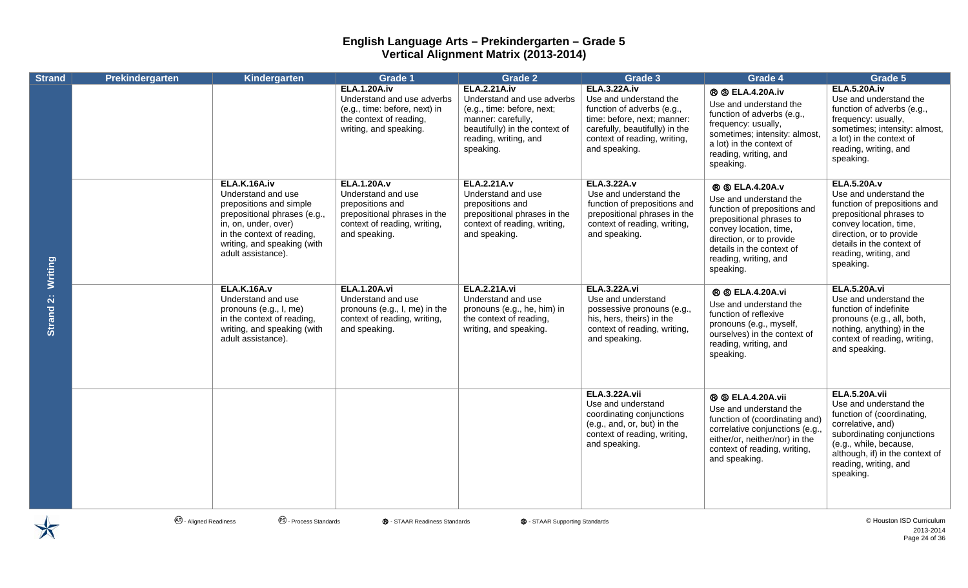| <b>Strand</b>                   | Prekindergarten | Kindergarten                                                                                                                                                                                             | Grade 1                                                                                                                                       | Grade 2                                                                                                                                                                       | Grade 3                                                                                                                                                                                       | Grade 4                                                                                                                                                                                                                               | Grade 5                                                                                                                                                                                                                            |
|---------------------------------|-----------------|----------------------------------------------------------------------------------------------------------------------------------------------------------------------------------------------------------|-----------------------------------------------------------------------------------------------------------------------------------------------|-------------------------------------------------------------------------------------------------------------------------------------------------------------------------------|-----------------------------------------------------------------------------------------------------------------------------------------------------------------------------------------------|---------------------------------------------------------------------------------------------------------------------------------------------------------------------------------------------------------------------------------------|------------------------------------------------------------------------------------------------------------------------------------------------------------------------------------------------------------------------------------|
| Writing<br>Strand <sub>2:</sub> |                 |                                                                                                                                                                                                          | <b>ELA.1.20A.iv</b><br>Understand and use adverbs<br>(e.g., time: before, next) in<br>the context of reading,<br>writing, and speaking.       | <b>ELA.2.21A.iv</b><br>Understand and use adverbs<br>(e.g., time: before, next;<br>manner: carefully,<br>beautifully) in the context of<br>reading, writing, and<br>speaking. | <b>ELA.3.22A.iv</b><br>Use and understand the<br>function of adverbs (e.g.,<br>time: before, next; manner:<br>carefully, beautifully) in the<br>context of reading, writing,<br>and speaking. | <b>® © ELA.4.20A.iv</b><br>Use and understand the<br>function of adverbs (e.g.,<br>frequency: usually,<br>sometimes; intensity: almost,<br>a lot) in the context of<br>reading, writing, and<br>speaking.                             | <b>ELA.5.20A.iv</b><br>Use and understand the<br>function of adverbs (e.g.,<br>frequency: usually,<br>sometimes; intensity: almost,<br>a lot) in the context of<br>reading, writing, and<br>speaking.                              |
|                                 |                 | ELA.K.16A.iv<br>Understand and use<br>prepositions and simple<br>prepositional phrases (e.g.,<br>in, on, under, over)<br>in the context of reading,<br>writing, and speaking (with<br>adult assistance). | <b>ELA.1.20A.v</b><br>Understand and use<br>prepositions and<br>prepositional phrases in the<br>context of reading, writing,<br>and speaking. | <b>ELA.2.21A.v</b><br>Understand and use<br>prepositions and<br>prepositional phrases in the<br>context of reading, writing,<br>and speaking.                                 | <b>ELA.3.22A.v</b><br>Use and understand the<br>function of prepositions and<br>prepositional phrases in the<br>context of reading, writing,<br>and speaking.                                 | <b>® © ELA.4.20A.v</b><br>Use and understand the<br>function of prepositions and<br>prepositional phrases to<br>convey location, time,<br>direction, or to provide<br>details in the context of<br>reading, writing, and<br>speaking. | <b>ELA.5.20A.v</b><br>Use and understand the<br>function of prepositions and<br>prepositional phrases to<br>convey location, time,<br>direction, or to provide<br>details in the context of<br>reading, writing, and<br>speaking.  |
|                                 |                 | <b>ELA.K.16A.v</b><br>Understand and use<br>pronouns (e.g., I, me)<br>in the context of reading,<br>writing, and speaking (with<br>adult assistance).                                                    | <b>ELA.1.20A.vi</b><br>Understand and use<br>pronouns (e.g., I, me) in the<br>context of reading, writing,<br>and speaking.                   | <b>ELA.2.21A.vi</b><br>Understand and use<br>pronouns (e.g., he, him) in<br>the context of reading,<br>writing, and speaking.                                                 | <b>ELA.3.22A.vi</b><br>Use and understand<br>possessive pronouns (e.g.,<br>his, hers, theirs) in the<br>context of reading, writing,<br>and speaking.                                         | <b>® © ELA.4.20A.vi</b><br>Use and understand the<br>function of reflexive<br>pronouns (e.g., myself,<br>ourselves) in the context of<br>reading, writing, and<br>speaking.                                                           | <b>ELA.5.20A.vi</b><br>Use and understand the<br>function of indefinite<br>pronouns (e.g., all, both,<br>nothing, anything) in the<br>context of reading, writing,<br>and speaking.                                                |
|                                 |                 |                                                                                                                                                                                                          |                                                                                                                                               |                                                                                                                                                                               | <b>ELA.3.22A.vii</b><br>Use and understand<br>coordinating conjunctions<br>(e.g., and, or, but) in the<br>context of reading, writing,<br>and speaking.                                       | <b>® © ELA.4.20A.vii</b><br>Use and understand the<br>function of (coordinating and)<br>correlative conjunctions (e.g.,<br>either/or, neither/nor) in the<br>context of reading, writing,<br>and speaking.                            | <b>ELA.5.20A.vii</b><br>Use and understand the<br>function of (coordinating,<br>correlative, and)<br>subordinating conjunctions<br>(e.g., while, because,<br>although, if) in the context of<br>reading, writing, and<br>speaking. |
|                                 |                 |                                                                                                                                                                                                          |                                                                                                                                               |                                                                                                                                                                               |                                                                                                                                                                                               |                                                                                                                                                                                                                                       |                                                                                                                                                                                                                                    |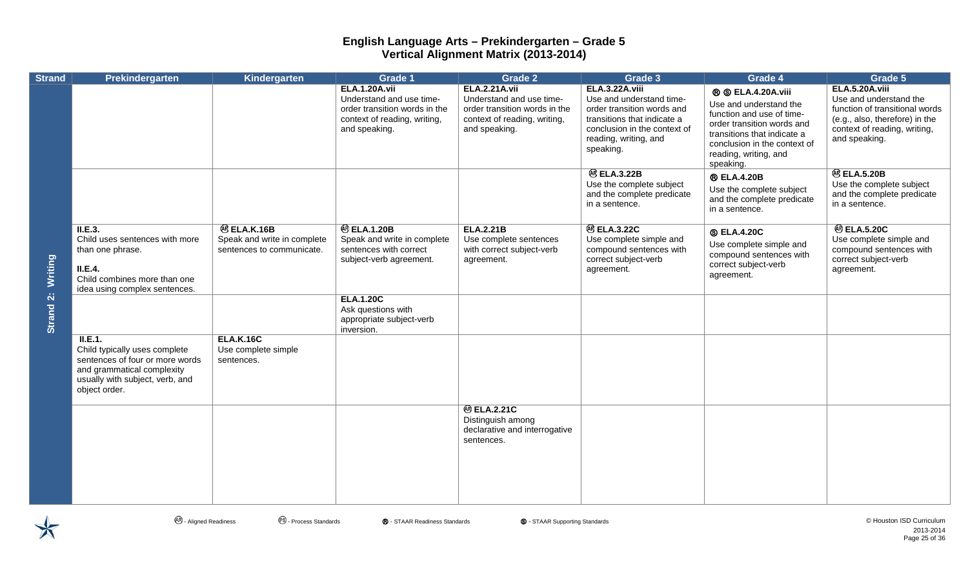| <b>Strand</b> | Prekindergarten                                                                                                                                               | Kindergarten                                                                  | <b>Grade 1</b>                                                                                                                     | <b>Grade 2</b>                                                                                                                     | Grade 3                                                                                                                                                                       | Grade 4                                                                                                                                                                                                             | Grade 5                                                                                                                                                       |
|---------------|---------------------------------------------------------------------------------------------------------------------------------------------------------------|-------------------------------------------------------------------------------|------------------------------------------------------------------------------------------------------------------------------------|------------------------------------------------------------------------------------------------------------------------------------|-------------------------------------------------------------------------------------------------------------------------------------------------------------------------------|---------------------------------------------------------------------------------------------------------------------------------------------------------------------------------------------------------------------|---------------------------------------------------------------------------------------------------------------------------------------------------------------|
|               |                                                                                                                                                               |                                                                               | <b>ELA.1.20A.vii</b><br>Understand and use time-<br>order transition words in the<br>context of reading, writing,<br>and speaking. | <b>ELA.2.21A.vii</b><br>Understand and use time-<br>order transition words in the<br>context of reading, writing,<br>and speaking. | ELA.3.22A.viii<br>Use and understand time-<br>order transition words and<br>transitions that indicate a<br>conclusion in the context of<br>reading, writing, and<br>speaking. | <b>® © ELA.4.20A.viii</b><br>Use and understand the<br>function and use of time-<br>order transition words and<br>transitions that indicate a<br>conclusion in the context of<br>reading, writing, and<br>speaking. | ELA.5.20A.viii<br>Use and understand the<br>function of transitional words<br>(e.g., also, therefore) in the<br>context of reading, writing,<br>and speaking. |
|               |                                                                                                                                                               |                                                                               |                                                                                                                                    |                                                                                                                                    | <b>@ ELA.3.22B</b><br>Use the complete subject<br>and the complete predicate<br>in a sentence.                                                                                | <b>® ELA.4.20B</b><br>Use the complete subject<br>and the complete predicate<br>in a sentence.                                                                                                                      | <b>@ ELA.5.20B</b><br>Use the complete subject<br>and the complete predicate<br>in a sentence.                                                                |
| Writing       | II.E.3.<br>Child uses sentences with more<br>than one phrase.<br>II.E.4.<br>Child combines more than one<br>idea using complex sentences.                     | <b>@ELA.K.16B</b><br>Speak and write in complete<br>sentences to communicate. | <b>@ ELA.1.20B</b><br>Speak and write in complete<br>sentences with correct<br>subject-verb agreement.                             | <b>ELA.2.21B</b><br>Use complete sentences<br>with correct subject-verb<br>agreement.                                              | <b>@ ELA.3.22C</b><br>Use complete simple and<br>compound sentences with<br>correct subject-verb<br>agreement.                                                                | <b>SELA.4.20C</b><br>Use complete simple and<br>compound sentences with<br>correct subject-verb<br>agreement.                                                                                                       | <b>@ ELA.5.20C</b><br>Use complete simple and<br>compound sentences with<br>correct subject-verb<br>agreement.                                                |
| Strand 2:     |                                                                                                                                                               |                                                                               | <b>ELA.1.20C</b><br>Ask questions with<br>appropriate subject-verb<br>inversion.                                                   |                                                                                                                                    |                                                                                                                                                                               |                                                                                                                                                                                                                     |                                                                                                                                                               |
|               | II.E.1.<br>Child typically uses complete<br>sentences of four or more words<br>and grammatical complexity<br>usually with subject, verb, and<br>object order. | <b>ELA.K.16C</b><br>Use complete simple<br>sentences.                         |                                                                                                                                    |                                                                                                                                    |                                                                                                                                                                               |                                                                                                                                                                                                                     |                                                                                                                                                               |
|               |                                                                                                                                                               |                                                                               |                                                                                                                                    | <b>@ ELA.2.21C</b><br>Distinguish among<br>declarative and interrogative<br>sentences.                                             |                                                                                                                                                                               |                                                                                                                                                                                                                     |                                                                                                                                                               |
|               |                                                                                                                                                               |                                                                               |                                                                                                                                    |                                                                                                                                    |                                                                                                                                                                               |                                                                                                                                                                                                                     |                                                                                                                                                               |

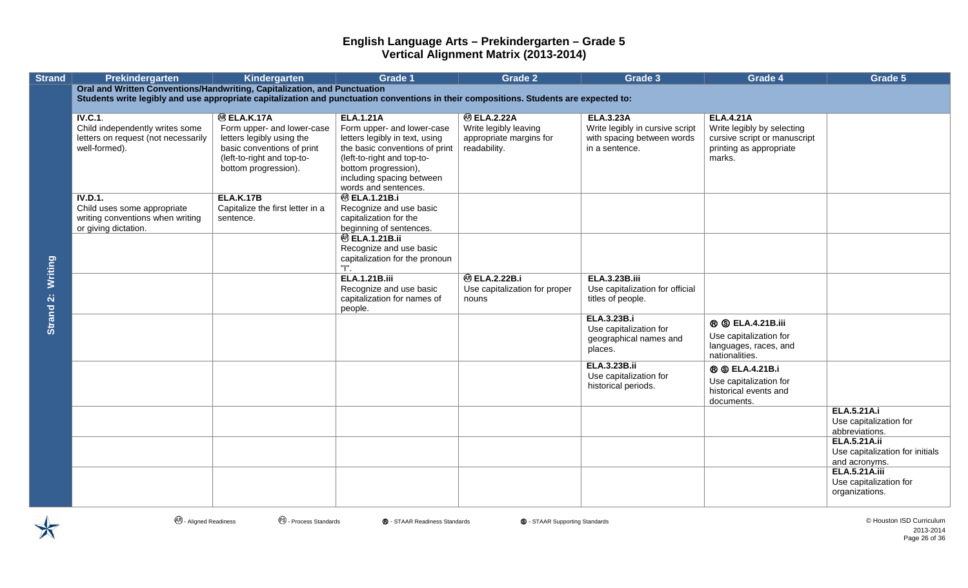| <b>Strand</b> | Prekindergarten                                                                                                                        | Kindergarten                                                                                                                                                      | <b>Grade 1</b>                                                                                                                                                                                        | <b>Grade 2</b>                                                                         | Grade 3                                                                                             | Grade 4                                                                                                             | Grade 5                                                                 |
|---------------|----------------------------------------------------------------------------------------------------------------------------------------|-------------------------------------------------------------------------------------------------------------------------------------------------------------------|-------------------------------------------------------------------------------------------------------------------------------------------------------------------------------------------------------|----------------------------------------------------------------------------------------|-----------------------------------------------------------------------------------------------------|---------------------------------------------------------------------------------------------------------------------|-------------------------------------------------------------------------|
|               | Oral and Written Conventions/Handwriting, Capitalization, and Punctuation                                                              |                                                                                                                                                                   |                                                                                                                                                                                                       |                                                                                        |                                                                                                     |                                                                                                                     |                                                                         |
|               | Students write legibly and use appropriate capitalization and punctuation conventions in their compositions. Students are expected to: |                                                                                                                                                                   |                                                                                                                                                                                                       |                                                                                        |                                                                                                     |                                                                                                                     |                                                                         |
|               | IV.C.1.<br>Child independently writes some<br>letters on request (not necessarily<br>well-formed).                                     | <b>@ ELA.K.17A</b><br>Form upper- and lower-case<br>letters legibly using the<br>basic conventions of print<br>(left-to-right and top-to-<br>bottom progression). | <b>ELA.1.21A</b><br>Form upper- and lower-case<br>letters legibly in text, using<br>the basic conventions of print<br>(left-to-right and top-to-<br>bottom progression),<br>including spacing between | <b>@ ELA.2.22A</b><br>Write legibly leaving<br>appropriate margins for<br>readability. | <b>ELA.3.23A</b><br>Write legibly in cursive script<br>with spacing between words<br>in a sentence. | <b>ELA.4.21A</b><br>Write legibly by selecting<br>cursive script or manuscript<br>printing as appropriate<br>marks. |                                                                         |
|               | IV.D.1.<br>Child uses some appropriate<br>writing conventions when writing<br>or giving dictation.                                     | <b>ELA.K.17B</b><br>Capitalize the first letter in a<br>sentence.                                                                                                 | words and sentences.<br><b>@ ELA.1.21B.i</b><br>Recognize and use basic<br>capitalization for the<br>beginning of sentences.                                                                          |                                                                                        |                                                                                                     |                                                                                                                     |                                                                         |
| Writing       |                                                                                                                                        |                                                                                                                                                                   | <b>@ ELA.1.21B.ii</b><br>Recognize and use basic<br>capitalization for the pronoun<br>"I".                                                                                                            |                                                                                        |                                                                                                     |                                                                                                                     |                                                                         |
| Strand 2:     |                                                                                                                                        |                                                                                                                                                                   | <b>ELA.1.21B.iii</b><br>Recognize and use basic<br>capitalization for names of<br>people.                                                                                                             | <b>@ ELA.2.22B.i</b><br>Use capitalization for proper<br>nouns                         | <b>ELA.3.23B.iii</b><br>Use capitalization for official<br>titles of people.                        |                                                                                                                     |                                                                         |
|               |                                                                                                                                        |                                                                                                                                                                   |                                                                                                                                                                                                       |                                                                                        | ELA.3.23B.i<br>Use capitalization for<br>geographical names and<br>places.                          | <b>® © ELA.4.21B.iii</b><br>Use capitalization for<br>languages, races, and<br>nationalities.                       |                                                                         |
|               |                                                                                                                                        |                                                                                                                                                                   |                                                                                                                                                                                                       |                                                                                        | <b>ELA.3.23B.ii</b><br>Use capitalization for<br>historical periods.                                | <b>® ©</b> ELA.4.21B.i<br>Use capitalization for<br>historical events and<br>documents.                             |                                                                         |
|               |                                                                                                                                        |                                                                                                                                                                   |                                                                                                                                                                                                       |                                                                                        |                                                                                                     |                                                                                                                     | <b>ELA.5.21A.i</b><br>Use capitalization for<br>abbreviations.          |
|               |                                                                                                                                        |                                                                                                                                                                   |                                                                                                                                                                                                       |                                                                                        |                                                                                                     |                                                                                                                     | <b>ELA.5.21A.ii</b><br>Use capitalization for initials<br>and acronyms. |
|               |                                                                                                                                        |                                                                                                                                                                   |                                                                                                                                                                                                       |                                                                                        |                                                                                                     |                                                                                                                     | <b>ELA.5.21A.iii</b><br>Use capitalization for<br>organizations.        |

- Aligned Readiness - Process Standards Ⓡ - STAAR Readiness Standards Ⓢ - STAAR Supporting Standards © Houston ISD Curriculum 2013-2014 Page 26 of 36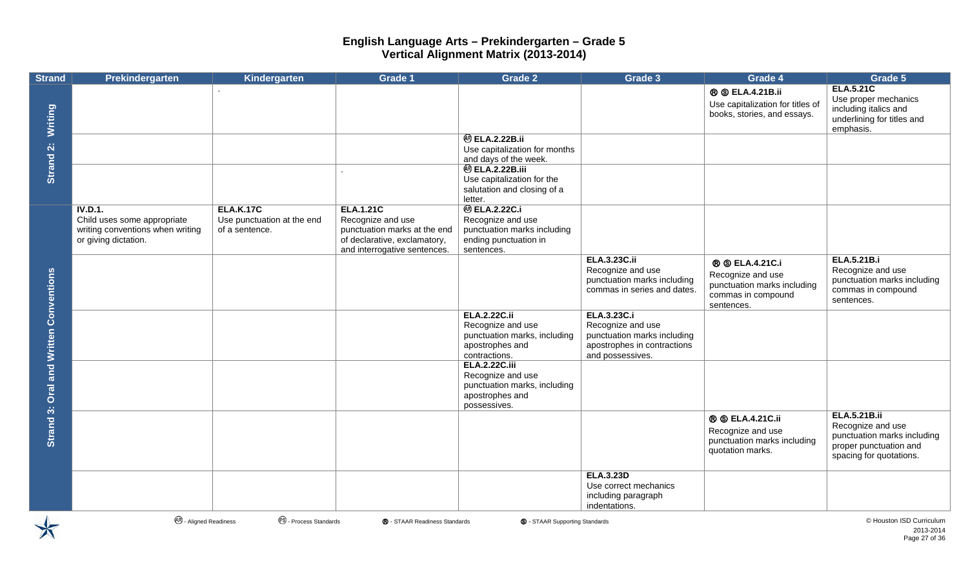| <b>Strand</b>                       | Prekindergarten                                                                                    | Kindergarten                                                     | Grade 1                                                                                                                               | <b>Grade 2</b>                                                                                                  | Grade 3                                                                                                                   | Grade 4                                                                                                        | Grade 5                                                                                                                      |
|-------------------------------------|----------------------------------------------------------------------------------------------------|------------------------------------------------------------------|---------------------------------------------------------------------------------------------------------------------------------------|-----------------------------------------------------------------------------------------------------------------|---------------------------------------------------------------------------------------------------------------------------|----------------------------------------------------------------------------------------------------------------|------------------------------------------------------------------------------------------------------------------------------|
| Writing                             |                                                                                                    |                                                                  |                                                                                                                                       |                                                                                                                 |                                                                                                                           | <b>® © ELA.4.21B.ii</b><br>Use capitalization for titles of<br>books, stories, and essays.                     | <b>ELA.5.21C</b><br>Use proper mechanics<br>including italics and<br>underlining for titles and<br>emphasis.                 |
|                                     |                                                                                                    |                                                                  |                                                                                                                                       | <b>@ ELA.2.22B.ii</b><br>Use capitalization for months<br>and days of the week.                                 |                                                                                                                           |                                                                                                                |                                                                                                                              |
| Strand 2:                           |                                                                                                    |                                                                  | $\cdot$                                                                                                                               | <b>@ ELA.2.22B.iii</b><br>Use capitalization for the<br>salutation and closing of a<br>letter.                  |                                                                                                                           |                                                                                                                |                                                                                                                              |
|                                     | IV.D.1.<br>Child uses some appropriate<br>writing conventions when writing<br>or giving dictation. | <b>ELA.K.17C</b><br>Use punctuation at the end<br>of a sentence. | <b>ELA.1.21C</b><br>Recognize and use<br>punctuation marks at the end<br>of declarative, exclamatory,<br>and interrogative sentences. | <b>@ ELA.2.22C.i</b><br>Recognize and use<br>punctuation marks including<br>ending punctuation in<br>sentences. |                                                                                                                           |                                                                                                                |                                                                                                                              |
|                                     |                                                                                                    |                                                                  |                                                                                                                                       |                                                                                                                 | <b>ELA.3.23C.ii</b><br>Recognize and use<br>punctuation marks including<br>commas in series and dates.                    | <b>® ©</b> ELA.4.21C.i<br>Recognize and use<br>punctuation marks including<br>commas in compound<br>sentences. | <b>ELA.5.21B.i</b><br>Recognize and use<br>punctuation marks including<br>commas in compound<br>sentences.                   |
| <b>Oral and Written Conventions</b> |                                                                                                    |                                                                  |                                                                                                                                       | <b>ELA.2.22C.ii</b><br>Recognize and use<br>punctuation marks, including<br>apostrophes and<br>contractions.    | <b>ELA.3.23C.i</b><br>Recognize and use<br>punctuation marks including<br>apostrophes in contractions<br>and possessives. |                                                                                                                |                                                                                                                              |
|                                     |                                                                                                    |                                                                  |                                                                                                                                       | <b>ELA.2.22C.iii</b><br>Recognize and use<br>punctuation marks, including<br>apostrophes and<br>possessives.    |                                                                                                                           |                                                                                                                |                                                                                                                              |
| Strand 3:                           |                                                                                                    |                                                                  |                                                                                                                                       |                                                                                                                 |                                                                                                                           | <b>® © ELA.4.21C.ii</b><br>Recognize and use<br>punctuation marks including<br>quotation marks.                | <b>ELA.5.21B.ii</b><br>Recognize and use<br>punctuation marks including<br>proper punctuation and<br>spacing for quotations. |
|                                     | <b>AR</b> - Aligned Readiness                                                                      | <sup>®</sup> - Process Standards                                 | ® - STAAR Readiness Standards                                                                                                         | <b>S</b> - STAAR Supporting Standards                                                                           | <b>ELA.3.23D</b><br>Use correct mechanics<br>including paragraph<br>indentations.                                         |                                                                                                                | © Houston ISD Curriculum                                                                                                     |

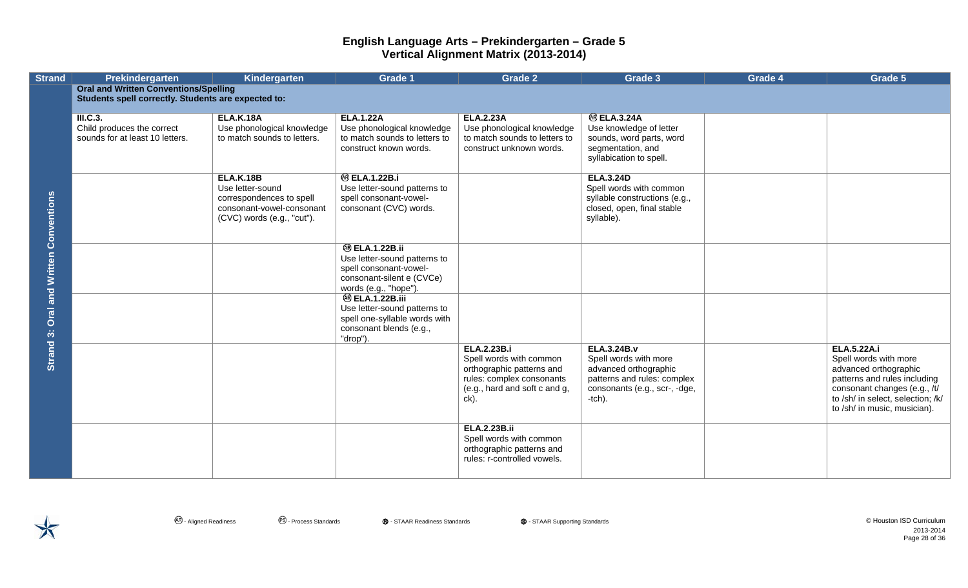| <b>Strand</b>                          | Prekindergarten                                     | Kindergarten                                          | Grade 1                                          | <b>Grade 2</b>                                             | Grade 3                                                     | Grade 4 | Grade 5                                               |
|----------------------------------------|-----------------------------------------------------|-------------------------------------------------------|--------------------------------------------------|------------------------------------------------------------|-------------------------------------------------------------|---------|-------------------------------------------------------|
|                                        | <b>Oral and Written Conventions/Spelling</b>        |                                                       |                                                  |                                                            |                                                             |         |                                                       |
|                                        | Students spell correctly. Students are expected to: |                                                       |                                                  |                                                            |                                                             |         |                                                       |
|                                        | <b>III.C.3.</b>                                     | <b>ELA.K.18A</b>                                      | <b>ELA.1.22A</b>                                 | <b>ELA.2.23A</b>                                           | <b>@BLA.3.24A</b>                                           |         |                                                       |
|                                        | Child produces the correct                          | Use phonological knowledge                            | Use phonological knowledge                       | Use phonological knowledge                                 | Use knowledge of letter                                     |         |                                                       |
|                                        | sounds for at least 10 letters.                     | to match sounds to letters.                           | to match sounds to letters to                    | to match sounds to letters to                              | sounds, word parts, word                                    |         |                                                       |
|                                        |                                                     |                                                       | construct known words.                           | construct unknown words.                                   | segmentation, and                                           |         |                                                       |
|                                        |                                                     |                                                       |                                                  |                                                            | syllabication to spell.                                     |         |                                                       |
|                                        |                                                     |                                                       |                                                  |                                                            |                                                             |         |                                                       |
|                                        |                                                     | <b>ELA.K.18B</b>                                      | <b>@ ELA.1.22B.i</b>                             |                                                            | <b>ELA.3.24D</b>                                            |         |                                                       |
|                                        |                                                     | Use letter-sound                                      | Use letter-sound patterns to                     |                                                            | Spell words with common                                     |         |                                                       |
|                                        |                                                     | correspondences to spell<br>consonant-vowel-consonant | spell consonant-vowel-<br>consonant (CVC) words. |                                                            | syllable constructions (e.g.,<br>closed, open, final stable |         |                                                       |
|                                        |                                                     | (CVC) words (e.g., "cut").                            |                                                  |                                                            | syllable).                                                  |         |                                                       |
|                                        |                                                     |                                                       |                                                  |                                                            |                                                             |         |                                                       |
| Strand 3: Oral and Written Conventions |                                                     |                                                       |                                                  |                                                            |                                                             |         |                                                       |
|                                        |                                                     |                                                       | <b>@ ELA.1.22B.ii</b>                            |                                                            |                                                             |         |                                                       |
|                                        |                                                     |                                                       | Use letter-sound patterns to                     |                                                            |                                                             |         |                                                       |
|                                        |                                                     |                                                       | spell consonant-vowel-                           |                                                            |                                                             |         |                                                       |
|                                        |                                                     |                                                       | consonant-silent e (CVCe)                        |                                                            |                                                             |         |                                                       |
|                                        |                                                     |                                                       | words (e.g., "hope").<br><b>@ ELA.1.22B.iii</b>  |                                                            |                                                             |         |                                                       |
|                                        |                                                     |                                                       | Use letter-sound patterns to                     |                                                            |                                                             |         |                                                       |
|                                        |                                                     |                                                       | spell one-syllable words with                    |                                                            |                                                             |         |                                                       |
|                                        |                                                     |                                                       | consonant blends (e.g.,                          |                                                            |                                                             |         |                                                       |
|                                        |                                                     |                                                       | "drop").                                         |                                                            |                                                             |         |                                                       |
|                                        |                                                     |                                                       |                                                  | <b>ELA.2.23B.i</b>                                         | <b>ELA.3.24B.v</b>                                          |         | <b>ELA.5.22A.i</b>                                    |
|                                        |                                                     |                                                       |                                                  | Spell words with common                                    | Spell words with more                                       |         | Spell words with more                                 |
|                                        |                                                     |                                                       |                                                  | orthographic patterns and                                  | advanced orthographic<br>patterns and rules: complex        |         | advanced orthographic<br>patterns and rules including |
|                                        |                                                     |                                                       |                                                  | rules: complex consonants<br>(e.g., hard and soft c and g, | consonants (e.g., scr-, -dge,                               |         | consonant changes (e.g., /t/                          |
|                                        |                                                     |                                                       |                                                  | ck).                                                       | $-tch$ ).                                                   |         | to /sh/ in select, selection; /k/                     |
|                                        |                                                     |                                                       |                                                  |                                                            |                                                             |         | to /sh/ in music, musician).                          |
|                                        |                                                     |                                                       |                                                  |                                                            |                                                             |         |                                                       |
|                                        |                                                     |                                                       |                                                  | <b>ELA.2.23B.ii</b>                                        |                                                             |         |                                                       |
|                                        |                                                     |                                                       |                                                  | Spell words with common                                    |                                                             |         |                                                       |
|                                        |                                                     |                                                       |                                                  | orthographic patterns and                                  |                                                             |         |                                                       |
|                                        |                                                     |                                                       |                                                  | rules: r-controlled vowels.                                |                                                             |         |                                                       |
|                                        |                                                     |                                                       |                                                  |                                                            |                                                             |         |                                                       |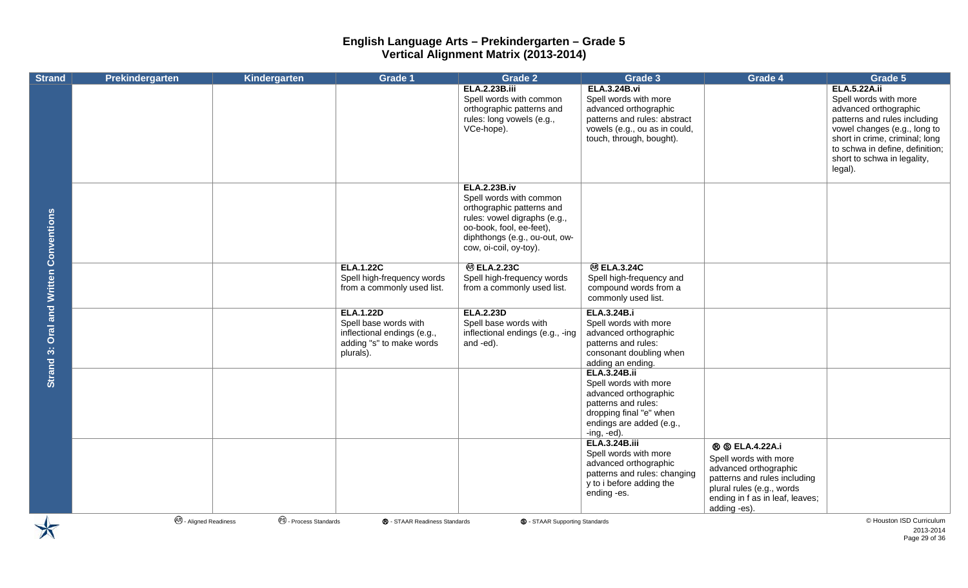| <b>Strand</b>                                 | Prekindergarten                   | Kindergarten                   | Grade 1                       | Grade 2                               | Grade 3                                                  | Grade 4                         | Grade 5                         |
|-----------------------------------------------|-----------------------------------|--------------------------------|-------------------------------|---------------------------------------|----------------------------------------------------------|---------------------------------|---------------------------------|
|                                               |                                   |                                |                               | <b>ELA.2.23B.iii</b>                  | <b>ELA.3.24B.vi</b>                                      |                                 | <b>ELA.5.22A.ii</b>             |
|                                               |                                   |                                |                               | Spell words with common               | Spell words with more                                    |                                 | Spell words with more           |
|                                               |                                   |                                |                               | orthographic patterns and             | advanced orthographic                                    |                                 | advanced orthographic           |
|                                               |                                   |                                |                               | rules: long vowels (e.g.,             | patterns and rules: abstract                             |                                 | patterns and rules including    |
|                                               |                                   |                                |                               | VCe-hope).                            | vowels (e.g., ou as in could,                            |                                 | vowel changes (e.g., long to    |
|                                               |                                   |                                |                               |                                       | touch, through, bought).                                 |                                 | short in crime, criminal; long  |
|                                               |                                   |                                |                               |                                       |                                                          |                                 | to schwa in define, definition; |
|                                               |                                   |                                |                               |                                       |                                                          |                                 | short to schwa in legality,     |
|                                               |                                   |                                |                               |                                       |                                                          |                                 | legal).                         |
|                                               |                                   |                                |                               | <b>ELA.2.23B.iv</b>                   |                                                          |                                 |                                 |
|                                               |                                   |                                |                               | Spell words with common               |                                                          |                                 |                                 |
|                                               |                                   |                                |                               | orthographic patterns and             |                                                          |                                 |                                 |
|                                               |                                   |                                |                               | rules: vowel digraphs (e.g.,          |                                                          |                                 |                                 |
|                                               |                                   |                                |                               | oo-book, fool, ee-feet),              |                                                          |                                 |                                 |
|                                               |                                   |                                |                               | diphthongs (e.g., ou-out, ow-         |                                                          |                                 |                                 |
|                                               |                                   |                                |                               | cow, oi-coil, oy-toy).                |                                                          |                                 |                                 |
|                                               |                                   |                                | <b>ELA.1.22C</b>              | <b>@ ELA.2.23C</b>                    | <b>@ ELA.3.24C</b>                                       |                                 |                                 |
|                                               |                                   |                                | Spell high-frequency words    | Spell high-frequency words            | Spell high-frequency and                                 |                                 |                                 |
|                                               |                                   |                                | from a commonly used list.    | from a commonly used list.            | compound words from a                                    |                                 |                                 |
|                                               |                                   |                                |                               |                                       | commonly used list.                                      |                                 |                                 |
| <b>Strand 3: Oral and Written Conventions</b> |                                   |                                | <b>ELA.1.22D</b>              | <b>ELA.2.23D</b>                      | ELA.3.24B.i                                              |                                 |                                 |
|                                               |                                   |                                | Spell base words with         | Spell base words with                 | Spell words with more                                    |                                 |                                 |
|                                               |                                   |                                | inflectional endings (e.g.,   | inflectional endings (e.g., -ing      | advanced orthographic                                    |                                 |                                 |
|                                               |                                   |                                | adding "s" to make words      | and -ed).                             | patterns and rules:                                      |                                 |                                 |
|                                               |                                   |                                | plurals).                     |                                       | consonant doubling when                                  |                                 |                                 |
|                                               |                                   |                                |                               |                                       | adding an ending.<br><b>ELA.3.24B.ii</b>                 |                                 |                                 |
|                                               |                                   |                                |                               |                                       | Spell words with more                                    |                                 |                                 |
|                                               |                                   |                                |                               |                                       | advanced orthographic                                    |                                 |                                 |
|                                               |                                   |                                |                               |                                       | patterns and rules:                                      |                                 |                                 |
|                                               |                                   |                                |                               |                                       | dropping final "e" when                                  |                                 |                                 |
|                                               |                                   |                                |                               |                                       | endings are added (e.g.,                                 |                                 |                                 |
|                                               |                                   |                                |                               |                                       | $-ing, -ed)$ .                                           |                                 |                                 |
|                                               |                                   |                                |                               |                                       | <b>ELA.3.24B.iii</b>                                     | <b>® ©</b> ELA.4.22A.i          |                                 |
|                                               |                                   |                                |                               |                                       | Spell words with more                                    | Spell words with more           |                                 |
|                                               |                                   |                                |                               |                                       | advanced orthographic                                    | advanced orthographic           |                                 |
|                                               |                                   |                                |                               |                                       | patterns and rules: changing<br>y to i before adding the | patterns and rules including    |                                 |
|                                               |                                   |                                |                               |                                       | ending -es.                                              | plural rules (e.g., words       |                                 |
|                                               |                                   |                                |                               |                                       |                                                          | ending in f as in leaf, leaves; |                                 |
|                                               |                                   |                                |                               |                                       |                                                          | adding -es).                    |                                 |
|                                               | <sup>48</sup> - Aligned Readiness | <sup>®</sup> Process Standards | ® - STAAR Readiness Standards | <b>S</b> - STAAR Supporting Standards |                                                          |                                 | © Houston ISD Curriculum        |

2013-2014 Page 29 of 36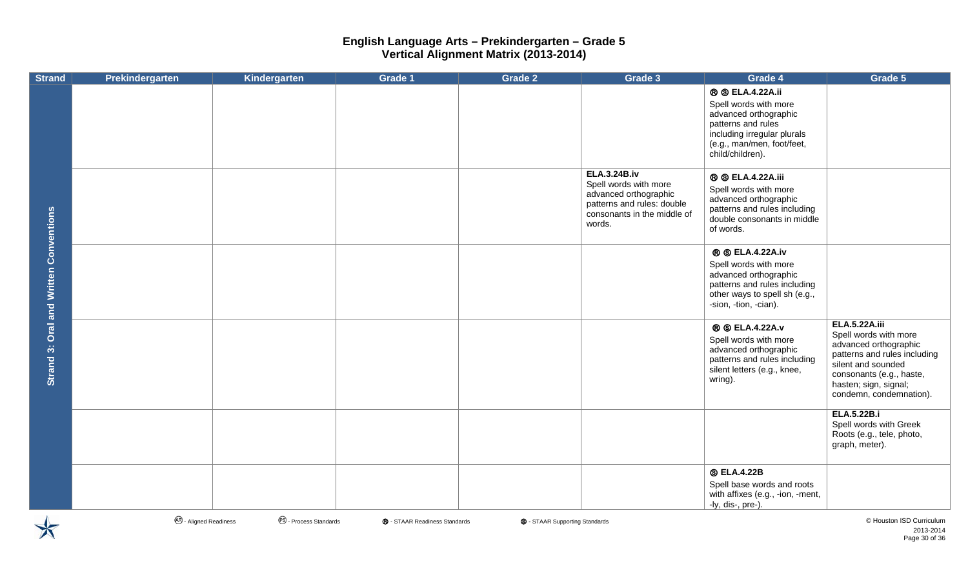| <b>Strand</b>                          | Prekindergarten               | Kindergarten                     | <b>Grade 1</b>                | Grade 2                               | Grade 3                                                                                                                                      | Grade 4                                                                                                                                                                          | Grade 5                                                                                                                                                                                                      |
|----------------------------------------|-------------------------------|----------------------------------|-------------------------------|---------------------------------------|----------------------------------------------------------------------------------------------------------------------------------------------|----------------------------------------------------------------------------------------------------------------------------------------------------------------------------------|--------------------------------------------------------------------------------------------------------------------------------------------------------------------------------------------------------------|
|                                        |                               |                                  |                               |                                       |                                                                                                                                              | <b>® © ELA.4.22A.ii</b><br>Spell words with more<br>advanced orthographic<br>patterns and rules<br>including irregular plurals<br>(e.g., man/men, foot/feet,<br>child/children). |                                                                                                                                                                                                              |
|                                        |                               |                                  |                               |                                       | <b>ELA.3.24B.iv</b><br>Spell words with more<br>advanced orthographic<br>patterns and rules: double<br>consonants in the middle of<br>words. | <b>® © ELA.4.22A.iii</b><br>Spell words with more<br>advanced orthographic<br>patterns and rules including<br>double consonants in middle<br>of words.                           |                                                                                                                                                                                                              |
| Strand 3: Oral and Written Conventions |                               |                                  |                               |                                       |                                                                                                                                              | <b>® © ELA.4.22A.iv</b><br>Spell words with more<br>advanced orthographic<br>patterns and rules including<br>other ways to spell sh (e.g.,<br>-sion, -tion, -cian).              |                                                                                                                                                                                                              |
|                                        |                               |                                  |                               |                                       |                                                                                                                                              | <b>® © ELA.4.22A.v</b><br>Spell words with more<br>advanced orthographic<br>patterns and rules including<br>silent letters (e.g., knee,<br>wring).                               | <b>ELA.5.22A.iii</b><br>Spell words with more<br>advanced orthographic<br>patterns and rules including<br>silent and sounded<br>consonants (e.g., haste,<br>hasten; sign, signal;<br>condemn, condemnation). |
|                                        |                               |                                  |                               |                                       |                                                                                                                                              |                                                                                                                                                                                  | <b>ELA.5.22B.i</b><br>Spell words with Greek<br>Roots (e.g., tele, photo,<br>graph, meter).                                                                                                                  |
|                                        |                               |                                  |                               |                                       |                                                                                                                                              | <b>S ELA.4.22B</b><br>Spell base words and roots<br>with affixes (e.g., -ion, -ment,<br>-ly, dis-, pre-).                                                                        |                                                                                                                                                                                                              |
|                                        | <b>48</b> - Aligned Readiness | <sup>®</sup> - Process Standards | ® - STAAR Readiness Standards | <b>S</b> - STAAR Supporting Standards |                                                                                                                                              |                                                                                                                                                                                  | © Houston ISD Curriculum                                                                                                                                                                                     |

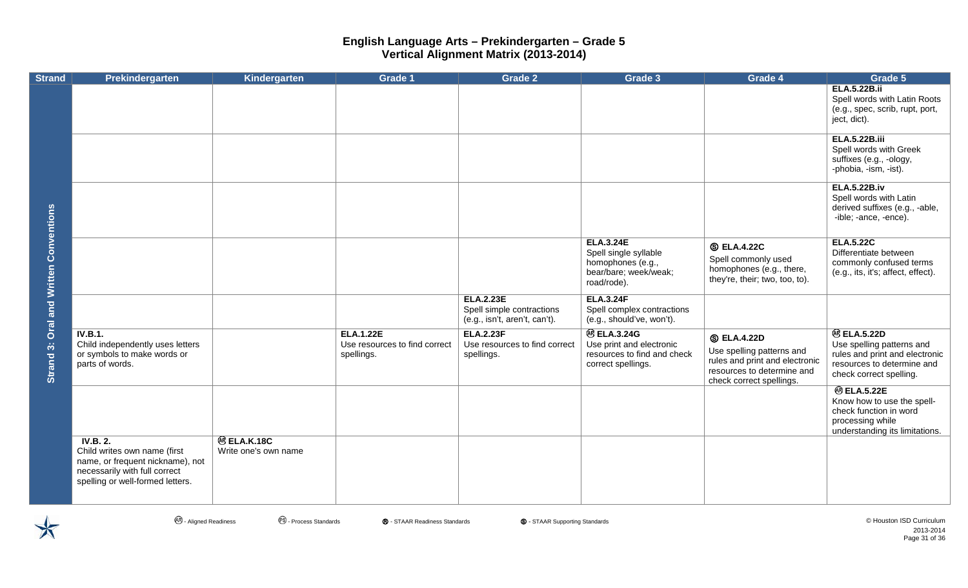| <b>Strand</b>                       | Prekindergarten                                                                                                                                   | Kindergarten                               | <b>Grade 1</b>                                                  | <b>Grade 2</b>                                                                 | Grade 3                                                                                                | Grade 4                                                                                                                                     | Grade 5                                                                                                                                    |
|-------------------------------------|---------------------------------------------------------------------------------------------------------------------------------------------------|--------------------------------------------|-----------------------------------------------------------------|--------------------------------------------------------------------------------|--------------------------------------------------------------------------------------------------------|---------------------------------------------------------------------------------------------------------------------------------------------|--------------------------------------------------------------------------------------------------------------------------------------------|
|                                     |                                                                                                                                                   |                                            |                                                                 |                                                                                |                                                                                                        |                                                                                                                                             | <b>ELA.5.22B.ii</b><br>Spell words with Latin Roots<br>(e.g., spec, scrib, rupt, port,<br>ject, dict).                                     |
|                                     |                                                                                                                                                   |                                            |                                                                 |                                                                                |                                                                                                        |                                                                                                                                             | <b>ELA.5.22B.iii</b><br>Spell words with Greek<br>suffixes (e.g., -ology,<br>-phobia, -ism, -ist).                                         |
|                                     |                                                                                                                                                   |                                            |                                                                 |                                                                                |                                                                                                        |                                                                                                                                             | <b>ELA.5.22B.iv</b><br>Spell words with Latin<br>derived suffixes (e.g., -able,<br>-ible; -ance, -ence).                                   |
| <b>Oral and Written Conventions</b> |                                                                                                                                                   |                                            |                                                                 |                                                                                | <b>ELA.3.24E</b><br>Spell single syllable<br>homophones (e.g.,<br>bear/bare; week/weak;<br>road/rode). | <b>S ELA.4.22C</b><br>Spell commonly used<br>homophones (e.g., there,<br>they're, their; two, too, to).                                     | <b>ELA.5.22C</b><br>Differentiate between<br>commonly confused terms<br>(e.g., its, it's; affect, effect).                                 |
|                                     |                                                                                                                                                   |                                            |                                                                 | <b>ELA.2.23E</b><br>Spell simple contractions<br>(e.g., isn't, aren't, can't). | <b>ELA.3.24F</b><br>Spell complex contractions<br>(e.g., should've, won't).                            |                                                                                                                                             |                                                                                                                                            |
| Strand 3:                           | <b>IV.B.1.</b><br>Child independently uses letters<br>or symbols to make words or<br>parts of words.                                              |                                            | <b>ELA.1.22E</b><br>Use resources to find correct<br>spellings. | <b>ELA.2.23F</b><br>Use resources to find correct<br>spellings.                | <b>@ELA.3.24G</b><br>Use print and electronic<br>resources to find and check<br>correct spellings.     | <b>S ELA.4.22D</b><br>Use spelling patterns and<br>rules and print and electronic<br>resources to determine and<br>check correct spellings. | <b>@ ELA.5.22D</b><br>Use spelling patterns and<br>rules and print and electronic<br>resources to determine and<br>check correct spelling. |
|                                     |                                                                                                                                                   |                                            |                                                                 |                                                                                |                                                                                                        |                                                                                                                                             | <b>@ELA.5.22E</b><br>Know how to use the spell-<br>check function in word<br>processing while<br>understanding its limitations.            |
|                                     | IV.B. 2.<br>Child writes own name (first<br>name, or frequent nickname), not<br>necessarily with full correct<br>spelling or well-formed letters. | <b>@ ELA.K.18C</b><br>Write one's own name |                                                                 |                                                                                |                                                                                                        |                                                                                                                                             |                                                                                                                                            |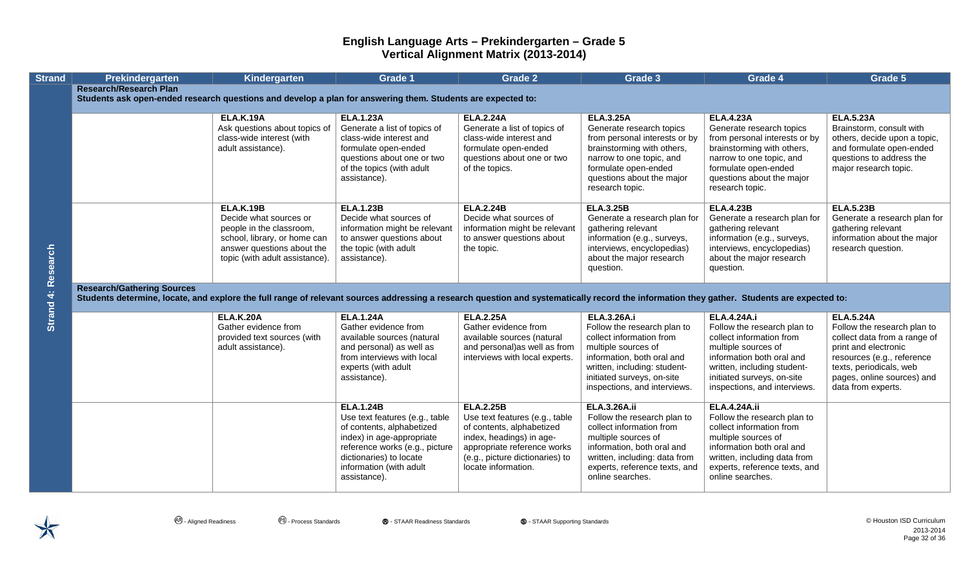| <b>Strand</b>      | Prekindergarten                                                                                                                                                                            | Kindergarten                                               | <b>Grade 1</b>                                              | <b>Grade 2</b>                                                 | Grade 3                                                   | Grade 4                                                   | Grade 5                                            |
|--------------------|--------------------------------------------------------------------------------------------------------------------------------------------------------------------------------------------|------------------------------------------------------------|-------------------------------------------------------------|----------------------------------------------------------------|-----------------------------------------------------------|-----------------------------------------------------------|----------------------------------------------------|
|                    | <b>Research/Research Plan</b>                                                                                                                                                              |                                                            |                                                             |                                                                |                                                           |                                                           |                                                    |
|                    | Students ask open-ended research questions and develop a plan for answering them. Students are expected to:                                                                                |                                                            |                                                             |                                                                |                                                           |                                                           |                                                    |
|                    |                                                                                                                                                                                            | <b>ELA.K.19A</b>                                           | <b>ELA.1.23A</b>                                            | <b>ELA.2.24A</b>                                               | <b>ELA.3.25A</b>                                          | <b>ELA.4.23A</b>                                          | <b>ELA.5.23A</b>                                   |
|                    |                                                                                                                                                                                            | Ask questions about topics of                              | Generate a list of topics of                                | Generate a list of topics of                                   | Generate research topics                                  | Generate research topics                                  | Brainstorm, consult with                           |
|                    |                                                                                                                                                                                            | class-wide interest (with                                  | class-wide interest and                                     | class-wide interest and                                        | from personal interests or by                             | from personal interests or by                             | others, decide upon a topic,                       |
|                    |                                                                                                                                                                                            | adult assistance).                                         | formulate open-ended                                        | formulate open-ended                                           | brainstorming with others,                                | brainstorming with others,                                | and formulate open-ended                           |
|                    |                                                                                                                                                                                            |                                                            | questions about one or two                                  | questions about one or two                                     | narrow to one topic, and                                  | narrow to one topic, and                                  | questions to address the                           |
|                    |                                                                                                                                                                                            |                                                            | of the topics (with adult                                   | of the topics.                                                 | formulate open-ended                                      | formulate open-ended                                      | major research topic.                              |
|                    |                                                                                                                                                                                            |                                                            | assistance).                                                |                                                                | questions about the major<br>research topic.              | questions about the major<br>research topic.              |                                                    |
|                    |                                                                                                                                                                                            |                                                            |                                                             |                                                                |                                                           |                                                           |                                                    |
|                    |                                                                                                                                                                                            | <b>ELA.K.19B</b>                                           | <b>ELA.1.23B</b>                                            | <b>ELA.2.24B</b>                                               | <b>ELA.3.25B</b>                                          | <b>ELA.4.23B</b>                                          | <b>ELA.5.23B</b>                                   |
|                    |                                                                                                                                                                                            | Decide what sources or                                     | Decide what sources of                                      | Decide what sources of                                         | Generate a research plan for                              | Generate a research plan for                              | Generate a research plan for                       |
|                    |                                                                                                                                                                                            | people in the classroom,                                   | information might be relevant                               | information might be relevant                                  | gathering relevant                                        | gathering relevant                                        | gathering relevant                                 |
|                    |                                                                                                                                                                                            | school, library, or home can<br>answer questions about the | to answer questions about<br>the topic (with adult          | to answer questions about<br>the topic.                        | information (e.g., surveys,<br>interviews, encyclopedias) | information (e.g., surveys,<br>interviews, encyclopedias) | information about the major<br>research question.  |
|                    |                                                                                                                                                                                            | topic (with adult assistance).                             | assistance).                                                |                                                                | about the major research                                  | about the major research                                  |                                                    |
|                    |                                                                                                                                                                                            |                                                            |                                                             |                                                                | question.                                                 | question.                                                 |                                                    |
|                    |                                                                                                                                                                                            |                                                            |                                                             |                                                                |                                                           |                                                           |                                                    |
|                    | <b>Research/Gathering Sources</b>                                                                                                                                                          |                                                            |                                                             |                                                                |                                                           |                                                           |                                                    |
| Strand 4: Research | Students determine, locate, and explore the full range of relevant sources addressing a research question and systematically record the information they gather. Students are expected to: |                                                            |                                                             |                                                                |                                                           |                                                           |                                                    |
|                    |                                                                                                                                                                                            | <b>ELA.K.20A</b>                                           | <b>ELA.1.24A</b>                                            | <b>ELA.2.25A</b>                                               | <b>ELA.3.26A.i</b>                                        | <b>ELA.4.24A.i</b>                                        | <b>ELA.5.24A</b>                                   |
|                    |                                                                                                                                                                                            | Gather evidence from                                       | Gather evidence from                                        | Gather evidence from                                           | Follow the research plan to                               | Follow the research plan to                               | Follow the research plan to                        |
|                    |                                                                                                                                                                                            | provided text sources (with                                | available sources (natural                                  | available sources (natural                                     | collect information from                                  | collect information from                                  | collect data from a range of                       |
|                    |                                                                                                                                                                                            | adult assistance).                                         | and personal) as well as<br>from interviews with local      | and personal)as well as from<br>interviews with local experts. | multiple sources of<br>information, both oral and         | multiple sources of<br>information both oral and          | print and electronic<br>resources (e.g., reference |
|                    |                                                                                                                                                                                            |                                                            | experts (with adult                                         |                                                                | written, including: student-                              | written, including student-                               | texts, periodicals, web                            |
|                    |                                                                                                                                                                                            |                                                            | assistance).                                                |                                                                | initiated surveys, on-site                                | initiated surveys, on-site                                | pages, online sources) and                         |
|                    |                                                                                                                                                                                            |                                                            |                                                             |                                                                | inspections, and interviews.                              | inspections, and interviews.                              | data from experts.                                 |
|                    |                                                                                                                                                                                            |                                                            | <b>ELA.1.24B</b>                                            | <b>ELA.2.25B</b>                                               | <b>ELA.3.26A.ii</b>                                       | <b>ELA.4.24A.ii</b>                                       |                                                    |
|                    |                                                                                                                                                                                            |                                                            | Use text features (e.g., table                              | Use text features (e.g., table                                 | Follow the research plan to                               | Follow the research plan to                               |                                                    |
|                    |                                                                                                                                                                                            |                                                            | of contents, alphabetized                                   | of contents, alphabetized                                      | collect information from                                  | collect information from                                  |                                                    |
|                    |                                                                                                                                                                                            |                                                            | index) in age-appropriate<br>reference works (e.g., picture | index, headings) in age-<br>appropriate reference works        | multiple sources of<br>information, both oral and         | multiple sources of<br>information both oral and          |                                                    |
|                    |                                                                                                                                                                                            |                                                            | dictionaries) to locate                                     | (e.g., picture dictionaries) to                                | written, including: data from                             | written, including data from                              |                                                    |
|                    |                                                                                                                                                                                            |                                                            | information (with adult                                     | locate information.                                            | experts, reference texts, and                             | experts, reference texts, and                             |                                                    |
|                    |                                                                                                                                                                                            |                                                            | assistance).                                                |                                                                | online searches.                                          | online searches.                                          |                                                    |
|                    |                                                                                                                                                                                            |                                                            |                                                             |                                                                |                                                           |                                                           |                                                    |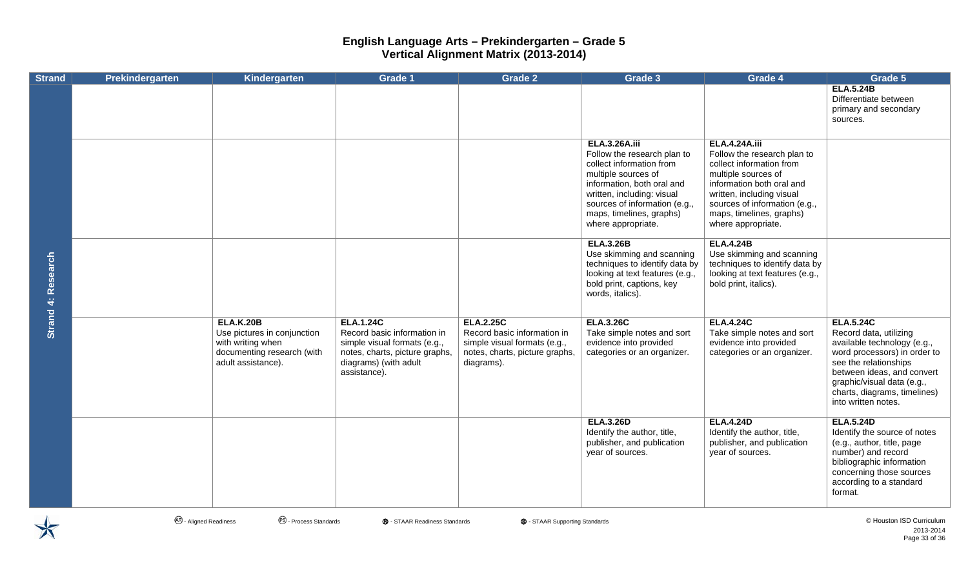| <b>Strand</b>      | Prekindergarten | Kindergarten                                                                                                             | <b>Grade 1</b>                                                                                                                                             | <b>Grade 2</b>                                                                                                                  | Grade 3                                                                                                                                                                                                                                               | Grade 4                                                                                                                                                                                                                                             | Grade 5                                                                                                                                                                                                                                               |
|--------------------|-----------------|--------------------------------------------------------------------------------------------------------------------------|------------------------------------------------------------------------------------------------------------------------------------------------------------|---------------------------------------------------------------------------------------------------------------------------------|-------------------------------------------------------------------------------------------------------------------------------------------------------------------------------------------------------------------------------------------------------|-----------------------------------------------------------------------------------------------------------------------------------------------------------------------------------------------------------------------------------------------------|-------------------------------------------------------------------------------------------------------------------------------------------------------------------------------------------------------------------------------------------------------|
|                    |                 |                                                                                                                          |                                                                                                                                                            |                                                                                                                                 |                                                                                                                                                                                                                                                       |                                                                                                                                                                                                                                                     | <b>ELA.5.24B</b><br>Differentiate between<br>primary and secondary<br>sources.                                                                                                                                                                        |
|                    |                 |                                                                                                                          |                                                                                                                                                            |                                                                                                                                 | <b>ELA.3.26A.iii</b><br>Follow the research plan to<br>collect information from<br>multiple sources of<br>information, both oral and<br>written, including: visual<br>sources of information (e.g.,<br>maps, timelines, graphs)<br>where appropriate. | <b>ELA.4.24A.iii</b><br>Follow the research plan to<br>collect information from<br>multiple sources of<br>information both oral and<br>written, including visual<br>sources of information (e.g.,<br>maps, timelines, graphs)<br>where appropriate. |                                                                                                                                                                                                                                                       |
| Strand 4: Research |                 |                                                                                                                          |                                                                                                                                                            |                                                                                                                                 | <b>ELA.3.26B</b><br>Use skimming and scanning<br>techniques to identify data by<br>looking at text features (e.g.,<br>bold print, captions, key<br>words, italics).                                                                                   | <b>ELA.4.24B</b><br>Use skimming and scanning<br>techniques to identify data by<br>looking at text features (e.g.,<br>bold print, italics).                                                                                                         |                                                                                                                                                                                                                                                       |
|                    |                 | <b>ELA.K.20B</b><br>Use pictures in conjunction<br>with writing when<br>documenting research (with<br>adult assistance). | <b>ELA.1.24C</b><br>Record basic information in<br>simple visual formats (e.g.,<br>notes, charts, picture graphs,<br>diagrams) (with adult<br>assistance). | <b>ELA.2.25C</b><br>Record basic information in<br>simple visual formats (e.g.,<br>notes, charts, picture graphs,<br>diagrams). | <b>ELA.3.26C</b><br>Take simple notes and sort<br>evidence into provided<br>categories or an organizer.                                                                                                                                               | <b>ELA.4.24C</b><br>Take simple notes and sort<br>evidence into provided<br>categories or an organizer.                                                                                                                                             | <b>ELA.5.24C</b><br>Record data, utilizing<br>available technology (e.g.,<br>word processors) in order to<br>see the relationships<br>between ideas, and convert<br>graphic/visual data (e.g.,<br>charts, diagrams, timelines)<br>into written notes. |
|                    |                 |                                                                                                                          |                                                                                                                                                            |                                                                                                                                 | <b>ELA.3.26D</b><br>Identify the author, title,<br>publisher, and publication<br>year of sources.                                                                                                                                                     | <b>ELA.4.24D</b><br>Identify the author, title,<br>publisher, and publication<br>year of sources.                                                                                                                                                   | <b>ELA.5.24D</b><br>Identify the source of notes<br>(e.g., author, title, page<br>number) and record<br>bibliographic information<br>concerning those sources<br>according to a standard<br>format.                                                   |

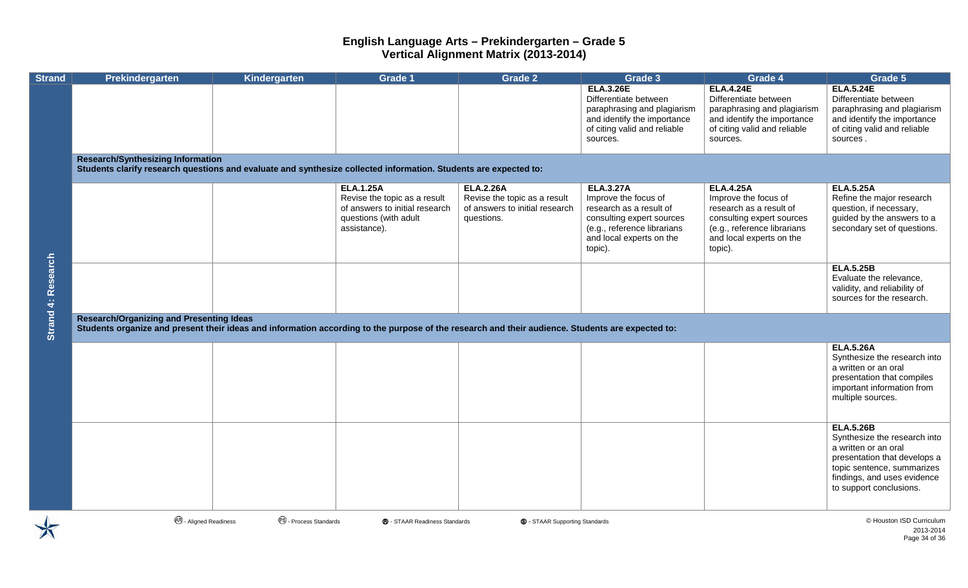| <b>Strand</b>             | Prekindergarten                                                                                                                                                                                     | Kindergarten                     | <b>Grade 1</b>                                                                                                              | <b>Grade 2</b>                                                                                   | Grade 3                                                                                                                                                                | Grade 4                                                                                                                                                                | Grade 5                                                                                                                                                                                          |
|---------------------------|-----------------------------------------------------------------------------------------------------------------------------------------------------------------------------------------------------|----------------------------------|-----------------------------------------------------------------------------------------------------------------------------|--------------------------------------------------------------------------------------------------|------------------------------------------------------------------------------------------------------------------------------------------------------------------------|------------------------------------------------------------------------------------------------------------------------------------------------------------------------|--------------------------------------------------------------------------------------------------------------------------------------------------------------------------------------------------|
|                           |                                                                                                                                                                                                     |                                  |                                                                                                                             |                                                                                                  | <b>ELA.3.26E</b><br>Differentiate between<br>paraphrasing and plagiarism<br>and identify the importance<br>of citing valid and reliable<br>sources.                    | <b>ELA.4.24E</b><br>Differentiate between<br>paraphrasing and plagiarism<br>and identify the importance<br>of citing valid and reliable<br>sources.                    | <b>ELA.5.24E</b><br>Differentiate between<br>paraphrasing and plagiarism<br>and identify the importance<br>of citing valid and reliable<br>sources.                                              |
|                           | <b>Research/Synthesizing Information</b><br>Students clarify research questions and evaluate and synthesize collected information. Students are expected to:                                        |                                  |                                                                                                                             |                                                                                                  |                                                                                                                                                                        |                                                                                                                                                                        |                                                                                                                                                                                                  |
|                           |                                                                                                                                                                                                     |                                  | <b>ELA.1.25A</b><br>Revise the topic as a result<br>of answers to initial research<br>questions (with adult<br>assistance). | <b>ELA.2.26A</b><br>Revise the topic as a result<br>of answers to initial research<br>questions. | <b>ELA.3.27A</b><br>Improve the focus of<br>research as a result of<br>consulting expert sources<br>(e.g., reference librarians<br>and local experts on the<br>topic). | <b>ELA.4.25A</b><br>Improve the focus of<br>research as a result of<br>consulting expert sources<br>(e.g., reference librarians<br>and local experts on the<br>topic). | <b>ELA.5.25A</b><br>Refine the major research<br>question, if necessary,<br>guided by the answers to a<br>secondary set of questions.                                                            |
| <b>Strand 4: Research</b> |                                                                                                                                                                                                     |                                  |                                                                                                                             |                                                                                                  |                                                                                                                                                                        |                                                                                                                                                                        | <b>ELA.5.25B</b><br>Evaluate the relevance,<br>validity, and reliability of<br>sources for the research.                                                                                         |
|                           | <b>Research/Organizing and Presenting Ideas</b><br>Students organize and present their ideas and information according to the purpose of the research and their audience. Students are expected to: |                                  |                                                                                                                             |                                                                                                  |                                                                                                                                                                        |                                                                                                                                                                        |                                                                                                                                                                                                  |
|                           |                                                                                                                                                                                                     |                                  |                                                                                                                             |                                                                                                  |                                                                                                                                                                        |                                                                                                                                                                        | <b>ELA.5.26A</b><br>Synthesize the research into<br>a written or an oral<br>presentation that compiles<br>important information from<br>multiple sources.                                        |
|                           |                                                                                                                                                                                                     |                                  |                                                                                                                             |                                                                                                  |                                                                                                                                                                        |                                                                                                                                                                        | <b>ELA.5.26B</b><br>Synthesize the research into<br>a written or an oral<br>presentation that develops a<br>topic sentence, summarizes<br>findings, and uses evidence<br>to support conclusions. |
|                           | <sup>48</sup> - Aligned Readiness                                                                                                                                                                   | <sup>6</sup> - Process Standards | ® - STAAR Readiness Standards                                                                                               | <b>S</b> - STAAR Supporting Standards                                                            |                                                                                                                                                                        |                                                                                                                                                                        | © Houston ISD Curriculum<br>2013-2014<br>Dogo 24 of 28                                                                                                                                           |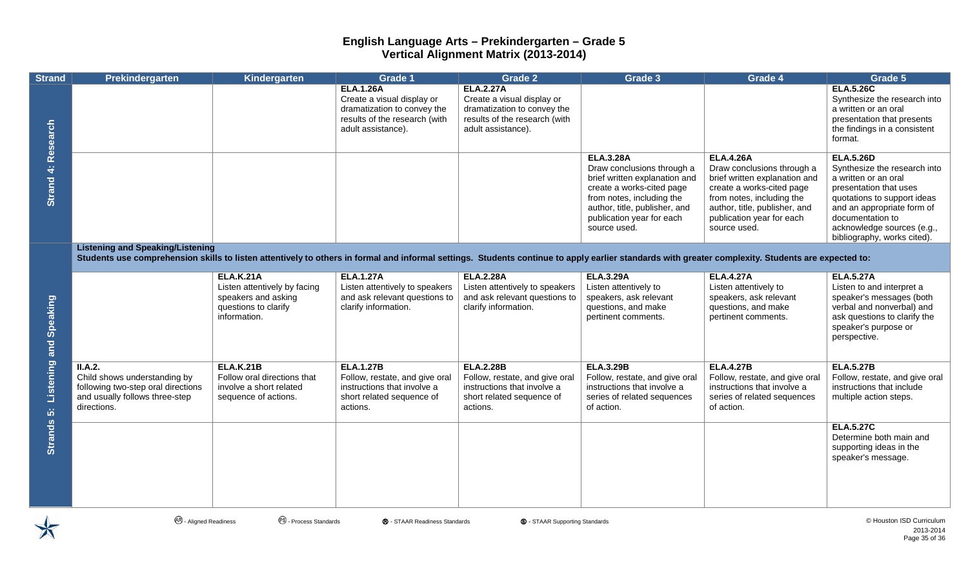| <b>Strand</b>             | Prekindergarten                                                                                                                                                                                                                               | Kindergarten                                                                                                    | <b>Grade 1</b>                                                                                                                       | <b>Grade 2</b>                                                                                                                       | <b>Grade 3</b>                                                                                                                                                                                                          | Grade 4                                                                                                                                                                                                                 | Grade 5                                                                                                                                                                                                                                          |
|---------------------------|-----------------------------------------------------------------------------------------------------------------------------------------------------------------------------------------------------------------------------------------------|-----------------------------------------------------------------------------------------------------------------|--------------------------------------------------------------------------------------------------------------------------------------|--------------------------------------------------------------------------------------------------------------------------------------|-------------------------------------------------------------------------------------------------------------------------------------------------------------------------------------------------------------------------|-------------------------------------------------------------------------------------------------------------------------------------------------------------------------------------------------------------------------|--------------------------------------------------------------------------------------------------------------------------------------------------------------------------------------------------------------------------------------------------|
|                           |                                                                                                                                                                                                                                               |                                                                                                                 | <b>ELA.1.26A</b><br>Create a visual display or<br>dramatization to convey the<br>results of the research (with<br>adult assistance). | <b>ELA.2.27A</b><br>Create a visual display or<br>dramatization to convey the<br>results of the research (with<br>adult assistance). |                                                                                                                                                                                                                         |                                                                                                                                                                                                                         | <b>ELA.5.26C</b><br>Synthesize the research into<br>a written or an oral<br>presentation that presents<br>the findings in a consistent<br>format.                                                                                                |
| <b>Strand 4: Research</b> |                                                                                                                                                                                                                                               |                                                                                                                 |                                                                                                                                      |                                                                                                                                      | <b>ELA.3.28A</b><br>Draw conclusions through a<br>brief written explanation and<br>create a works-cited page<br>from notes, including the<br>author, title, publisher, and<br>publication year for each<br>source used. | <b>ELA.4.26A</b><br>Draw conclusions through a<br>brief written explanation and<br>create a works-cited page<br>from notes, including the<br>author, title, publisher, and<br>publication year for each<br>source used. | <b>ELA.5.26D</b><br>Synthesize the research into<br>a written or an oral<br>presentation that uses<br>quotations to support ideas<br>and an appropriate form of<br>documentation to<br>acknowledge sources (e.g.,<br>bibliography, works cited). |
|                           | <b>Listening and Speaking/Listening</b><br>Students use comprehension skills to listen attentively to others in formal and informal settings. Students continue to apply earlier standards with greater complexity. Students are expected to: |                                                                                                                 |                                                                                                                                      |                                                                                                                                      |                                                                                                                                                                                                                         |                                                                                                                                                                                                                         |                                                                                                                                                                                                                                                  |
| Listening and Speaking    |                                                                                                                                                                                                                                               | <b>ELA.K.21A</b><br>Listen attentively by facing<br>speakers and asking<br>questions to clarify<br>information. | <b>ELA.1.27A</b><br>Listen attentively to speakers<br>and ask relevant questions to<br>clarify information.                          | <b>ELA.2.28A</b><br>Listen attentively to speakers<br>and ask relevant questions to<br>clarify information.                          | <b>ELA.3.29A</b><br>Listen attentively to<br>speakers, ask relevant<br>questions, and make<br>pertinent comments.                                                                                                       | <b>ELA.4.27A</b><br>Listen attentively to<br>speakers, ask relevant<br>questions, and make<br>pertinent comments.                                                                                                       | <b>ELA.5.27A</b><br>Listen to and interpret a<br>speaker's messages (both<br>verbal and nonverbal) and<br>ask questions to clarify the<br>speaker's purpose or<br>perspective.                                                                   |
|                           | II.A.2.<br>Child shows understanding by<br>following two-step oral directions<br>and usually follows three-step<br>directions.                                                                                                                | <b>ELA.K.21B</b><br>Follow oral directions that<br>involve a short related<br>sequence of actions.              | <b>ELA.1.27B</b><br>Follow, restate, and give oral<br>instructions that involve a<br>short related sequence of<br>actions.           | <b>ELA.2.28B</b><br>Follow, restate, and give oral<br>instructions that involve a<br>short related sequence of<br>actions.           | <b>ELA.3.29B</b><br>Follow, restate, and give oral<br>instructions that involve a<br>series of related sequences<br>of action.                                                                                          | <b>ELA.4.27B</b><br>Follow, restate, and give oral<br>instructions that involve a<br>series of related sequences<br>of action.                                                                                          | <b>ELA.5.27B</b><br>Follow, restate, and give oral<br>instructions that include<br>multiple action steps.                                                                                                                                        |
| Strands 5:                |                                                                                                                                                                                                                                               |                                                                                                                 |                                                                                                                                      |                                                                                                                                      |                                                                                                                                                                                                                         |                                                                                                                                                                                                                         | <b>ELA.5.27C</b><br>Determine both main and<br>supporting ideas in the<br>speaker's message.                                                                                                                                                     |